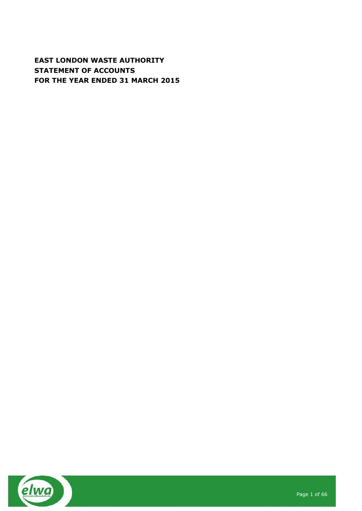# **EAST LONDON WASTE AUTHORITY STATEMENT OF ACCOUNTS FOR THE YEAR ENDED 31 MARCH 2015**

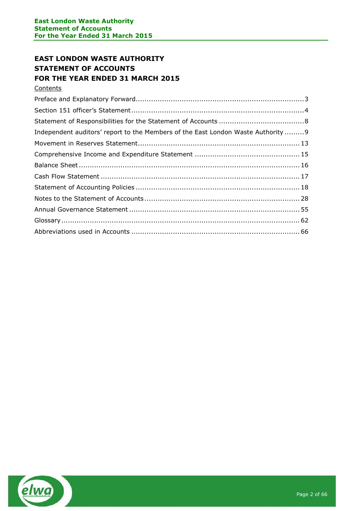# **EAST LONDON WASTE AUTHORITY STATEMENT OF ACCOUNTS FOR THE YEAR ENDED 31 MARCH 2015**

**Contents** 

| Independent auditors' report to the Members of the East London Waste Authority9 |  |
|---------------------------------------------------------------------------------|--|
|                                                                                 |  |
|                                                                                 |  |
|                                                                                 |  |
|                                                                                 |  |
|                                                                                 |  |
|                                                                                 |  |
|                                                                                 |  |
|                                                                                 |  |
|                                                                                 |  |

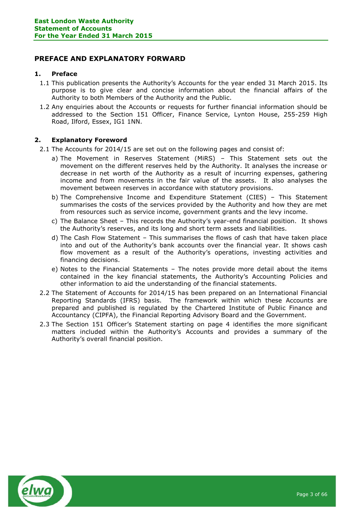# <span id="page-2-0"></span>**PREFACE AND EXPLANATORY FORWARD**

# **1. Preface**

- 1.1 This publication presents the Authority's Accounts for the year ended 31 March 2015. Its purpose is to give clear and concise information about the financial affairs of the Authority to both Members of the Authority and the Public.
- 1.2 Any enquiries about the Accounts or requests for further financial information should be addressed to the Section 151 Officer, Finance Service, Lynton House, 255-259 High Road, Ilford, Essex, IG1 1NN.

# **2. Explanatory Foreword**

2.1 The Accounts for 2014/15 are set out on the following pages and consist of:

- a) The Movement in Reserves Statement (MiRS) This Statement sets out the movement on the different reserves held by the Authority. It analyses the increase or decrease in net worth of the Authority as a result of incurring expenses, gathering income and from movements in the fair value of the assets. It also analyses the movement between reserves in accordance with statutory provisions.
- b) The Comprehensive Income and Expenditure Statement (CIES) This Statement summarises the costs of the services provided by the Authority and how they are met from resources such as service income, government grants and the levy income.
- c) The Balance Sheet This records the Authority's year-end financial position. It shows the Authority's reserves, and its long and short term assets and liabilities.
- d) The Cash Flow Statement This summarises the flows of cash that have taken place into and out of the Authority's bank accounts over the financial year. It shows cash flow movement as a result of the Authority's operations, investing activities and financing decisions.
- e) Notes to the Financial Statements The notes provide more detail about the items contained in the key financial statements, the Authority's Accounting Policies and other information to aid the understanding of the financial statements.
- 2.2 The Statement of Accounts for 2014/15 has been prepared on an International Financial Reporting Standards (IFRS) basis. The framework within which these Accounts are prepared and published is regulated by the Chartered Institute of Public Finance and Accountancy (CIPFA), the Financial Reporting Advisory Board and the Government.
- 2.3 The Section 151 Officer's Statement starting on page 4 identifies the more significant matters included within the Authority's Accounts and provides a summary of the Authority's overall financial position.

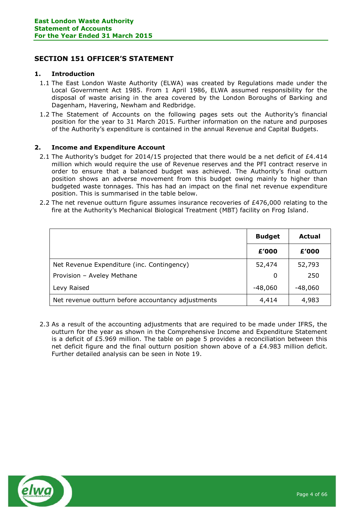# <span id="page-3-0"></span>**SECTION 151 OFFICER'S STATEMENT**

# **1. Introduction**

- 1.1 The East London Waste Authority (ELWA) was created by Regulations made under the Local Government Act 1985. From 1 April 1986, ELWA assumed responsibility for the disposal of waste arising in the area covered by the London Boroughs of Barking and Dagenham, Havering, Newham and Redbridge.
- 1.2 The Statement of Accounts on the following pages sets out the Authority's financial position for the year to 31 March 2015. Further information on the nature and purposes of the Authority's expenditure is contained in the annual Revenue and Capital Budgets.

# **2. Income and Expenditure Account**

- 2.1 The Authority's budget for 2014/15 projected that there would be a net deficit of £4.414 million which would require the use of Revenue reserves and the PFI contract reserve in order to ensure that a balanced budget was achieved. The Authority's final outturn position shows an adverse movement from this budget owing mainly to higher than budgeted waste tonnages. This has had an impact on the final net revenue expenditure position. This is summarised in the table below.
- 2.2 The net revenue outturn figure assumes insurance recoveries of £476,000 relating to the fire at the Authority's Mechanical Biological Treatment (MBT) facility on Frog Island.

|                                                    | <b>Budget</b> | Actual    |
|----------------------------------------------------|---------------|-----------|
|                                                    | £'000         | £'000     |
| Net Revenue Expenditure (inc. Contingency)         | 52,474        | 52,793    |
| Provision - Aveley Methane                         | 0             | 250       |
| Levy Raised                                        | $-48,060$     | $-48,060$ |
| Net revenue outturn before accountancy adjustments | 4,414         | 4,983     |

2.3 As a result of the accounting adjustments that are required to be made under IFRS, the outturn for the year as shown in the Comprehensive Income and Expenditure Statement is a deficit of £5.969 million. The table on page 5 provides a reconciliation between this net deficit figure and the final outturn position shown above of a £4.983 million deficit. Further detailed analysis can be seen in Note 19.

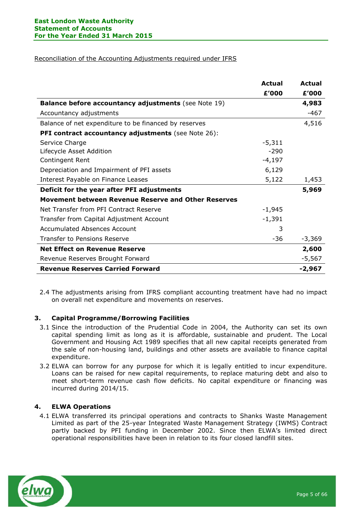# Reconciliation of the Accounting Adjustments required under IFRS

|                                                             | <b>Actual</b> | <b>Actual</b> |
|-------------------------------------------------------------|---------------|---------------|
|                                                             | £'000         | £'000         |
| <b>Balance before accountancy adjustments</b> (see Note 19) |               | 4,983         |
| Accountancy adjustments                                     |               | $-467$        |
| Balance of net expenditure to be financed by reserves       |               | 4,516         |
| <b>PFI contract accountancy adjustments</b> (see Note 26):  |               |               |
| Service Charge                                              | $-5,311$      |               |
| Lifecycle Asset Addition                                    | $-290$        |               |
| Contingent Rent                                             | $-4,197$      |               |
| Depreciation and Impairment of PFI assets                   | 6,129         |               |
| Interest Payable on Finance Leases                          | 5,122         | 1,453         |
| Deficit for the year after PFI adjustments                  |               | 5,969         |
| <b>Movement between Revenue Reserve and Other Reserves</b>  |               |               |
| Net Transfer from PFI Contract Reserve                      | $-1,945$      |               |
| Transfer from Capital Adjustment Account                    | $-1,391$      |               |
| <b>Accumulated Absences Account</b>                         | 3             |               |
| Transfer to Pensions Reserve                                | $-36$         | $-3,369$      |
| <b>Net Effect on Revenue Reserve</b>                        |               | 2,600         |
| Revenue Reserves Brought Forward                            |               | $-5,567$      |
| <b>Revenue Reserves Carried Forward</b>                     |               | -2,967        |

2.4 The adjustments arising from IFRS compliant accounting treatment have had no impact on overall net expenditure and movements on reserves.

# **3. Capital Programme/Borrowing Facilities**

- 3.1 Since the introduction of the Prudential Code in 2004, the Authority can set its own capital spending limit as long as it is affordable, sustainable and prudent. The Local Government and Housing Act 1989 specifies that all new capital receipts generated from the sale of non-housing land, buildings and other assets are available to finance capital expenditure.
- 3.2 ELWA can borrow for any purpose for which it is legally entitled to incur expenditure. Loans can be raised for new capital requirements, to replace maturing debt and also to meet short-term revenue cash flow deficits. No capital expenditure or financing was incurred during 2014/15.

# **4. ELWA Operations**

4.1 ELWA transferred its principal operations and contracts to Shanks Waste Management Limited as part of the 25-year Integrated Waste Management Strategy (IWMS) Contract partly backed by PFI funding in December 2002. Since then ELWA's limited direct operational responsibilities have been in relation to its four closed landfill sites.

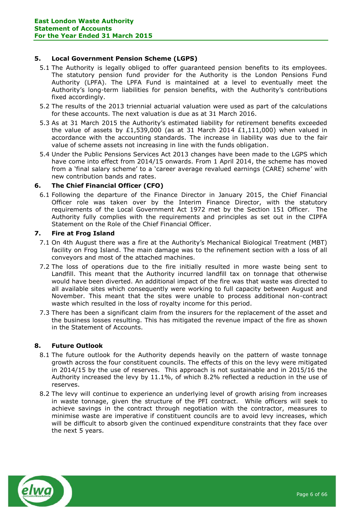# **5. Local Government Pension Scheme (LGPS)**

- 5.1 The Authority is legally obliged to offer guaranteed pension benefits to its employees. The statutory pension fund provider for the Authority is the London Pensions Fund Authority (LPFA). The LPFA Fund is maintained at a level to eventually meet the Authority's long-term liabilities for pension benefits, with the Authority's contributions fixed accordingly.
- 5.2 The results of the 2013 triennial actuarial valuation were used as part of the calculations for these accounts. The next valuation is due as at 31 March 2016.
- 5.3 As at 31 March 2015 the Authority's estimated liability for retirement benefits exceeded the value of assets by £1,539,000 (as at 31 March 2014 £1,111,000) when valued in accordance with the accounting standards. The increase in liability was due to the fair value of scheme assets not increasing in line with the funds obligation.
- 5.4 Under the Public Pensions Services Act 2013 changes have been made to the LGPS which have come into effect from 2014/15 onwards. From 1 April 2014, the scheme has moved from a 'final salary scheme' to a 'career average revalued earnings (CARE) scheme' with new contribution bands and rates.

# **6. The Chief Financial Officer (CFO)**

6.1 Following the departure of the Finance Director in January 2015, the Chief Financial Officer role was taken over by the Interim Finance Director, with the statutory requirements of the Local Government Act 1972 met by the Section 151 Officer. The Authority fully complies with the requirements and principles as set out in the CIPFA Statement on the Role of the Chief Financial Officer.

# **7. Fire at Frog Island**

- 7.1 On 4th August there was a fire at the Authority's Mechanical Biological Treatment (MBT) facility on Frog Island. The main damage was to the refinement section with a loss of all conveyors and most of the attached machines.
- 7.2 The loss of operations due to the fire initially resulted in more waste being sent to Landfill. This meant that the Authority incurred landfill tax on tonnage that otherwise would have been diverted. An additional impact of the fire was that waste was directed to all available sites which consequently were working to full capacity between August and November. This meant that the sites were unable to process additional non-contract waste which resulted in the loss of royalty income for this period.
- 7.3 There has been a significant claim from the insurers for the replacement of the asset and the business losses resulting. This has mitigated the revenue impact of the fire as shown in the Statement of Accounts.

# **8. Future Outlook**

- 8.1 The future outlook for the Authority depends heavily on the pattern of waste tonnage growth across the four constituent councils. The effects of this on the levy were mitigated in 2014/15 by the use of reserves. This approach is not sustainable and in 2015/16 the Authority increased the levy by 11.1%, of which 8.2% reflected a reduction in the use of reserves.
- 8.2 The levy will continue to experience an underlying level of growth arising from increases in waste tonnage, given the structure of the PFI contract. While officers will seek to achieve savings in the contract through negotiation with the contractor, measures to minimise waste are imperative if constituent councils are to avoid levy increases, which will be difficult to absorb given the continued expenditure constraints that they face over the next 5 years.

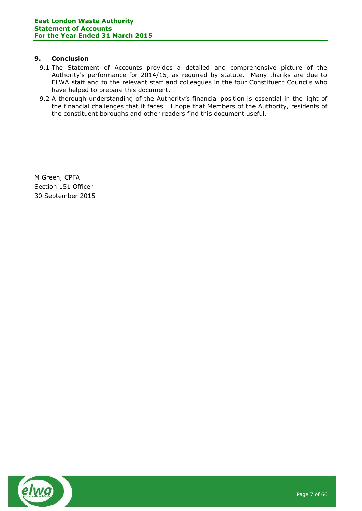# **9. Conclusion**

- 9.1 The Statement of Accounts provides a detailed and comprehensive picture of the Authority's performance for 2014/15, as required by statute. Many thanks are due to ELWA staff and to the relevant staff and colleagues in the four Constituent Councils who have helped to prepare this document.
- 9.2 A thorough understanding of the Authority's financial position is essential in the light of the financial challenges that it faces. I hope that Members of the Authority, residents of the constituent boroughs and other readers find this document useful.

M Green, CPFA Section 151 Officer 30 September 2015

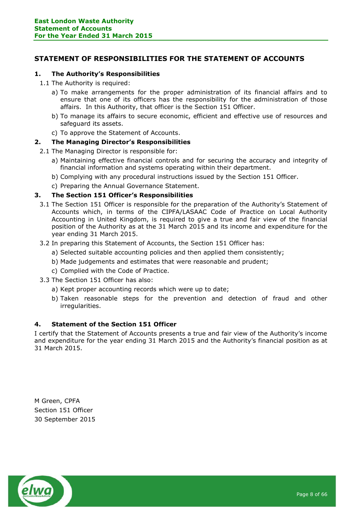# <span id="page-7-0"></span>**STATEMENT OF RESPONSIBILITIES FOR THE STATEMENT OF ACCOUNTS**

# **1. The Authority's Responsibilities**

- 1.1 The Authority is required:
	- a) To make arrangements for the proper administration of its financial affairs and to ensure that one of its officers has the responsibility for the administration of those affairs. In this Authority, that officer is the Section 151 Officer.
	- b) To manage its affairs to secure economic, efficient and effective use of resources and safeguard its assets.
	- c) To approve the Statement of Accounts.

# **2. The Managing Director's Responsibilities**

- 2.1 The Managing Director is responsible for:
	- a) Maintaining effective financial controls and for securing the accuracy and integrity of financial information and systems operating within their department.
	- b) Complying with any procedural instructions issued by the Section 151 Officer.
	- c) Preparing the Annual Governance Statement.

# **3. The Section 151 Officer's Responsibilities**

- 3.1 The Section 151 Officer is responsible for the preparation of the Authority's Statement of Accounts which, in terms of the CIPFA/LASAAC Code of Practice on Local Authority Accounting in United Kingdom, is required to give a true and fair view of the financial position of the Authority as at the 31 March 2015 and its income and expenditure for the year ending 31 March 2015.
- 3.2 In preparing this Statement of Accounts, the Section 151 Officer has:
	- a) Selected suitable accounting policies and then applied them consistently;
	- b) Made judgements and estimates that were reasonable and prudent;
	- c) Complied with the Code of Practice.
- 3.3 The Section 151 Officer has also:
	- a) Kept proper accounting records which were up to date;
	- b) Taken reasonable steps for the prevention and detection of fraud and other irregularities.

# **4. Statement of the Section 151 Officer**

I certify that the Statement of Accounts presents a true and fair view of the Authority's income and expenditure for the year ending 31 March 2015 and the Authority's financial position as at 31 March 2015.

M Green, CPFA Section 151 Officer 30 September 2015

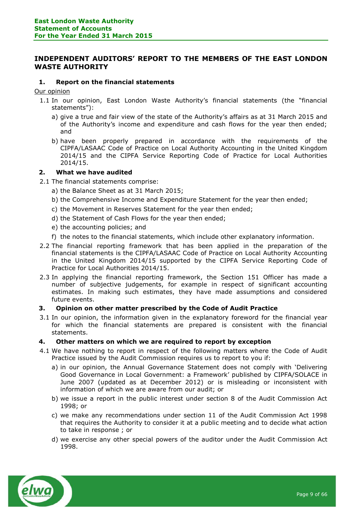# <span id="page-8-0"></span>**INDEPENDENT AUDITORS' REPORT TO THE MEMBERS OF THE EAST LONDON WASTE AUTHORITY**

# **1. Report on the financial statements**

Our opinion

- 1.1 In our opinion, East London Waste Authority's financial statements (the "financial statements"):
	- a) give a true and fair view of the state of the Authority's affairs as at 31 March 2015 and of the Authority's income and expenditure and cash flows for the year then ended; and
	- b) have been properly prepared in accordance with the requirements of the CIPFA/LASAAC Code of Practice on Local Authority Accounting in the United Kingdom 2014/15 and the CIPFA Service Reporting Code of Practice for Local Authorities 2014/15.

# **2. What we have audited**

- 2.1 The financial statements comprise:
	- a) the Balance Sheet as at 31 March 2015;
	- b) the Comprehensive Income and Expenditure Statement for the year then ended;
	- c) the Movement in Reserves Statement for the year then ended;
	- d) the Statement of Cash Flows for the year then ended;
	- e) the accounting policies; and
	- f) the notes to the financial statements, which include other explanatory information.
- 2.2 The financial reporting framework that has been applied in the preparation of the financial statements is the CIPFA/LASAAC Code of Practice on Local Authority Accounting in the United Kingdom 2014/15 supported by the CIPFA Service Reporting Code of Practice for Local Authorities 2014/15.
- 2.3 In applying the financial reporting framework, the Section 151 Officer has made a number of subjective judgements, for example in respect of significant accounting estimates. In making such estimates, they have made assumptions and considered future events.

# **3. Opinion on other matter prescribed by the Code of Audit Practice**

3.1 In our opinion, the information given in the explanatory foreword for the financial year for which the financial statements are prepared is consistent with the financial statements.

# **4. Other matters on which we are required to report by exception**

- 4.1 We have nothing to report in respect of the following matters where the Code of Audit Practice issued by the Audit Commission requires us to report to you if:
	- a) in our opinion, the Annual Governance Statement does not comply with 'Delivering Good Governance in Local Government: a Framework' published by CIPFA/SOLACE in June 2007 (updated as at December 2012) or is misleading or inconsistent with information of which we are aware from our audit; or
	- b) we issue a report in the public interest under section 8 of the Audit Commission Act 1998; or
	- c) we make any recommendations under section 11 of the Audit Commission Act 1998 that requires the Authority to consider it at a public meeting and to decide what action to take in response ; or
	- d) we exercise any other special powers of the auditor under the Audit Commission Act 1998.

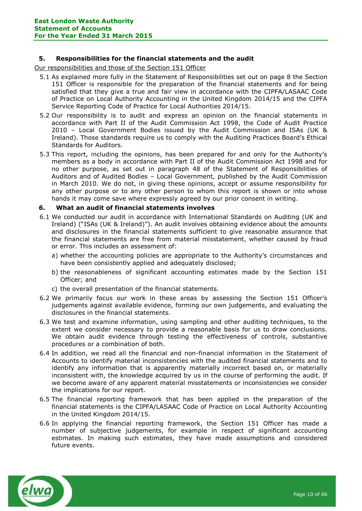# **5. Responsibilities for the financial statements and the audit**

Our responsibilities and those of the Section 151 Officer

- 5.1 As explained more fully in the Statement of Responsibilities set out on page 8 the Section 151 Officer is responsible for the preparation of the financial statements and for being satisfied that they give a true and fair view in accordance with the CIPFA/LASAAC Code of Practice on Local Authority Accounting in the United Kingdom 2014/15 and the CIPFA Service Reporting Code of Practice for Local Authorities 2014/15.
- 5.2 Our responsibility is to audit and express an opinion on the financial statements in accordance with Part II of the Audit Commission Act 1998, the Code of Audit Practice 2010 – Local Government Bodies issued by the Audit Commission and ISAs (UK & Ireland). Those standards require us to comply with the Auditing Practices Board's Ethical Standards for Auditors.
- 5.3 This report, including the opinions, has been prepared for and only for the Authority's members as a body in accordance with Part II of the Audit Commission Act 1998 and for no other purpose, as set out in paragraph 48 of the Statement of Responsibilities of Auditors and of Audited Bodies – Local Government, published by the Audit Commission in March 2010. We do not, in giving these opinions, accept or assume responsibility for any other purpose or to any other person to whom this report is shown or into whose hands it may come save where expressly agreed by our prior consent in writing.

# **6. What an audit of financial statements involves**

- 6.1 We conducted our audit in accordance with International Standards on Auditing (UK and Ireland) ("ISAs (UK & Ireland)"). An audit involves obtaining evidence about the amounts and disclosures in the financial statements sufficient to give reasonable assurance that the financial statements are free from material misstatement, whether caused by fraud or error. This includes an assessment of:
	- a) whether the accounting policies are appropriate to the Authority's circumstances and have been consistently applied and adequately disclosed;
	- b) the reasonableness of significant accounting estimates made by the Section 151 Officer; and
	- c) the overall presentation of the financial statements.
- 6.2 We primarily focus our work in these areas by assessing the Section 151 Officer's judgements against available evidence, forming our own judgements, and evaluating the disclosures in the financial statements.
- 6.3 We test and examine information, using sampling and other auditing techniques, to the extent we consider necessary to provide a reasonable basis for us to draw conclusions. We obtain audit evidence through testing the effectiveness of controls, substantive procedures or a combination of both.
- 6.4 In addition, we read all the financial and non-financial information in the Statement of Accounts to identify material inconsistencies with the audited financial statements and to identify any information that is apparently materially incorrect based on, or materially inconsistent with, the knowledge acquired by us in the course of performing the audit. If we become aware of any apparent material misstatements or inconsistencies we consider the implications for our report.
- 6.5 The financial reporting framework that has been applied in the preparation of the financial statements is the CIPFA/LASAAC Code of Practice on Local Authority Accounting in the United Kingdom 2014/15.
- 6.6 In applying the financial reporting framework, the Section 151 Officer has made a number of subjective judgements, for example in respect of significant accounting estimates. In making such estimates, they have made assumptions and considered future events.

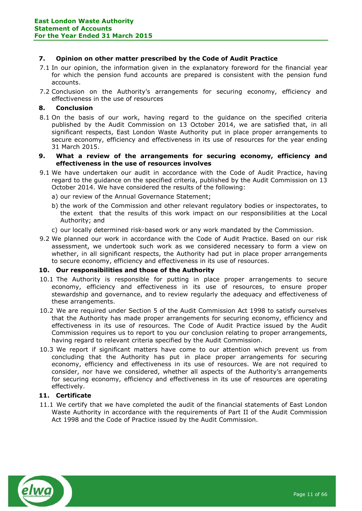# **7. Opinion on other matter prescribed by the Code of Audit Practice**

- 7.1 In our opinion, the information given in the explanatory foreword for the financial year for which the pension fund accounts are prepared is consistent with the pension fund accounts.
- 7.2 Conclusion on the Authority's arrangements for securing economy, efficiency and effectiveness in the use of resources

# **8. Conclusion**

- 8.1 On the basis of our work, having regard to the guidance on the specified criteria published by the Audit Commission on 13 October 2014, we are satisfied that, in all significant respects, East London Waste Authority put in place proper arrangements to secure economy, efficiency and effectiveness in its use of resources for the year ending 31 March 2015.
- **9. What a review of the arrangements for securing economy, efficiency and effectiveness in the use of resources involves**
- 9.1 We have undertaken our audit in accordance with the Code of Audit Practice, having regard to the guidance on the specified criteria, published by the Audit Commission on 13 October 2014. We have considered the results of the following:
	- a) our review of the Annual Governance Statement;
	- b) the work of the Commission and other relevant regulatory bodies or inspectorates, to the extent that the results of this work impact on our responsibilities at the Local Authority; and
	- c) our locally determined risk-based work or any work mandated by the Commission.
- 9.2 We planned our work in accordance with the Code of Audit Practice. Based on our risk assessment, we undertook such work as we considered necessary to form a view on whether, in all significant respects, the Authority had put in place proper arrangements to secure economy, efficiency and effectiveness in its use of resources.

# **10. Our responsibilities and those of the Authority**

- 10.1 The Authority is responsible for putting in place proper arrangements to secure economy, efficiency and effectiveness in its use of resources, to ensure proper stewardship and governance, and to review regularly the adequacy and effectiveness of these arrangements.
- 10.2 We are required under Section 5 of the Audit Commission Act 1998 to satisfy ourselves that the Authority has made proper arrangements for securing economy, efficiency and effectiveness in its use of resources. The Code of Audit Practice issued by the Audit Commission requires us to report to you our conclusion relating to proper arrangements, having regard to relevant criteria specified by the Audit Commission.
- 10.3 We report if significant matters have come to our attention which prevent us from concluding that the Authority has put in place proper arrangements for securing economy, efficiency and effectiveness in its use of resources. We are not required to consider, nor have we considered, whether all aspects of the Authority's arrangements for securing economy, efficiency and effectiveness in its use of resources are operating effectively.

# **11. Certificate**

11.1 We certify that we have completed the audit of the financial statements of East London Waste Authority in accordance with the requirements of Part II of the Audit Commission Act 1998 and the Code of Practice issued by the Audit Commission.

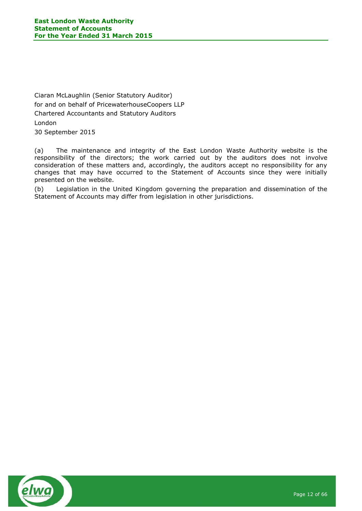Ciaran McLaughlin (Senior Statutory Auditor) for and on behalf of PricewaterhouseCoopers LLP Chartered Accountants and Statutory Auditors London 30 September 2015

(a) The maintenance and integrity of the East London Waste Authority website is the responsibility of the directors; the work carried out by the auditors does not involve consideration of these matters and, accordingly, the auditors accept no responsibility for any changes that may have occurred to the Statement of Accounts since they were initially presented on the website.

(b) Legislation in the United Kingdom governing the preparation and dissemination of the Statement of Accounts may differ from legislation in other jurisdictions.

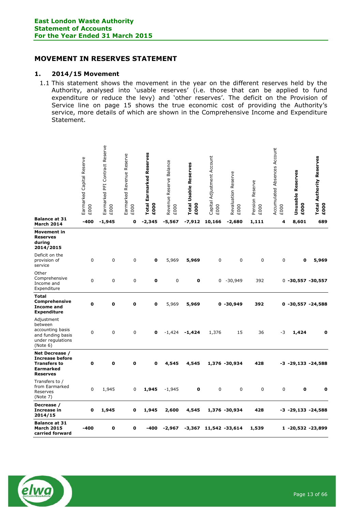# <span id="page-12-0"></span>**MOVEMENT IN RESERVES STATEMENT**

# **1. 2014/15 Movement**

1.1 This statement shows the movement in the year on the different reserves held by the Authority, analysed into 'usable reserves' (i.e. those that can be applied to fund expenditure or reduce the levy) and 'other reserves'. The deficit on the Provision of Service line on page 15 shows the true economic cost of providing the Authority's service, more details of which are shown in the Comprehensive Income and Expenditure Statement.

|                                                                                                        | Earmarked Capital Reserve<br>£000 | Earmarked PFI Contract Reserve<br>£000 | Reserve<br>Earmarked Revenue<br>£000 | Earmarked Reserves<br><b>Total</b><br>£000 | <b>Balance</b><br>Revenue Reserve<br>£000 | <b>Total Usable Reserves</b><br>£000 | Capital Adjustment Account<br>£000 | Revaluation Reserve<br>£000 | Pension Reserve<br>£000 | Accumulated Absences Account<br>£000 | Unusable Reserves<br>£000 | <b>Total Authority Reserves</b><br>£000 |
|--------------------------------------------------------------------------------------------------------|-----------------------------------|----------------------------------------|--------------------------------------|--------------------------------------------|-------------------------------------------|--------------------------------------|------------------------------------|-----------------------------|-------------------------|--------------------------------------|---------------------------|-----------------------------------------|
| <b>Balance at 31</b><br><b>March 2014</b>                                                              | -400                              | $-1,945$                               | o                                    | $-2,345$                                   | $-5,567$                                  | -7,912                               | 10,166                             | $-2,680$                    | 1,111                   | 4                                    | 8,601                     | 689                                     |
| <b>Movement in</b><br><b>Reserves</b><br>during<br>2014/2015                                           |                                   |                                        |                                      |                                            |                                           |                                      |                                    |                             |                         |                                      |                           |                                         |
| Deficit on the<br>provision of<br>service                                                              | 0                                 | 0                                      | 0                                    | $\mathbf 0$                                | 5,969                                     | 5,969                                | 0                                  | $\mathbf 0$                 | 0                       | 0                                    | $\mathbf 0$               | 5,969                                   |
| Other<br>Comprehensive<br>Income and<br>Expenditure                                                    | 0                                 | 0                                      | 0                                    | 0                                          | 0                                         | 0                                    | 0                                  | $-30,949$                   | 392                     |                                      | $0 - 30,557 - 30,557$     |                                         |
| <b>Total</b><br><b>Comprehensive</b><br><b>Income and</b><br><b>Expenditure</b>                        | 0                                 | $\mathbf 0$                            | o                                    | $\mathbf 0$                                | 5,969                                     | 5,969                                |                                    | $0 - 30,949$                | 392                     | 0                                    | $-30,557 -24,588$         |                                         |
| Adjustment<br>between<br>accounting basis<br>and funding basis<br>under regulations<br>(Note 6)        | 0                                 | 0                                      | 0                                    | $\mathbf{0}$                               | $-1,424$                                  | $-1,424$                             | 1,376                              | 15                          | 36                      | -3                                   | 1,424                     | 0                                       |
| Net Decrease /<br><b>Increase before</b><br><b>Transfers to</b><br><b>Earmarked</b><br><b>Reserves</b> | $\mathbf o$                       | 0                                      | $\mathbf 0$                          | $\mathbf{o}$                               | 4,545                                     | 4,545                                |                                    | 1,376 -30,934               | 428                     |                                      | $-3$ $-29,133$ $-24,588$  |                                         |
| Transfers to /<br>from Earmarked<br>Reserves<br>(Note 7)                                               | $\mathbf 0$                       | 1,945                                  | 0                                    | 1,945                                      | $-1,945$                                  | 0                                    | $\mathbf 0$                        | 0                           | $\mathbf 0$             | $\mathbf 0$                          | $\mathbf 0$               | $\mathbf 0$                             |
| Decrease /<br><b>Increase in</b><br>2014/15                                                            | $\mathbf o$                       | 1,945                                  | o                                    | 1,945                                      | 2,600                                     | 4,545                                |                                    | 1,376 -30,934               | 428                     |                                      | $-3$ $-29,133$ $-24,588$  |                                         |
| <b>Balance at 31</b><br><b>March 2015</b><br>carried forward                                           | -400                              | 0                                      | 0                                    | $-400$                                     | $-2,967$                                  | -3,367                               |                                    | 11,542 -33,614              | 1,539                   |                                      | 1 -20,532 -23,899         |                                         |

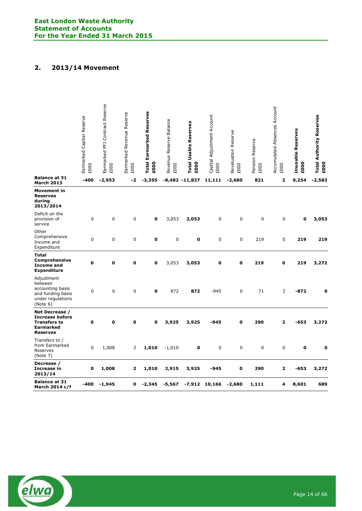# **2. 2013/14 Movement**

|                                                                                                        | Earmarked Capital Reserve<br>£000 | Earmarked PFI Contract Reserve<br>£000 | Earmarked Revenue Reserve<br>£000 | <b>Total Earmarked Reserves</b><br>£000 | Revenue Reserve Balance<br>£000 | <b>Total Usable Reserves</b><br>£000 | Capital Adjustment Account<br>£000 | Revaluation Reserve<br>£000 | Pension Reserve<br>£000 | Accumulated Absences Account<br>£000 | Unusable Reserves<br>£000 | <b>Total Authority Reserves</b><br>£000 |
|--------------------------------------------------------------------------------------------------------|-----------------------------------|----------------------------------------|-----------------------------------|-----------------------------------------|---------------------------------|--------------------------------------|------------------------------------|-----------------------------|-------------------------|--------------------------------------|---------------------------|-----------------------------------------|
| <b>Balance at 31</b><br><b>March 2013</b>                                                              | $-400$                            | $-2,953$                               | -2                                | $-3,355$                                |                                 | $-8,482 -11,837$                     | 11,111                             | $-2,680$                    | 821                     | 2                                    | 9,254                     | $-2,583$                                |
| <b>Movement in</b><br><b>Reserves</b><br>during<br>2013/2014                                           |                                   |                                        |                                   |                                         |                                 |                                      |                                    |                             |                         |                                      |                           |                                         |
| Deficit on the<br>provision of<br>service                                                              | $\mathbf 0$                       | 0                                      | $\mathbf 0$                       | $\mathbf o$                             | 3,053                           | 3,053                                | 0                                  | 0                           | $\mathbf 0$             | 0                                    | 0                         | 3,053                                   |
| Other<br>Comprehensive<br>Income and<br>Expenditure                                                    | $\mathbf 0$                       | 0                                      | $\mathbf 0$                       | $\mathbf o$                             | 0                               | 0                                    | 0                                  | 0                           | 219                     | 0                                    | 219                       | 219                                     |
| Total<br>Comprehensive<br><b>Income and</b><br><b>Expenditure</b>                                      | $\mathbf 0$                       | O                                      | $\mathbf 0$                       | $\mathbf 0$                             | 3,053                           | 3,053                                | $\mathbf 0$                        | $\mathbf 0$                 | 219                     | 0                                    | 219                       | 3,272                                   |
| Adjustment<br>between<br>accounting basis<br>and funding basis<br>under regulations<br>(Note 6)        | $\mathbf 0$                       | 0                                      | $\mathbf 0$                       | $\mathbf{o}$                            | 872                             | 872                                  | $-945$                             | 0                           | 71                      | $\overline{2}$                       | $-872$                    | $\mathbf{o}$                            |
| Net Decrease /<br><b>Increase before</b><br><b>Transfers to</b><br><b>Earmarked</b><br><b>Reserves</b> | $\mathbf{o}$                      | $\mathbf 0$                            | $\mathbf o$                       | $\mathbf 0$                             | 3,925                           | 3,925                                | $-945$                             | $\mathbf o$                 | 290                     | $\overline{2}$                       | $-653$                    | 3,272                                   |
| Transfers to /<br>from Earmarked<br>Reserves<br>(Note 7)                                               | $\Omega$                          | 1,008                                  | 2                                 | 1,010                                   | $-1,010$                        | 0                                    | 0                                  | 0                           | 0                       | 0                                    | 0                         | $\mathbf 0$                             |
| Decrease /<br>Increase in<br>2013/14                                                                   | $\mathbf 0$                       | 1,008                                  | $\mathbf{z}$                      | 1,010                                   | 2,915                           | 3,925                                | $-945$                             | $\mathbf 0$                 | 290                     | 2                                    | $-653$                    | 3,272                                   |
| <b>Balance at 31</b><br>March 2014 c/f                                                                 | -400                              | $-1,945$                               | o                                 | $-2,345$                                | $-5,567$                        | -7,912                               | 10,166                             | $-2,680$                    | 1,111                   | 4                                    | 8,601                     | 689                                     |
|                                                                                                        |                                   |                                        |                                   |                                         |                                 |                                      |                                    |                             |                         |                                      |                           |                                         |

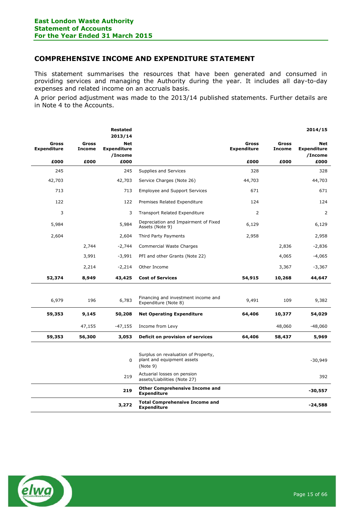# <span id="page-14-0"></span>**COMPREHENSIVE INCOME AND EXPENDITURE STATEMENT**

This statement summarises the resources that have been generated and consumed in providing services and managing the Authority during the year. It includes all day-to-day expenses and related income on an accruals basis.

A prior period adjustment was made to the 2013/14 published statements. Further details are in Note 4 to the Accounts.

|                                    |                               | <b>Restated</b><br>2013/14           |                                                                               |                                    |                               | 2014/15                              |
|------------------------------------|-------------------------------|--------------------------------------|-------------------------------------------------------------------------------|------------------------------------|-------------------------------|--------------------------------------|
| <b>Gross</b><br><b>Expenditure</b> | <b>Gross</b><br><b>Income</b> | Net<br><b>Expenditure</b><br>/Income |                                                                               | <b>Gross</b><br><b>Expenditure</b> | <b>Gross</b><br><b>Income</b> | Net<br><b>Expenditure</b><br>/Income |
| £000                               | £000                          | £000                                 |                                                                               | £000                               | £000                          | £000                                 |
| 245                                |                               | 245                                  | Supplies and Services                                                         | 328                                |                               | 328                                  |
| 42,703                             |                               | 42,703                               | Service Charges (Note 26)                                                     | 44,703                             |                               | 44,703                               |
| 713                                |                               | 713                                  | <b>Employee and Support Services</b>                                          | 671                                |                               | 671                                  |
| 122                                |                               | 122                                  | Premises Related Expenditure                                                  | 124                                |                               | 124                                  |
| 3                                  |                               | 3                                    | <b>Transport Related Expenditure</b>                                          | 2                                  |                               | 2                                    |
| 5,984                              |                               | 5,984                                | Depreciation and Impairment of Fixed<br>Assets (Note 9)                       | 6,129                              |                               | 6,129                                |
| 2,604                              |                               | 2,604                                | Third Party Payments                                                          | 2,958                              |                               | 2,958                                |
|                                    | 2,744                         | $-2,744$                             | <b>Commercial Waste Charges</b>                                               |                                    | 2,836                         | $-2,836$                             |
|                                    | 3,991                         | $-3,991$                             | PFI and other Grants (Note 22)                                                |                                    | 4,065                         | -4,065                               |
|                                    | 2,214                         | $-2,214$                             | Other Income                                                                  |                                    | 3,367                         | $-3,367$                             |
| 52,374                             | 8,949                         | 43,425                               | <b>Cost of Services</b>                                                       | 54,915                             | 10,268                        | 44,647                               |
|                                    |                               |                                      |                                                                               |                                    |                               |                                      |
| 6,979                              | 196                           | 6,783                                | Financing and investment income and<br>Expenditure (Note 8)                   | 9,491                              | 109                           | 9,382                                |
| 59,353                             | 9,145                         | 50,208                               | <b>Net Operating Expenditure</b>                                              | 64,406                             | 10,377                        | 54,029                               |
|                                    | 47,155                        | $-47,155$                            | Income from Levy                                                              |                                    | 48,060                        | $-48,060$                            |
| 59,353                             | 56,300                        | 3,053                                | Deficit on provision of services                                              | 64,406                             | 58,437                        | 5,969                                |
|                                    |                               |                                      |                                                                               |                                    |                               |                                      |
|                                    |                               | $\Omega$                             | Surplus on revaluation of Property,<br>plant and equipment assets<br>(Note 9) |                                    |                               | $-30,949$                            |
|                                    |                               | 219                                  | Actuarial losses on pension<br>assets/Liabilities (Note 27)                   |                                    |                               | 392                                  |
|                                    |                               | 219                                  | <b>Other Comprehensive Income and</b><br><b>Expenditure</b>                   |                                    |                               | $-30,557$                            |
|                                    |                               | 3,272                                | <b>Total Comprehensive Income and</b><br><b>Expenditure</b>                   |                                    |                               | $-24,588$                            |

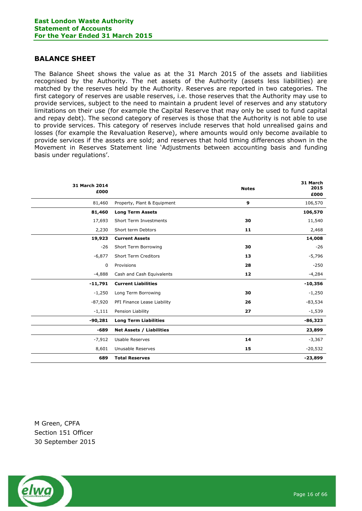# <span id="page-15-0"></span>**BALANCE SHEET**

The Balance Sheet shows the value as at the 31 March 2015 of the assets and liabilities recognised by the Authority. The net assets of the Authority (assets less liabilities) are matched by the reserves held by the Authority. Reserves are reported in two categories. The first category of reserves are usable reserves, i.e. those reserves that the Authority may use to provide services, subject to the need to maintain a prudent level of reserves and any statutory limitations on their use (for example the Capital Reserve that may only be used to fund capital and repay debt). The second category of reserves is those that the Authority is not able to use to provide services. This category of reserves include reserves that hold unrealised gains and losses (for example the Revaluation Reserve), where amounts would only become available to provide services if the assets are sold; and reserves that hold timing differences shown in the Movement in Reserves Statement line 'Adjustments between accounting basis and funding basis under regulations'.

| 31 March 2014<br>£000 |                                 | <b>Notes</b> | 31 March<br>2015<br>£000 |
|-----------------------|---------------------------------|--------------|--------------------------|
| 81,460                | Property, Plant & Equipment     | 9            | 106,570                  |
| 81,460                | <b>Long Term Assets</b>         |              | 106,570                  |
| 17,693                | <b>Short Term Investments</b>   | 30           | 11,540                   |
| 2,230                 | Short term Debtors              | 11           | 2,468                    |
| 19,923                | <b>Current Assets</b>           |              | 14,008                   |
| $-26$                 | Short Term Borrowing            | 30           | $-26$                    |
| $-6,877$              | <b>Short Term Creditors</b>     | 13           | $-5,796$                 |
| 0                     | Provisions                      | 28           | $-250$                   |
| $-4,888$              | Cash and Cash Equivalents       | 12           | $-4,284$                 |
| $-11,791$             | <b>Current Liabilities</b>      |              | $-10,356$                |
| $-1,250$              | Long Term Borrowing             | 30           | $-1,250$                 |
| $-87,920$             | PFI Finance Lease Liability     | 26           | $-83,534$                |
| $-1,111$              | Pension Liability               | 27           | $-1,539$                 |
| $-90,281$             | <b>Long Term Liabilities</b>    |              | $-86,323$                |
| $-689$                | <b>Net Assets / Liabilities</b> |              | 23,899                   |
| $-7,912$              | Usable Reserves                 | 14           | $-3,367$                 |
| 8,601                 | Unusable Reserves               | 15           | $-20,532$                |
| 689                   | <b>Total Reserves</b>           |              | $-23,899$                |

M Green, CPFA Section 151 Officer 30 September 2015

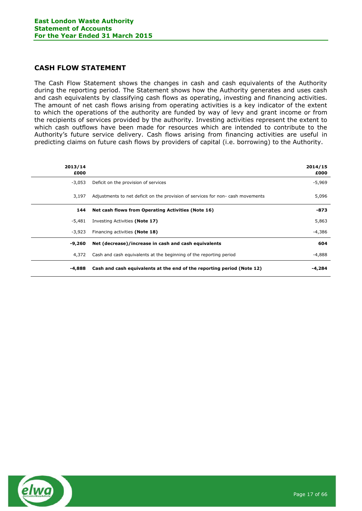# <span id="page-16-0"></span>**CASH FLOW STATEMENT**

The Cash Flow Statement shows the changes in cash and cash equivalents of the Authority during the reporting period. The Statement shows how the Authority generates and uses cash and cash equivalents by classifying cash flows as operating, investing and financing activities. The amount of net cash flows arising from operating activities is a key indicator of the extent to which the operations of the authority are funded by way of levy and grant income or from the recipients of services provided by the authority. Investing activities represent the extent to which cash outflows have been made for resources which are intended to contribute to the Authority's future service delivery. Cash flows arising from financing activities are useful in predicting claims on future cash flows by providers of capital (i.e. borrowing) to the Authority.

| 2013/14<br>£000 |                                                                                | 2014/15<br>£000 |
|-----------------|--------------------------------------------------------------------------------|-----------------|
| $-3,053$        | Deficit on the provision of services                                           | $-5,969$        |
| 3,197           | Adjustments to net deficit on the provision of services for non-cash movements | 5,096           |
| 144             | Net cash flows from Operating Activities (Note 16)                             | -873            |
| -5,481          | Investing Activities (Note 17)                                                 | 5,863           |
| $-3.923$        | Financing activities (Note 18)                                                 | -4,386          |
| -9,260          | Net (decrease)/increase in cash and cash equivalents                           | 604             |
| 4,372           | Cash and cash equivalents at the beginning of the reporting period             | -4,888          |
| -4,888          | Cash and cash equivalents at the end of the reporting period (Note 12)         | -4,284          |

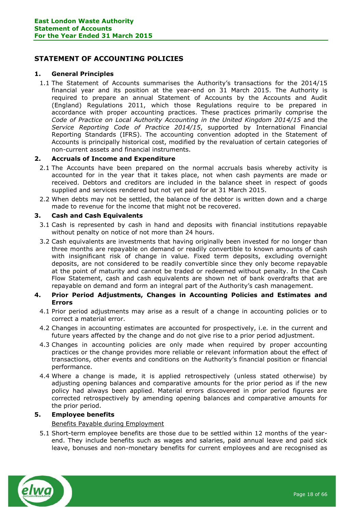# <span id="page-17-0"></span>**STATEMENT OF ACCOUNTING POLICIES**

# **1. General Principles**

1.1 The Statement of Accounts summarises the Authority's transactions for the 2014/15 financial year and its position at the year-end on 31 March 2015. The Authority is required to prepare an annual Statement of Accounts by the Accounts and Audit (England) Regulations 2011, which those Regulations require to be prepared in accordance with proper accounting practices. These practices primarily comprise the *Code of Practice on Local Authority Accounting in the United Kingdom 2014/15* and the *Service Reporting Code of Practice 2014/15*, supported by International Financial Reporting Standards (IFRS). The accounting convention adopted in the Statement of Accounts is principally historical cost, modified by the revaluation of certain categories of non-current assets and financial instruments.

# **2. Accruals of Income and Expenditure**

- 2.1 The Accounts have been prepared on the normal accruals basis whereby activity is accounted for in the year that it takes place, not when cash payments are made or received. Debtors and creditors are included in the balance sheet in respect of goods supplied and services rendered but not yet paid for at 31 March 2015.
- 2.2 When debts may not be settled, the balance of the debtor is written down and a charge made to revenue for the income that might not be recovered.

# **3. Cash and Cash Equivalents**

- 3.1 Cash is represented by cash in hand and deposits with financial institutions repayable without penalty on notice of not more than 24 hours.
- 3.2 Cash equivalents are investments that having originally been invested for no longer than three months are repayable on demand or readily convertible to known amounts of cash with insignificant risk of change in value. Fixed term deposits, excluding overnight deposits, are not considered to be readily convertible since they only become repayable at the point of maturity and cannot be traded or redeemed without penalty. In the Cash Flow Statement, cash and cash equivalents are shown net of bank overdrafts that are repayable on demand and form an integral part of the Authority's cash management.

# **4. Prior Period Adjustments, Changes in Accounting Policies and Estimates and Errors**

- 4.1 Prior period adjustments may arise as a result of a change in accounting policies or to correct a material error.
- 4.2 Changes in accounting estimates are accounted for prospectively, i.e. in the current and future years affected by the change and do not give rise to a prior period adjustment.
- 4.3 Changes in accounting policies are only made when required by proper accounting practices or the change provides more reliable or relevant information about the effect of transactions, other events and conditions on the Authority's financial position or financial performance.
- 4.4 Where a change is made, it is applied retrospectively (unless stated otherwise) by adjusting opening balances and comparative amounts for the prior period as if the new policy had always been applied. Material errors discovered in prior period figures are corrected retrospectively by amending opening balances and comparative amounts for the prior period.

# **5. Employee benefits**

# Benefits Payable during Employment

5.1 Short-term employee benefits are those due to be settled within 12 months of the yearend. They include benefits such as wages and salaries, paid annual leave and paid sick leave, bonuses and non-monetary benefits for current employees and are recognised as

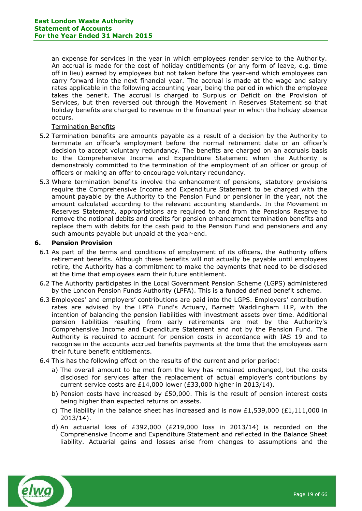an expense for services in the year in which employees render service to the Authority. An accrual is made for the cost of holiday entitlements (or any form of leave, e.g. time off in lieu) earned by employees but not taken before the year-end which employees can carry forward into the next financial year. The accrual is made at the wage and salary rates applicable in the following accounting year, being the period in which the employee takes the benefit. The accrual is charged to Surplus or Deficit on the Provision of Services, but then reversed out through the Movement in Reserves Statement so that holiday benefits are charged to revenue in the financial year in which the holiday absence occurs.

# Termination Benefits

- 5.2 Termination benefits are amounts payable as a result of a decision by the Authority to terminate an officer's employment before the normal retirement date or an officer's decision to accept voluntary redundancy. The benefits are charged on an accruals basis to the Comprehensive Income and Expenditure Statement when the Authority is demonstrably committed to the termination of the employment of an officer or group of officers or making an offer to encourage voluntary redundancy.
- 5.3 Where termination benefits involve the enhancement of pensions, statutory provisions require the Comprehensive Income and Expenditure Statement to be charged with the amount payable by the Authority to the Pension Fund or pensioner in the year, not the amount calculated according to the relevant accounting standards. In the Movement in Reserves Statement, appropriations are required to and from the Pensions Reserve to remove the notional debits and credits for pension enhancement termination benefits and replace them with debits for the cash paid to the Pension Fund and pensioners and any such amounts payable but unpaid at the year-end.

# **6. Pension Provision**

- 6.1 As part of the terms and conditions of employment of its officers, the Authority offers retirement benefits. Although these benefits will not actually be payable until employees retire, the Authority has a commitment to make the payments that need to be disclosed at the time that employees earn their future entitlement.
- 6.2 The Authority participates in the Local Government Pension Scheme (LGPS) administered by the London Pension Funds Authority (LPFA). This is a funded defined benefit scheme.
- 6.3 Employees' and employers' contributions are paid into the LGPS. Employers' contribution rates are advised by the LPFA Fund's Actuary, Barnett Waddingham LLP, with the intention of balancing the pension liabilities with investment assets over time. Additional pension liabilities resulting from early retirements are met by the Authority's Comprehensive Income and Expenditure Statement and not by the Pension Fund. The Authority is required to account for pension costs in accordance with IAS 19 and to recognise in the accounts accrued benefits payments at the time that the employees earn their future benefit entitlements.
- 6.4 This has the following effect on the results of the current and prior period:
	- a) The overall amount to be met from the levy has remained unchanged, but the costs disclosed for services after the replacement of actual employer's contributions by current service costs are £14,000 lower (£33,000 higher in 2013/14).
	- b) Pension costs have increased by £50,000. This is the result of pension interest costs being higher than expected returns on assets.
	- c) The liability in the balance sheet has increased and is now £1,539,000 (£1,111,000 in 2013/14).
	- d) An actuarial loss of  $£392,000$   $(E219,000$  loss in 2013/14) is recorded on the Comprehensive Income and Expenditure Statement and reflected in the Balance Sheet liability. Actuarial gains and losses arise from changes to assumptions and the

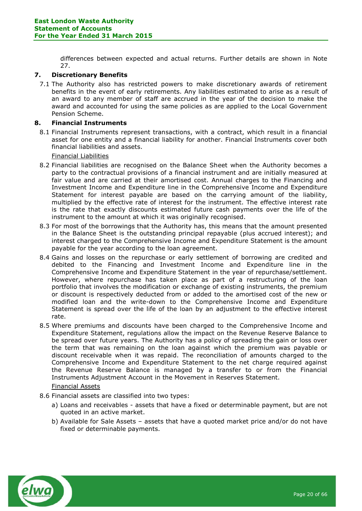differences between expected and actual returns. Further details are shown in Note 27.

# **7. Discretionary Benefits**

7.1 The Authority also has restricted powers to make discretionary awards of retirement benefits in the event of early retirements. Any liabilities estimated to arise as a result of an award to any member of staff are accrued in the year of the decision to make the award and accounted for using the same policies as are applied to the Local Government Pension Scheme.

# **8. Financial Instruments**

8.1 Financial Instruments represent transactions, with a contract, which result in a financial asset for one entity and a financial liability for another. Financial Instruments cover both financial liabilities and assets.

Financial Liabilities

- 8.2 Financial liabilities are recognised on the Balance Sheet when the Authority becomes a party to the contractual provisions of a financial instrument and are initially measured at fair value and are carried at their amortised cost. Annual charges to the Financing and Investment Income and Expenditure line in the Comprehensive Income and Expenditure Statement for interest payable are based on the carrying amount of the liability, multiplied by the effective rate of interest for the instrument. The effective interest rate is the rate that exactly discounts estimated future cash payments over the life of the instrument to the amount at which it was originally recognised.
- 8.3 For most of the borrowings that the Authority has, this means that the amount presented in the Balance Sheet is the outstanding principal repayable (plus accrued interest); and interest charged to the Comprehensive Income and Expenditure Statement is the amount payable for the year according to the loan agreement.
- 8.4 Gains and losses on the repurchase or early settlement of borrowing are credited and debited to the Financing and Investment Income and Expenditure line in the Comprehensive Income and Expenditure Statement in the year of repurchase/settlement. However, where repurchase has taken place as part of a restructuring of the loan portfolio that involves the modification or exchange of existing instruments, the premium or discount is respectively deducted from or added to the amortised cost of the new or modified loan and the write-down to the Comprehensive Income and Expenditure Statement is spread over the life of the loan by an adjustment to the effective interest rate.
- 8.5 Where premiums and discounts have been charged to the Comprehensive Income and Expenditure Statement, regulations allow the impact on the Revenue Reserve Balance to be spread over future years. The Authority has a policy of spreading the gain or loss over the term that was remaining on the loan against which the premium was payable or discount receivable when it was repaid. The reconciliation of amounts charged to the Comprehensive Income and Expenditure Statement to the net charge required against the Revenue Reserve Balance is managed by a transfer to or from the Financial Instruments Adjustment Account in the Movement in Reserves Statement.

# Financial Assets

- 8.6 Financial assets are classified into two types:
	- a) Loans and receivables assets that have a fixed or determinable payment, but are not quoted in an active market.
	- b) Available for Sale Assets assets that have a quoted market price and/or do not have fixed or determinable payments.

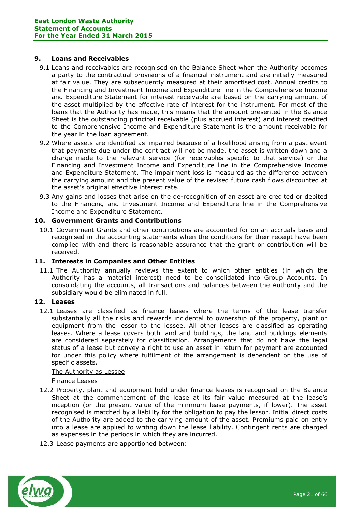# **9. Loans and Receivables**

- 9.1 Loans and receivables are recognised on the Balance Sheet when the Authority becomes a party to the contractual provisions of a financial instrument and are initially measured at fair value. They are subsequently measured at their amortised cost. Annual credits to the Financing and Investment Income and Expenditure line in the Comprehensive Income and Expenditure Statement for interest receivable are based on the carrying amount of the asset multiplied by the effective rate of interest for the instrument. For most of the loans that the Authority has made, this means that the amount presented in the Balance Sheet is the outstanding principal receivable (plus accrued interest) and interest credited to the Comprehensive Income and Expenditure Statement is the amount receivable for the year in the loan agreement.
- 9.2 Where assets are identified as impaired because of a likelihood arising from a past event that payments due under the contract will not be made, the asset is written down and a charge made to the relevant service (for receivables specific to that service) or the Financing and Investment Income and Expenditure line in the Comprehensive Income and Expenditure Statement. The impairment loss is measured as the difference between the carrying amount and the present value of the revised future cash flows discounted at the asset's original effective interest rate.
- 9.3 Any gains and losses that arise on the de-recognition of an asset are credited or debited to the Financing and Investment Income and Expenditure line in the Comprehensive Income and Expenditure Statement.

# **10. Government Grants and Contributions**

10.1 Government Grants and other contributions are accounted for on an accruals basis and recognised in the accounting statements when the conditions for their receipt have been complied with and there is reasonable assurance that the grant or contribution will be received.

# **11. Interests in Companies and Other Entities**

11.1 The Authority annually reviews the extent to which other entities (in which the Authority has a material interest) need to be consolidated into Group Accounts. In consolidating the accounts, all transactions and balances between the Authority and the subsidiary would be eliminated in full.

# **12. Leases**

12.1 Leases are classified as finance leases where the terms of the lease transfer substantially all the risks and rewards incidental to ownership of the property, plant or equipment from the lessor to the lessee. All other leases are classified as operating leases. Where a lease covers both land and buildings, the land and buildings elements are considered separately for classification. Arrangements that do not have the legal status of a lease but convey a right to use an asset in return for payment are accounted for under this policy where fulfilment of the arrangement is dependent on the use of specific assets.

# The Authority as Lessee

# Finance Leases

- 12.2 Property, plant and equipment held under finance leases is recognised on the Balance Sheet at the commencement of the lease at its fair value measured at the lease's inception (or the present value of the minimum lease payments, if lower). The asset recognised is matched by a liability for the obligation to pay the lessor. Initial direct costs of the Authority are added to the carrying amount of the asset. Premiums paid on entry into a lease are applied to writing down the lease liability. Contingent rents are charged as expenses in the periods in which they are incurred.
- 12.3 Lease payments are apportioned between:

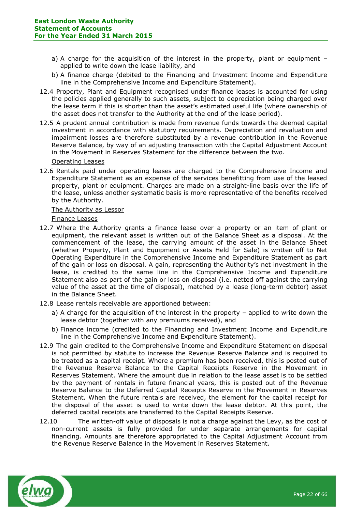- a) A charge for the acquisition of the interest in the property, plant or equipment  $$ applied to write down the lease liability, and
- b) A finance charge (debited to the Financing and Investment Income and Expenditure line in the Comprehensive Income and Expenditure Statement).
- 12.4 Property, Plant and Equipment recognised under finance leases is accounted for using the policies applied generally to such assets, subject to depreciation being charged over the lease term if this is shorter than the asset's estimated useful life (where ownership of the asset does not transfer to the Authority at the end of the lease period).
- 12.5 A prudent annual contribution is made from revenue funds towards the deemed capital investment in accordance with statutory requirements. Depreciation and revaluation and impairment losses are therefore substituted by a revenue contribution in the Revenue Reserve Balance, by way of an adjusting transaction with the Capital Adjustment Account in the Movement in Reserves Statement for the difference between the two.

Operating Leases

12.6 Rentals paid under operating leases are charged to the Comprehensive Income and Expenditure Statement as an expense of the services benefitting from use of the leased property, plant or equipment. Charges are made on a straight-line basis over the life of the lease, unless another systematic basis is more representative of the benefits received by the Authority.

The Authority as Lessor

Finance Leases

- 12.7 Where the Authority grants a finance lease over a property or an item of plant or equipment, the relevant asset is written out of the Balance Sheet as a disposal. At the commencement of the lease, the carrying amount of the asset in the Balance Sheet (whether Property, Plant and Equipment or Assets Held for Sale) is written off to Net Operating Expenditure in the Comprehensive Income and Expenditure Statement as part of the gain or loss on disposal. A gain, representing the Authority's net investment in the lease, is credited to the same line in the Comprehensive Income and Expenditure Statement also as part of the gain or loss on disposal (i.e. netted off against the carrying value of the asset at the time of disposal), matched by a lease (long-term debtor) asset in the Balance Sheet.
- 12.8 Lease rentals receivable are apportioned between:
	- a) A charge for the acquisition of the interest in the property applied to write down the lease debtor (together with any premiums received), and
	- b) Finance income (credited to the Financing and Investment Income and Expenditure line in the Comprehensive Income and Expenditure Statement).
- 12.9 The gain credited to the Comprehensive Income and Expenditure Statement on disposal is not permitted by statute to increase the Revenue Reserve Balance and is required to be treated as a capital receipt. Where a premium has been received, this is posted out of the Revenue Reserve Balance to the Capital Receipts Reserve in the Movement in Reserves Statement. Where the amount due in relation to the lease asset is to be settled by the payment of rentals in future financial years, this is posted out of the Revenue Reserve Balance to the Deferred Capital Receipts Reserve in the Movement in Reserves Statement. When the future rentals are received, the element for the capital receipt for the disposal of the asset is used to write down the lease debtor. At this point, the deferred capital receipts are transferred to the Capital Receipts Reserve.
- 12.10 The written-off value of disposals is not a charge against the Levy, as the cost of non-current assets is fully provided for under separate arrangements for capital financing. Amounts are therefore appropriated to the Capital Adjustment Account from the Revenue Reserve Balance in the Movement in Reserves Statement.

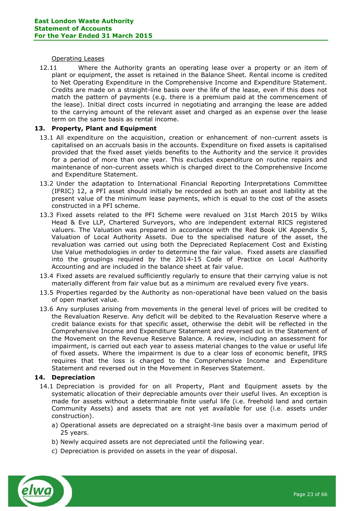#### Operating Leases

12.11 Where the Authority grants an operating lease over a property or an item of plant or equipment, the asset is retained in the Balance Sheet. Rental income is credited to Net Operating Expenditure in the Comprehensive Income and Expenditure Statement. Credits are made on a straight-line basis over the life of the lease, even if this does not match the pattern of payments (e.g. there is a premium paid at the commencement of the lease). Initial direct costs incurred in negotiating and arranging the lease are added to the carrying amount of the relevant asset and charged as an expense over the lease term on the same basis as rental income.

# **13. Property, Plant and Equipment**

- 13.1 All expenditure on the acquisition, creation or enhancement of non-current assets is capitalised on an accruals basis in the accounts. Expenditure on fixed assets is capitalised provided that the fixed asset yields benefits to the Authority and the service it provides for a period of more than one year. This excludes expenditure on routine repairs and maintenance of non-current assets which is charged direct to the Comprehensive Income and Expenditure Statement.
- 13.2 Under the adaptation to International Financial Reporting Interpretations Committee (IFRIC) 12, a PFI asset should initially be recorded as both an asset and liability at the present value of the minimum lease payments, which is equal to the cost of the assets constructed in a PFI scheme.
- 13.3 Fixed assets related to the PFI Scheme were revalued on 31st March 2015 by Wilks Head & Eve LLP, Chartered Surveyors, who are independent external RICS registered valuers. The Valuation was prepared in accordance with the Red Book UK Appendix 5, Valuation of Local Authority Assets. Due to the specialised nature of the asset, the revaluation was carried out using both the Depreciated Replacement Cost and Existing Use Value methodologies in order to determine the fair value. Fixed assets are classified into the groupings required by the 2014-15 Code of Practice on Local Authority Accounting and are included in the balance sheet at fair value.
- 13.4 Fixed assets are revalued sufficiently regularly to ensure that their carrying value is not materially different from fair value but as a minimum are revalued every five years.
- 13.5 Properties regarded by the Authority as non-operational have been valued on the basis of open market value.
- 13.6 Any surpluses arising from movements in the general level of prices will be credited to the Revaluation Reserve. Any deficit will be debited to the Revaluation Reserve where a credit balance exists for that specific asset, otherwise the debit will be reflected in the Comprehensive Income and Expenditure Statement and reversed out in the Statement of the Movement on the Revenue Reserve Balance. A review, including an assessment for impairment, is carried out each year to assess material changes to the value or useful life of fixed assets. Where the impairment is due to a clear loss of economic benefit, IFRS requires that the loss is charged to the Comprehensive Income and Expenditure Statement and reversed out in the Movement in Reserves Statement.

# **14. Depreciation**

- 14.1 Depreciation is provided for on all Property, Plant and Equipment assets by the systematic allocation of their depreciable amounts over their useful lives. An exception is made for assets without a determinable finite useful life (i.e. freehold land and certain Community Assets) and assets that are not yet available for use (i.e. assets under construction).
	- a) Operational assets are depreciated on a straight-line basis over a maximum period of 25 years.
	- b) Newly acquired assets are not depreciated until the following year.
	- c) Depreciation is provided on assets in the year of disposal.

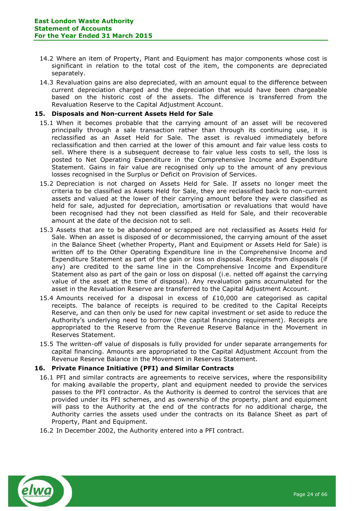- 14.2 Where an item of Property, Plant and Equipment has major components whose cost is significant in relation to the total cost of the item, the components are depreciated separately.
- 14.3 Revaluation gains are also depreciated, with an amount equal to the difference between current depreciation charged and the depreciation that would have been chargeable based on the historic cost of the assets. The difference is transferred from the Revaluation Reserve to the Capital Adjustment Account.

# **15. Disposals and Non-current Assets Held for Sale**

- 15.1 When it becomes probable that the carrying amount of an asset will be recovered principally through a sale transaction rather than through its continuing use, it is reclassified as an Asset Held for Sale. The asset is revalued immediately before reclassification and then carried at the lower of this amount and fair value less costs to sell. Where there is a subsequent decrease to fair value less costs to sell, the loss is posted to Net Operating Expenditure in the Comprehensive Income and Expenditure Statement. Gains in fair value are recognised only up to the amount of any previous losses recognised in the Surplus or Deficit on Provision of Services.
- 15.2 Depreciation is not charged on Assets Held for Sale. If assets no longer meet the criteria to be classified as Assets Held for Sale, they are reclassified back to non-current assets and valued at the lower of their carrying amount before they were classified as held for sale, adjusted for depreciation, amortisation or revaluations that would have been recognised had they not been classified as Held for Sale, and their recoverable amount at the date of the decision not to sell.
- 15.3 Assets that are to be abandoned or scrapped are not reclassified as Assets Held for Sale. When an asset is disposed of or decommissioned, the carrying amount of the asset in the Balance Sheet (whether Property, Plant and Equipment or Assets Held for Sale) is written off to the Other Operating Expenditure line in the Comprehensive Income and Expenditure Statement as part of the gain or loss on disposal. Receipts from disposals (if any) are credited to the same line in the Comprehensive Income and Expenditure Statement also as part of the gain or loss on disposal (i.e. netted off against the carrying value of the asset at the time of disposal). Any revaluation gains accumulated for the asset in the Revaluation Reserve are transferred to the Capital Adjustment Account.
- 15.4 Amounts received for a disposal in excess of  $£10,000$  are categorised as capital receipts. The balance of receipts is required to be credited to the Capital Receipts Reserve, and can then only be used for new capital investment or set aside to reduce the Authority's underlying need to borrow (the capital financing requirement). Receipts are appropriated to the Reserve from the Revenue Reserve Balance in the Movement in Reserves Statement.
- 15.5 The written-off value of disposals is fully provided for under separate arrangements for capital financing. Amounts are appropriated to the Capital Adjustment Account from the Revenue Reserve Balance in the Movement in Reserves Statement.

# **16. Private Finance Initiative (PFI) and Similar Contracts**

- 16.1 PFI and similar contracts are agreements to receive services, where the responsibility for making available the property, plant and equipment needed to provide the services passes to the PFI contractor. As the Authority is deemed to control the services that are provided under its PFI schemes, and as ownership of the property, plant and equipment will pass to the Authority at the end of the contracts for no additional charge, the Authority carries the assets used under the contracts on its Balance Sheet as part of Property, Plant and Equipment.
- 16.2 In December 2002, the Authority entered into a PFI contract.

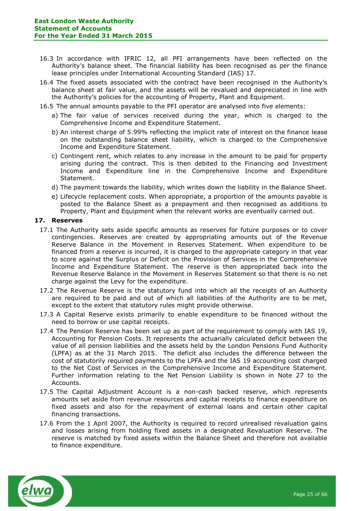- 16.3 In accordance with IFRIC 12, all PFI arrangements have been reflected on the Authority's balance sheet. The financial liability has been recognised as per the finance lease principles under International Accounting Standard (IAS) 17.
- 16.4 The fixed assets associated with the contract have been recognised in the Authority's balance sheet at fair value, and the assets will be revalued and depreciated in line with the Authority's policies for the accounting of Property, Plant and Equipment.
- 16.5 The annual amounts payable to the PFI operator are analysed into five elements:
	- a) The fair value of services received during the year, which is charged to the Comprehensive Income and Expenditure Statement.
	- b) An interest charge of 5.99% reflecting the implicit rate of interest on the finance lease on the outstanding balance sheet liability, which is charged to the Comprehensive Income and Expenditure Statement.
	- c) Contingent rent, which relates to any increase in the amount to be paid for property arising during the contract. This is then debited to the Financing and Investment Income and Expenditure line in the Comprehensive Income and Expenditure Statement.
	- d) The payment towards the liability, which writes down the liability in the Balance Sheet.
	- e) Lifecycle replacement costs. When appropriate, a proportion of the amounts payable is posted to the Balance Sheet as a prepayment and then recognised as additions to Property, Plant and Equipment when the relevant works are eventually carried out.

# **17. Reserves**

- 17.1 The Authority sets aside specific amounts as reserves for future purposes or to cover contingencies. Reserves are created by appropriating amounts out of the Revenue Reserve Balance in the Movement in Reserves Statement. When expenditure to be financed from a reserve is incurred, it is charged to the appropriate category in that year to score against the Surplus or Deficit on the Provision of Services in the Comprehensive Income and Expenditure Statement. The reserve is then appropriated back into the Revenue Reserve Balance in the Movement in Reserves Statement so that there is no net charge against the Levy for the expenditure.
- 17.2 The Revenue Reserve is the statutory fund into which all the receipts of an Authority are required to be paid and out of which all liabilities of the Authority are to be met, except to the extent that statutory rules might provide otherwise.
- 17.3 A Capital Reserve exists primarily to enable expenditure to be financed without the need to borrow or use capital receipts.
- 17.4 The Pension Reserve has been set up as part of the requirement to comply with IAS 19, Accounting for Pension Costs. It represents the actuarially calculated deficit between the value of all pension liabilities and the assets held by the London Pensions Fund Authority (LPFA) as at the 31 March 2015. The deficit also includes the difference between the cost of statutorily required payments to the LPFA and the IAS 19 accounting cost charged to the Net Cost of Services in the Comprehensive Income and Expenditure Statement. Further information relating to the Net Pension Liability is shown in Note 27 to the Accounts.
- 17.5 The Capital Adjustment Account is a non-cash backed reserve, which represents amounts set aside from revenue resources and capital receipts to finance expenditure on fixed assets and also for the repayment of external loans and certain other capital financing transactions.
- 17.6 From the 1 April 2007, the Authority is required to record unrealised revaluation gains and losses arising from holding fixed assets in a designated Revaluation Reserve. The reserve is matched by fixed assets within the Balance Sheet and therefore not available to finance expenditure.

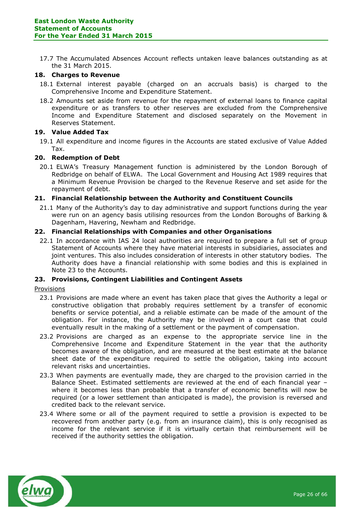17.7 The Accumulated Absences Account reflects untaken leave balances outstanding as at the 31 March 2015.

# **18. Charges to Revenue**

- 18.1 External interest payable (charged on an accruals basis) is charged to the Comprehensive Income and Expenditure Statement.
- 18.2 Amounts set aside from revenue for the repayment of external loans to finance capital expenditure or as transfers to other reserves are excluded from the Comprehensive Income and Expenditure Statement and disclosed separately on the Movement in Reserves Statement.

# **19. Value Added Tax**

19.1 All expenditure and income figures in the Accounts are stated exclusive of Value Added Tax.

# **20. Redemption of Debt**

20.1 ELWA's Treasury Management function is administered by the London Borough of Redbridge on behalf of ELWA. The Local Government and Housing Act 1989 requires that a Minimum Revenue Provision be charged to the Revenue Reserve and set aside for the repayment of debt.

# **21. Financial Relationship between the Authority and Constituent Councils**

21.1 Many of the Authority's day to day administrative and support functions during the year were run on an agency basis utilising resources from the London Boroughs of Barking & Dagenham, Havering, Newham and Redbridge.

# **22. Financial Relationships with Companies and other Organisations**

22.1 In accordance with IAS 24 local authorities are required to prepare a full set of group Statement of Accounts where they have material interests in subsidiaries, associates and joint ventures. This also includes consideration of interests in other statutory bodies. The Authority does have a financial relationship with some bodies and this is explained in Note 23 to the Accounts.

# **23. Provisions, Contingent Liabilities and Contingent Assets**

# Provisions

- 23.1 Provisions are made where an event has taken place that gives the Authority a legal or constructive obligation that probably requires settlement by a transfer of economic benefits or service potential, and a reliable estimate can be made of the amount of the obligation. For instance, the Authority may be involved in a court case that could eventually result in the making of a settlement or the payment of compensation.
- 23.2 Provisions are charged as an expense to the appropriate service line in the Comprehensive Income and Expenditure Statement in the year that the authority becomes aware of the obligation, and are measured at the best estimate at the balance sheet date of the expenditure required to settle the obligation, taking into account relevant risks and uncertainties.
- 23.3 When payments are eventually made, they are charged to the provision carried in the Balance Sheet. Estimated settlements are reviewed at the end of each financial year – where it becomes less than probable that a transfer of economic benefits will now be required (or a lower settlement than anticipated is made), the provision is reversed and credited back to the relevant service.
- 23.4 Where some or all of the payment required to settle a provision is expected to be recovered from another party (e.g. from an insurance claim), this is only recognised as income for the relevant service if it is virtually certain that reimbursement will be received if the authority settles the obligation.

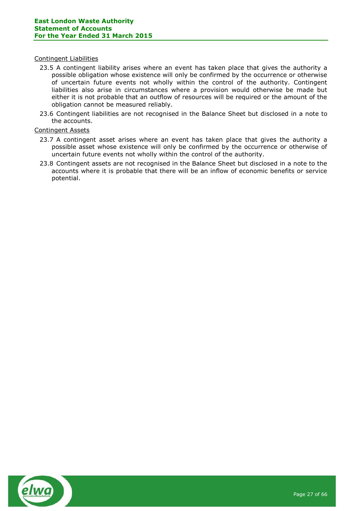# Contingent Liabilities

- 23.5 A contingent liability arises where an event has taken place that gives the authority a possible obligation whose existence will only be confirmed by the occurrence or otherwise of uncertain future events not wholly within the control of the authority. Contingent liabilities also arise in circumstances where a provision would otherwise be made but either it is not probable that an outflow of resources will be required or the amount of the obligation cannot be measured reliably.
- 23.6 Contingent liabilities are not recognised in the Balance Sheet but disclosed in a note to the accounts.

# Contingent Assets

- 23.7 A contingent asset arises where an event has taken place that gives the authority a possible asset whose existence will only be confirmed by the occurrence or otherwise of uncertain future events not wholly within the control of the authority.
- 23.8 Contingent assets are not recognised in the Balance Sheet but disclosed in a note to the accounts where it is probable that there will be an inflow of economic benefits or service potential.

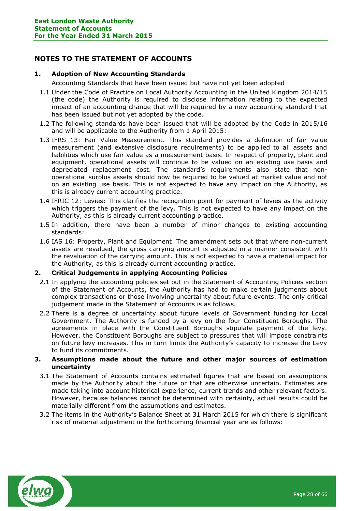# <span id="page-27-0"></span>**NOTES TO THE STATEMENT OF ACCOUNTS**

# **1. Adoption of New Accounting Standards**

Accounting Standards that have been issued but have not yet been adopted

- 1.1 Under the Code of Practice on Local Authority Accounting in the United Kingdom 2014/15 (the code) the Authority is required to disclose information relating to the expected impact of an accounting change that will be required by a new accounting standard that has been issued but not yet adopted by the code.
- 1.2 The following standards have been issued that will be adopted by the Code in 2015/16 and will be applicable to the Authority from 1 April 2015:
- 1.3 IFRS 13: Fair Value Measurement. This standard provides a definition of fair value measurement (and extensive disclosure requirements) to be applied to all assets and liabilities which use fair value as a measurement basis. In respect of property, plant and equipment, operational assets will continue to be valued on an existing use basis and depreciated replacement cost. The standard's requirements also state that nonoperational surplus assets should now be required to be valued at market value and not on an existing use basis. This is not expected to have any impact on the Authority, as this is already current accounting practice.
- 1.4 IFRIC 12: Levies: This clarifies the recognition point for payment of levies as the activity which triggers the payment of the levy. This is not expected to have any impact on the Authority, as this is already current accounting practice.
- 1.5 In addition, there have been a number of minor changes to existing accounting standards:
- 1.6 IAS 16: Property, Plant and Equipment. The amendment sets out that where non-current assets are revalued, the gross carrying amount is adjusted in a manner consistent with the revaluation of the carrying amount. This is not expected to have a material impact for the Authority, as this is already current accounting practice.

# **2. Critical Judgements in applying Accounting Policies**

- 2.1 In applying the accounting policies set out in the Statement of Accounting Policies section of the Statement of Accounts, the Authority has had to make certain judgments about complex transactions or those involving uncertainty about future events. The only critical judgement made in the Statement of Accounts is as follows.
- 2.2 There is a degree of uncertainty about future levels of Government funding for Local Government. The Authority is funded by a levy on the four Constituent Boroughs. The agreements in place with the Constituent Boroughs stipulate payment of the levy. However, the Constituent Boroughs are subject to pressures that will impose constraints on future levy increases. This in turn limits the Authority's capacity to increase the Levy to fund its commitments.

# **3. Assumptions made about the future and other major sources of estimation uncertainty**

- 3.1 The Statement of Accounts contains estimated figures that are based on assumptions made by the Authority about the future or that are otherwise uncertain. Estimates are made taking into account historical experience, current trends and other relevant factors. However, because balances cannot be determined with certainty, actual results could be materially different from the assumptions and estimates.
- 3.2 The items in the Authority's Balance Sheet at 31 March 2015 for which there is significant risk of material adjustment in the forthcoming financial year are as follows:

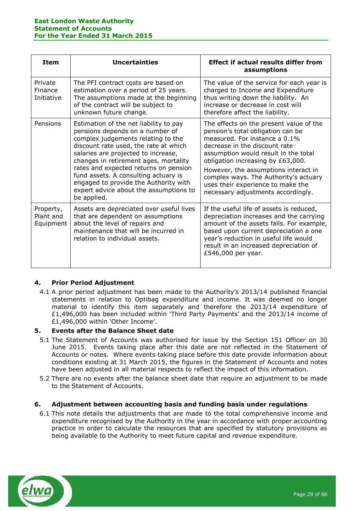| <b>Item</b>                         | <b>Uncertainties</b>                                                                                                                                                                                                                                                                                                                                                                                                        | <b>Effect if actual results differ from</b><br>assumptions                                                                                                                                                                                                                                                                                                                              |
|-------------------------------------|-----------------------------------------------------------------------------------------------------------------------------------------------------------------------------------------------------------------------------------------------------------------------------------------------------------------------------------------------------------------------------------------------------------------------------|-----------------------------------------------------------------------------------------------------------------------------------------------------------------------------------------------------------------------------------------------------------------------------------------------------------------------------------------------------------------------------------------|
| Private<br>Finance<br>Initiative    | The PFI contract costs are based on<br>estimation over a period of 25 years.<br>The assumptions made at the beginning<br>of the contract will be subject to<br>unknown future change.                                                                                                                                                                                                                                       | The value of the service for each year is<br>charged to Income and Expenditure<br>thus writing down the liability. An<br>increase or decrease in cost will<br>therefore affect the liability.                                                                                                                                                                                           |
| Pensions                            | Estimation of the net liability to pay<br>pensions depends on a number of<br>complex judgements relating to the<br>discount rate used, the rate at which<br>salaries are projected to increase,<br>changes in retirement ages, mortality<br>rates and expected returns on pension<br>fund assets. A consulting actuary is<br>engaged to provide the Authority with<br>expert advice about the assumptions to<br>be applied. | The effects on the present value of the<br>pension's total obligation can be<br>measured. For instance a 0.1%<br>decrease in the discount rate<br>assumption would result in the total<br>obligation increasing by £63,000.<br>However, the assumptions interact in<br>complex ways. The Authority's actuary<br>uses their experience to make the<br>necessary adjustments accordingly. |
| Property,<br>Plant and<br>Equipment | Assets are depreciated over useful lives<br>that are dependent on assumptions<br>about the level of repairs and<br>maintenance that will be incurred in<br>relation to individual assets.                                                                                                                                                                                                                                   | If the useful life of assets is reduced,<br>depreciation increases and the carrying<br>amount of the assets falls. For example,<br>based upon current depreciation a one<br>year's reduction in useful life would<br>result in an increased depreciation of<br>£546,000 per year.                                                                                                       |

# **4. Prior Period Adjustment**

4.1 A prior period adjustment has been made to the Authority's 2013/14 published financial statements in relation to Optibag expenditure and income. It was deemed no longer material to identify this item separately and therefore the 2013/14 expenditure of £1,496,000 has been included within 'Third Party Payments' and the 2013/14 income of £1,496,000 within 'Other Income'.

# **5. Events after the Balance Sheet date**

- 5.1 The Statement of Accounts was authorised for issue by the Section 151 Officer on 30 June 2015. Events taking place after this date are not reflected in the Statement of Accounts or notes. Where events taking place before this date provide information about conditions existing at 31 March 2015, the figures in the Statement of Accounts and notes have been adjusted in all material respects to reflect the impact of this information.
- 5.2 There are no events after the balance sheet date that require an adjustment to be made to the Statement of Accounts.

# **6. Adjustment between accounting basis and funding basis under regulations**

6.1 This note details the adjustments that are made to the total comprehensive income and expenditure recognised by the Authority in the year in accordance with proper accounting practice in order to calculate the resources that are specified by statutory provisions as being available to the Authority to meet future capital and revenue expenditure.

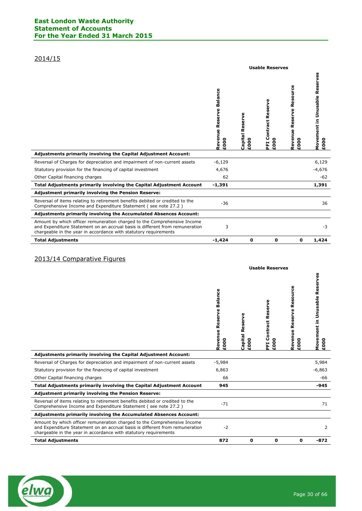# 2014/15

|                                                                                                                                                                                                                              | <b>Usable Reserves</b>             |                                                |                                       |                                     |                                                 |  |
|------------------------------------------------------------------------------------------------------------------------------------------------------------------------------------------------------------------------------|------------------------------------|------------------------------------------------|---------------------------------------|-------------------------------------|-------------------------------------------------|--|
|                                                                                                                                                                                                                              | Balance<br>Revenue Reserve<br>£000 | <b>Capital Reserve</b><br>$\overline{0}$<br>Ğ۹ | Reserve<br>Contract<br>۰<br>E00<br>EI | Reserve Resource<br>Revenue<br>£000 | <b>Unusable Reserves</b><br>Movement in<br>£000 |  |
| Adjustments primarily involving the Capital Adjustment Account:                                                                                                                                                              |                                    |                                                |                                       |                                     |                                                 |  |
| Reversal of Charges for depreciation and impairment of non-current assets                                                                                                                                                    | $-6,129$                           |                                                |                                       |                                     | 6,129                                           |  |
| Statutory provision for the financing of capital investment                                                                                                                                                                  | 4,676                              |                                                |                                       |                                     | $-4,676$                                        |  |
| Other Capital financing charges                                                                                                                                                                                              | 62                                 |                                                |                                       |                                     | -62                                             |  |
| Total Adjustments primarily involving the Capital Adjustment Account                                                                                                                                                         | $-1,391$                           |                                                |                                       |                                     | 1,391                                           |  |
| <b>Adjustment primarily involving the Pension Reserve:</b>                                                                                                                                                                   |                                    |                                                |                                       |                                     |                                                 |  |
| Reversal of items relating to retirement benefits debited or credited to the<br>Comprehensive Income and Expenditure Statement (see note 27.2)                                                                               | $-36$                              |                                                |                                       |                                     | 36                                              |  |
| <b>Adjustments primarily involving the Accumulated Absences Account:</b>                                                                                                                                                     |                                    |                                                |                                       |                                     |                                                 |  |
| Amount by which officer remuneration charged to the Comprehensive Income<br>and Expenditure Statement on an accrual basis is different from remuneration<br>chargeable in the year in accordance with statutory requirements | 3                                  |                                                |                                       |                                     | $-3$                                            |  |
| <b>Total Adjustments</b>                                                                                                                                                                                                     | $-1,424$                           | $\mathbf 0$                                    | 0                                     | 0                                   | 1,424                                           |  |

# 2013/14 Comparative Figures

|                                                                                                                                                                                                                              | Balance<br>Reserve<br>Revenue<br>£000 | Φ<br><b>Capital Reserv</b><br>8<br>ុទួ | Reserve<br>ontract<br>Ū<br>$\bullet$<br>ΕOΟ<br>Ë | Resource<br>Reserve<br>Revenue<br>$\bullet$<br>$\bullet$<br>Ğ۹ | ပ္ၿ<br>Movement in Unusable Reserv<br>£000 |
|------------------------------------------------------------------------------------------------------------------------------------------------------------------------------------------------------------------------------|---------------------------------------|----------------------------------------|--------------------------------------------------|----------------------------------------------------------------|--------------------------------------------|
| Adjustments primarily involving the Capital Adjustment Account:                                                                                                                                                              |                                       |                                        |                                                  |                                                                |                                            |
| Reversal of Charges for depreciation and impairment of non-current assets                                                                                                                                                    | $-5,984$                              |                                        |                                                  |                                                                | 5,984                                      |
| Statutory provision for the financing of capital investment                                                                                                                                                                  | 6,863                                 |                                        |                                                  |                                                                | $-6,863$                                   |
| Other Capital financing charges                                                                                                                                                                                              | 66                                    |                                        |                                                  |                                                                | -66                                        |
| Total Adjustments primarily involving the Capital Adjustment Account                                                                                                                                                         | 945                                   |                                        |                                                  |                                                                | -945                                       |
| <b>Adjustment primarily involving the Pension Reserve:</b>                                                                                                                                                                   |                                       |                                        |                                                  |                                                                |                                            |
| Reversal of items relating to retirement benefits debited or credited to the<br>Comprehensive Income and Expenditure Statement (see note 27.2)                                                                               | $-71$                                 |                                        |                                                  |                                                                | 71                                         |
| Adjustments primarily involving the Accumulated Absences Account:                                                                                                                                                            |                                       |                                        |                                                  |                                                                |                                            |
| Amount by which officer remuneration charged to the Comprehensive Income<br>and Expenditure Statement on an accrual basis is different from remuneration<br>chargeable in the year in accordance with statutory requirements | $-2$                                  |                                        |                                                  |                                                                | 2                                          |
| <b>Total Adjustments</b>                                                                                                                                                                                                     | 872                                   | 0                                      | 0                                                | 0                                                              | $-872$                                     |

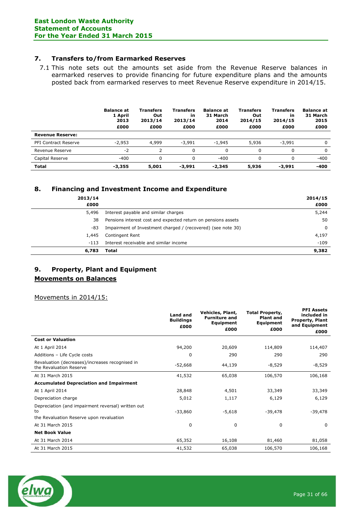# **7. Transfers to/from Earmarked Reserves**

7.1 This note sets out the amounts set aside from the Revenue Reserve balances in earmarked reserves to provide financing for future expenditure plans and the amounts posted back from earmarked reserves to meet Revenue Reserve expenditure in 2014/15.

|                             | <b>Balance at</b><br>1 April<br>2013<br>£000 | <b>Transfers</b><br>Out<br>2013/14<br>£000 | <b>Transfers</b><br>in<br>2013/14<br>£000 | <b>Balance at</b><br>31 March<br>2014<br>£000 | <b>Transfers</b><br>Out<br>2014/15<br>£000 | Transfers<br>in<br>2014/15<br>£000 | <b>Balance at</b><br>31 March<br>2015<br>£000 |
|-----------------------------|----------------------------------------------|--------------------------------------------|-------------------------------------------|-----------------------------------------------|--------------------------------------------|------------------------------------|-----------------------------------------------|
| <b>Revenue Reserve:</b>     |                                              |                                            |                                           |                                               |                                            |                                    |                                               |
| <b>PFI Contract Reserve</b> | $-2,953$                                     | 4,999                                      | $-3,991$                                  | $-1.945$                                      | 5,936                                      | $-3.991$                           | 0                                             |
| Revenue Reserve             | $-2$                                         |                                            | 0                                         |                                               |                                            |                                    | $\Omega$                                      |
| Capital Reserve             | $-400$                                       | 0                                          | 0                                         | $-400$                                        |                                            |                                    | $-400$                                        |
| <b>Total</b>                | $-3,355$                                     | 5,001                                      | -3,991                                    | $-2.345$                                      | 5,936                                      | -3,991                             | -400                                          |

# **8. Financing and Investment Income and Expenditure**

| 2013/14<br>£000 |                                                               | 2014/15<br>£000 |
|-----------------|---------------------------------------------------------------|-----------------|
| 5,496           | Interest payable and similar charges                          | 5,244           |
| 38              | Pensions interest cost and expected return on pensions assets | 50              |
| -83             | Impairment of Investment charged / (recovered) (see note 30)  | 0               |
| 1,445           | Contingent Rent                                               | 4,197           |
| $-113$          | Interest receivable and similar income                        | $-109$          |
| 6,783           | Total                                                         | 9,382           |

# **9. Property, Plant and Equipment Movements on Balances**

Movements in 2014/15:

|                                                                                                      | <b>Land and</b><br><b>Buildings</b><br>£000 | Vehicles, Plant,<br><b>Furniture and</b><br>Equipment<br>£000 | <b>Total Property,</b><br><b>Plant and</b><br><b>Equipment</b><br>£000 | <b>PFI Assets</b><br>included in<br><b>Property, Plant</b><br>and Equipment<br>£000 |
|------------------------------------------------------------------------------------------------------|---------------------------------------------|---------------------------------------------------------------|------------------------------------------------------------------------|-------------------------------------------------------------------------------------|
| <b>Cost or Valuation</b>                                                                             |                                             |                                                               |                                                                        |                                                                                     |
| At 1 April 2014                                                                                      | 94,200                                      | 20,609                                                        | 114,809                                                                | 114,407                                                                             |
| Additions - Life Cycle costs                                                                         | 0                                           | 290                                                           | 290                                                                    | 290                                                                                 |
| Revaluation (decreases)/increases recognised in<br>the Revaluation Reserve                           | $-52,668$                                   | 44,139                                                        | $-8,529$                                                               | $-8,529$                                                                            |
| At 31 March 2015                                                                                     | 41,532                                      | 65,038                                                        | 106,570                                                                | 106,168                                                                             |
| <b>Accumulated Depreciation and Impairment</b>                                                       |                                             |                                                               |                                                                        |                                                                                     |
| At 1 April 2014                                                                                      | 28,848                                      | 4,501                                                         | 33,349                                                                 | 33,349                                                                              |
| Depreciation charge                                                                                  | 5,012                                       | 1,117                                                         | 6,129                                                                  | 6,129                                                                               |
| Depreciation (and impairment reversal) written out<br>to<br>the Revaluation Reserve upon revaluation | $-33,860$                                   | $-5,618$                                                      | $-39,478$                                                              | $-39,478$                                                                           |
| At 31 March 2015                                                                                     | 0                                           | 0                                                             | 0                                                                      | 0                                                                                   |
| <b>Net Book Value</b>                                                                                |                                             |                                                               |                                                                        |                                                                                     |
| At 31 March 2014                                                                                     | 65,352                                      | 16,108                                                        | 81,460                                                                 | 81,058                                                                              |
| At 31 March 2015                                                                                     | 41,532                                      | 65,038                                                        | 106,570                                                                | 106,168                                                                             |

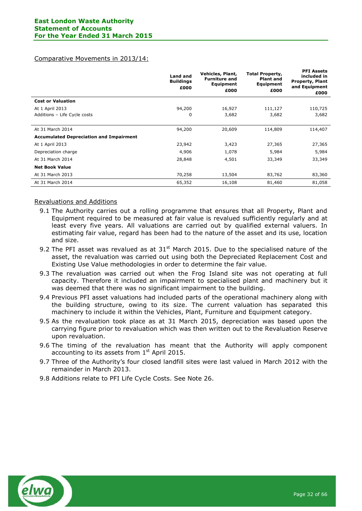#### Comparative Movements in 2013/14:

|                                                | <b>Land and</b><br><b>Buildings</b><br>£000 | Vehicles, Plant,<br><b>Furniture and</b><br>Equipment<br>£000 | <b>Total Property,</b><br><b>Plant and</b><br>Equipment<br>£000 | <b>PFI Assets</b><br>included in<br><b>Property, Plant</b><br>and Equipment<br>£000 |
|------------------------------------------------|---------------------------------------------|---------------------------------------------------------------|-----------------------------------------------------------------|-------------------------------------------------------------------------------------|
| <b>Cost or Valuation</b>                       |                                             |                                                               |                                                                 |                                                                                     |
| At 1 April 2013                                | 94,200                                      | 16,927                                                        | 111,127                                                         | 110,725                                                                             |
| Additions - Life Cycle costs                   | 0                                           | 3,682                                                         | 3,682                                                           | 3,682                                                                               |
| At 31 March 2014                               | 94,200                                      | 20,609                                                        | 114,809                                                         | 114,407                                                                             |
| <b>Accumulated Depreciation and Impairment</b> |                                             |                                                               |                                                                 |                                                                                     |
| At 1 April 2013                                | 23,942                                      | 3,423                                                         | 27,365                                                          | 27,365                                                                              |
| Depreciation charge                            | 4,906                                       | 1,078                                                         | 5,984                                                           | 5,984                                                                               |
| At 31 March 2014                               | 28,848                                      | 4,501                                                         | 33,349                                                          | 33,349                                                                              |
| <b>Net Book Value</b>                          |                                             |                                                               |                                                                 |                                                                                     |
| At 31 March 2013                               | 70,258                                      | 13,504                                                        | 83,762                                                          | 83,360                                                                              |
| At 31 March 2014                               | 65,352                                      | 16,108                                                        | 81,460                                                          | 81,058                                                                              |

# Revaluations and Additions

- 9.1 The Authority carries out a rolling programme that ensures that all Property, Plant and Equipment required to be measured at fair value is revalued sufficiently regularly and at least every five years. All valuations are carried out by qualified external valuers. In estimating fair value, regard has been had to the nature of the asset and its use, location and size.
- 9.2 The PFI asset was revalued as at  $31<sup>st</sup>$  March 2015. Due to the specialised nature of the asset, the revaluation was carried out using both the Depreciated Replacement Cost and Existing Use Value methodologies in order to determine the fair value.
- 9.3 The revaluation was carried out when the Frog Island site was not operating at full capacity. Therefore it included an impairment to specialised plant and machinery but it was deemed that there was no significant impairment to the building.
- 9.4 Previous PFI asset valuations had included parts of the operational machinery along with the building structure, owing to its size. The current valuation has separated this machinery to include it within the Vehicles, Plant, Furniture and Equipment category.
- 9.5 As the revaluation took place as at 31 March 2015, depreciation was based upon the carrying figure prior to revaluation which was then written out to the Revaluation Reserve upon revaluation.
- 9.6 The timing of the revaluation has meant that the Authority will apply component accounting to its assets from  $1<sup>st</sup>$  April 2015.
- 9.7 Three of the Authority's four closed landfill sites were last valued in March 2012 with the remainder in March 2013.
- 9.8 Additions relate to PFI Life Cycle Costs. See Note 26.

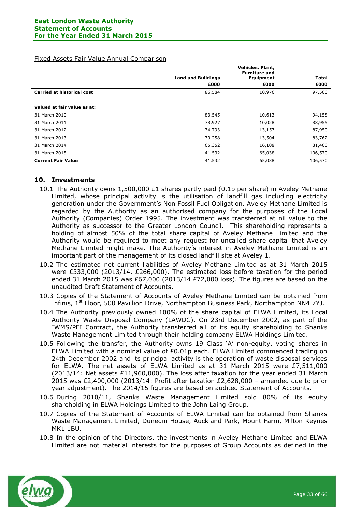#### Fixed Assets Fair Value Annual Comparison

|                                   |                           | Vehicles, Plant,<br><b>Furniture and</b> |              |
|-----------------------------------|---------------------------|------------------------------------------|--------------|
|                                   | <b>Land and Buildings</b> | Equipment                                | <b>Total</b> |
|                                   | £000                      | £000                                     | £000         |
| <b>Carried at historical cost</b> | 86,584                    | 10,976                                   | 97,560       |
|                                   |                           |                                          |              |
| Valued at fair value as at:       |                           |                                          |              |
| 31 March 2010                     | 83,545                    | 10,613                                   | 94,158       |
| 31 March 2011                     | 78,927                    | 10,028                                   | 88,955       |
| 31 March 2012                     | 74,793                    | 13,157                                   | 87,950       |
| 31 March 2013                     | 70,258                    | 13,504                                   | 83,762       |
| 31 March 2014                     | 65,352                    | 16,108                                   | 81,460       |
| 31 March 2015                     | 41,532                    | 65,038                                   | 106,570      |
| <b>Current Fair Value</b>         | 41,532                    | 65,038                                   | 106,570      |

# **10. Investments**

- 10.1 The Authority owns 1,500,000 £1 shares partly paid (0.1p per share) in Aveley Methane Limited, whose principal activity is the utilisation of landfill gas including electricity generation under the Government's Non Fossil Fuel Obligation. Aveley Methane Limited is regarded by the Authority as an authorised company for the purposes of the Local Authority (Companies) Order 1995. The investment was transferred at nil value to the Authority as successor to the Greater London Council. This shareholding represents a holding of almost 50% of the total share capital of Aveley Methane Limited and the Authority would be required to meet any request for uncalled share capital that Aveley Methane Limited might make. The Authority's interest in Aveley Methane Limited is an important part of the management of its closed landfill site at Aveley 1.
- 10.2 The estimated net current liabilities of Aveley Methane Limited as at 31 March 2015 were £333,000 (2013/14, £266,000). The estimated loss before taxation for the period ended 31 March 2015 was £67,000 (2013/14 £72,000 loss). The figures are based on the unaudited Draft Statement of Accounts.
- 10.3 Copies of the Statement of Accounts of Aveley Methane Limited can be obtained from Infinis, 1<sup>st</sup> Floor, 500 Pavillion Drive, Northampton Business Park, Northampton NN4 7YJ.
- 10.4 The Authority previously owned 100% of the share capital of ELWA Limited, its Local Authority Waste Disposal Company (LAWDC). On 23rd December 2002, as part of the IWMS/PFI Contract, the Authority transferred all of its equity shareholding to Shanks Waste Management Limited through their holding company ELWA Holdings Limited.
- 10.5 Following the transfer, the Authority owns 19 Class 'A' non-equity, voting shares in ELWA Limited with a nominal value of £0.01p each. ELWA Limited commenced trading on 24th December 2002 and its principal activity is the operation of waste disposal services for ELWA. The net assets of ELWA Limited as at 31 March 2015 were  $E7,511,000$  $(2013/14:$  Net assets  $£11,960,000$ . The loss after taxation for the year ended 31 March 2015 was £2,400,000 (2013/14: Profit after taxation £2,628,000 – amended due to prior year adjustment). The 2014/15 figures are based on audited Statement of Accounts.
- 10.6 During 2010/11, Shanks Waste Management Limited sold 80% of its equity shareholding in ELWA Holdings Limited to the John Laing Group.
- 10.7 Copies of the Statement of Accounts of ELWA Limited can be obtained from Shanks Waste Management Limited, Dunedin House, Auckland Park, Mount Farm, Milton Keynes MK1 1BU.
- 10.8 In the opinion of the Directors, the investments in Aveley Methane Limited and ELWA Limited are not material interests for the purposes of Group Accounts as defined in the

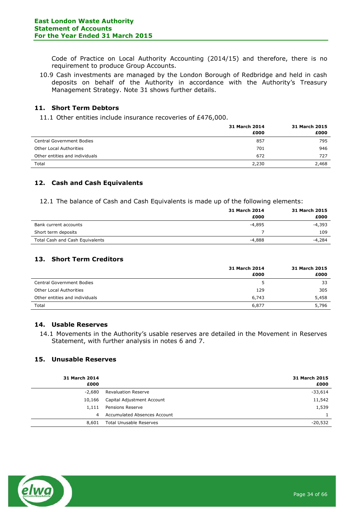Code of Practice on Local Authority Accounting (2014/15) and therefore, there is no requirement to produce Group Accounts.

10.9 Cash investments are managed by the London Borough of Redbridge and held in cash deposits on behalf of the Authority in accordance with the Authority's Treasury Management Strategy. Note 31 shows further details.

# **11. Short Term Debtors**

11.1 Other entities include insurance recoveries of £476,000.

|                                  | 31 March 2014 | <b>31 March 2015</b> |
|----------------------------------|---------------|----------------------|
|                                  | £000          | £000                 |
| <b>Central Government Bodies</b> | 857           | 795                  |
| <b>Other Local Authorities</b>   | 701           | 946                  |
| Other entities and individuals   | 672           | 727                  |
| Total                            | 2,230         | 2,468                |

# **12. Cash and Cash Equivalents**

12.1 The balance of Cash and Cash Equivalents is made up of the following elements:

|                                 | 31 March 2014 | <b>31 March 2015</b> |
|---------------------------------|---------------|----------------------|
|                                 | £000          | £000                 |
| Bank current accounts           | -4,895        | -4,393               |
| Short term deposits             |               | 109                  |
| Total Cash and Cash Equivalents | -4,888        | -4,284               |

# **13. Short Term Creditors**

|                                  | 31 March 2014 | 31 March 2015 |
|----------------------------------|---------------|---------------|
|                                  | £000          | £000          |
| <b>Central Government Bodies</b> | 5.            | 33            |
| <b>Other Local Authorities</b>   | 129           | 305           |
| Other entities and individuals   | 6,743         | 5,458         |
| Total                            | 6,877         | 5,796         |

# **14. Usable Reserves**

14.1 Movements in the Authority's usable reserves are detailed in the Movement in Reserves Statement, with further analysis in notes 6 and 7.

#### **15. Unusable Reserves**

| <b>31 March 2014</b><br>£000 |                                | <b>31 March 2015</b><br>£000 |
|------------------------------|--------------------------------|------------------------------|
| -2,680                       | <b>Revaluation Reserve</b>     | $-33,614$                    |
| 10,166                       | Capital Adjustment Account     | 11,542                       |
| 1,111                        | Pensions Reserve               | 1,539                        |
| 4                            | Accumulated Absences Account   |                              |
| 8,601                        | <b>Total Unusable Reserves</b> | $-20.532$                    |

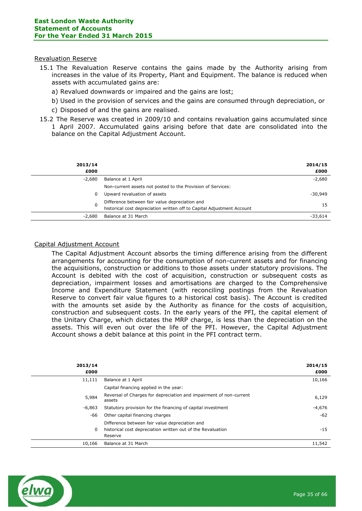#### Revaluation Reserve

- 15.1 The Revaluation Reserve contains the gains made by the Authority arising from increases in the value of its Property, Plant and Equipment. The balance is reduced when assets with accumulated gains are:
	- a) Revalued downwards or impaired and the gains are lost;
	- b) Used in the provision of services and the gains are consumed through depreciation, or
	- c) Disposed of and the gains are realised.
- 15.2 The Reserve was created in 2009/10 and contains revaluation gains accumulated since 1 April 2007. Accumulated gains arising before that date are consolidated into the balance on the Capital Adjustment Account.

| 2013/14<br>£000 |                                                                                                                          | 2014/15<br>£000 |
|-----------------|--------------------------------------------------------------------------------------------------------------------------|-----------------|
| $-2,680$        | Balance at 1 April                                                                                                       | $-2,680$        |
|                 | Non-current assets not posted to the Provision of Services:                                                              |                 |
| 0               | Upward revaluation of assets                                                                                             | $-30.949$       |
| 0               | Difference between fair value depreciation and<br>historical cost depreciation written off to Capital Adjustment Account | 15              |
| $-2.680$        | Balance at 31 March                                                                                                      | $-33.614$       |
|                 |                                                                                                                          |                 |

#### Capital Adjustment Account

The Capital Adjustment Account absorbs the timing difference arising from the different arrangements for accounting for the consumption of non-current assets and for financing the acquisitions, construction or additions to those assets under statutory provisions. The Account is debited with the cost of acquisition, construction or subsequent costs as depreciation, impairment losses and amortisations are charged to the Comprehensive Income and Expenditure Statement (with reconciling postings from the Revaluation Reserve to convert fair value figures to a historical cost basis). The Account is credited with the amounts set aside by the Authority as finance for the costs of acquisition, construction and subsequent costs. In the early years of the PFI, the capital element of the Unitary Charge, which dictates the MRP charge, is less than the depreciation on the assets. This will even out over the life of the PFI. However, the Capital Adjustment Account shows a debit balance at this point in the PFI contract term.

| 2013/14<br>£000 |                                                                                                                          | 2014/15<br>£000 |
|-----------------|--------------------------------------------------------------------------------------------------------------------------|-----------------|
| 11,111          | Balance at 1 April                                                                                                       | 10,166          |
|                 | Capital financing applied in the year:                                                                                   |                 |
| 5,984           | Reversal of Charges for depreciation and impairment of non-current<br>assets                                             | 6,129           |
| $-6,863$        | Statutory provision for the financing of capital investment                                                              | $-4,676$        |
| -66             | Other capital financing charges                                                                                          | $-62$           |
| 0               | Difference between fair value depreciation and<br>historical cost depreciation written out of the Revaluation<br>Reserve | $-15$           |
| 10,166          | Balance at 31 March                                                                                                      | 11,542          |

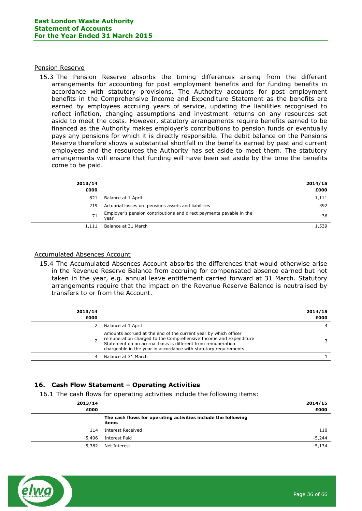#### Pension Reserve

15.3 The Pension Reserve absorbs the timing differences arising from the different arrangements for accounting for post employment benefits and for funding benefits in accordance with statutory provisions. The Authority accounts for post employment benefits in the Comprehensive Income and Expenditure Statement as the benefits are earned by employees accruing years of service, updating the liabilities recognised to reflect inflation, changing assumptions and investment returns on any resources set aside to meet the costs. However, statutory arrangements require benefits earned to be financed as the Authority makes employer's contributions to pension funds or eventually pays any pensions for which it is directly responsible. The debit balance on the Pensions Reserve therefore shows a substantial shortfall in the benefits earned by past and current employees and the resources the Authority has set aside to meet them. The statutory arrangements will ensure that funding will have been set aside by the time the benefits come to be paid.

| 2013/14<br>£000 |                                                                             | 2014/15<br>£000 |
|-----------------|-----------------------------------------------------------------------------|-----------------|
| 821             | Balance at 1 April                                                          | 1,111           |
| 219             | Actuarial losses on pensions assets and liabilities                         | 392             |
| 71              | Employer's pension contributions and direct payments payable in the<br>vear | 36              |
| 1,111           | Balance at 31 March                                                         | 1,539           |
|                 |                                                                             |                 |

#### Accumulated Absences Account

15.4 The Accumulated Absences Account absorbs the differences that would otherwise arise in the Revenue Reserve Balance from accruing for compensated absence earned but not taken in the year, e.g. annual leave entitlement carried forward at 31 March. Statutory arrangements require that the impact on the Revenue Reserve Balance is neutralised by transfers to or from the Account.

| 2013/14<br>£000 |                                                                                                                                                                                                                                                                         | 2014/15<br>£000 |
|-----------------|-------------------------------------------------------------------------------------------------------------------------------------------------------------------------------------------------------------------------------------------------------------------------|-----------------|
|                 | Balance at 1 April                                                                                                                                                                                                                                                      |                 |
|                 | Amounts accrued at the end of the current year by which officer<br>remuneration charged to the Comprehensive Income and Expenditure<br>Statement on an accrual basis is different from remuneration<br>chargeable in the year in accordance with statutory requirements | -3              |
|                 | Balance at 31 March                                                                                                                                                                                                                                                     |                 |
|                 |                                                                                                                                                                                                                                                                         |                 |

# **16. Cash Flow Statement – Operating Activities**

16.1 The cash flows for operating activities include the following items:

|                                                                        | 2014/15<br>£000 |
|------------------------------------------------------------------------|-----------------|
| The cash flows for operating activities include the following<br>items |                 |
| <b>Interest Received</b>                                               | 110             |
| Interest Paid                                                          | $-5,244$        |
| Net Interest                                                           | -5,134          |
|                                                                        |                 |

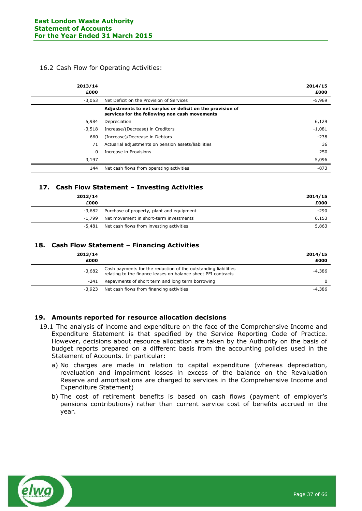# 16.2 Cash Flow for Operating Activities:

| 2013/14<br>£000 |                                                                                                            | 2014/15<br>£000 |
|-----------------|------------------------------------------------------------------------------------------------------------|-----------------|
| $-3,053$        | Net Deficit on the Provision of Services                                                                   | $-5,969$        |
|                 | Adjustments to net surplus or deficit on the provision of<br>services for the following non cash movements |                 |
| 5,984           | Depreciation                                                                                               | 6,129           |
| $-3.518$        | Increase/(Decrease) in Creditors                                                                           | $-1,081$        |
| 660             | (Increase)/Decrease in Debtors                                                                             | $-238$          |
| 71              | Actuarial adjustments on pension assets/liabilities                                                        | 36              |
| 0               | Increase in Provisions                                                                                     | 250             |
| 3,197           |                                                                                                            | 5,096           |
| 144             | Net cash flows from operating activities                                                                   | $-873$          |

# **17. Cash Flow Statement – Investing Activities**

| 2013/14<br>£000 |                                           | 2014/15<br>£000 |
|-----------------|-------------------------------------------|-----------------|
| -3,682          | Purchase of property, plant and equipment | $-290$          |
| -1.799          | Net movement in short-term investments    | 6,153           |
| -5.481          | Net cash flows from investing activities  | 5,863           |

# **18. Cash Flow Statement – Financing Activities**

| 2013/14<br>£000 |                                                                                                                                 | 2014/15<br>£000 |
|-----------------|---------------------------------------------------------------------------------------------------------------------------------|-----------------|
| $-3,682$        | Cash payments for the reduction of the outstanding liabilities<br>relating to the finance leases on balance sheet PFI contracts | -4,386          |
| $-241$          | Repayments of short term and long term borrowing                                                                                | 0               |
| -3,923          | Net cash flows from financing activities                                                                                        | -4,386          |

# **19. Amounts reported for resource allocation decisions**

- 19.1 The analysis of income and expenditure on the face of the Comprehensive Income and Expenditure Statement is that specified by the Service Reporting Code of Practice. However, decisions about resource allocation are taken by the Authority on the basis of budget reports prepared on a different basis from the accounting policies used in the Statement of Accounts. In particular:
	- a) No charges are made in relation to capital expenditure (whereas depreciation, revaluation and impairment losses in excess of the balance on the Revaluation Reserve and amortisations are charged to services in the Comprehensive Income and Expenditure Statement)
	- b) The cost of retirement benefits is based on cash flows (payment of employer's pensions contributions) rather than current service cost of benefits accrued in the year.

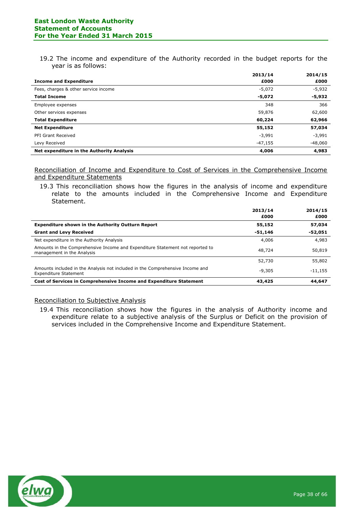19.2 The income and expenditure of the Authority recorded in the budget reports for the year is as follows:

|                                           | 2013/14   | 2014/15   |
|-------------------------------------------|-----------|-----------|
| <b>Income and Expenditure</b>             | £000      | £000      |
| Fees, charges & other service income      | $-5,072$  | $-5,932$  |
| <b>Total Income</b>                       | $-5,072$  | -5,932    |
| Employee expenses                         | 348       | 366       |
| Other services expenses                   | 59,876    | 62,600    |
| <b>Total Expenditure</b>                  | 60,224    | 62,966    |
| <b>Net Expenditure</b>                    | 55,152    | 57,034    |
| PFI Grant Received                        | $-3,991$  | $-3,991$  |
| Levy Received                             | $-47,155$ | $-48,060$ |
| Net expenditure in the Authority Analysis | 4,006     | 4,983     |

Reconciliation of Income and Expenditure to Cost of Services in the Comprehensive Income and Expenditure Statements

19.3 This reconciliation shows how the figures in the analysis of income and expenditure relate to the amounts included in the Comprehensive Income and Expenditure Statement.

|                                                                                                             | 2013/14<br>£000 | 2014/15<br>£000 |
|-------------------------------------------------------------------------------------------------------------|-----------------|-----------------|
| <b>Expenditure shown in the Authority Outturn Report</b>                                                    | 55,152          | 57,034          |
| <b>Grant and Levy Received</b>                                                                              | -51,146         | -52,051         |
| Net expenditure in the Authority Analysis                                                                   | 4,006           | 4,983           |
| Amounts in the Comprehensive Income and Expenditure Statement not reported to<br>management in the Analysis | 48,724          | 50,819          |
|                                                                                                             | 52,730          | 55,802          |
| Amounts included in the Analysis not included in the Comprehensive Income and<br>Expenditure Statement      | $-9.305$        | $-11,155$       |
| Cost of Services in Comprehensive Income and Expenditure Statement                                          | 43,425          | 44,647          |

# Reconciliation to Subjective Analysis

19.4 This reconciliation shows how the figures in the analysis of Authority income and expenditure relate to a subjective analysis of the Surplus or Deficit on the provision of services included in the Comprehensive Income and Expenditure Statement.

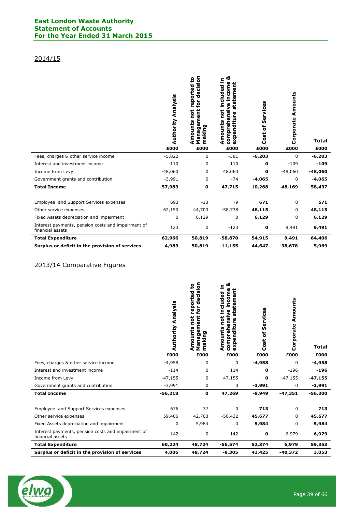# **East London Waste Authority Statement of Accounts For the Year Ended 31 March 2015**

# 2014/15

|                                                                        | Analysis<br>Authority<br>£000 | sion<br>ន<br>reported<br>ت<br>0<br>ℸ<br>for<br>not<br>ä<br>Amounts<br>$\mathbf{v}$<br>laking<br>Nanag<br>Ε<br>£000 | య<br><u>ء</u><br>income<br>ā<br>included<br>tem<br>eta<br>ensive<br>not<br>enditure<br>Amounts<br>compreh<br>Ō.<br>ΣŠ<br>£000 | Services<br>Ⴆ<br>Cost<br>£000 | Amounts<br>Corporate<br>£000 | <b>Total</b><br>£000 |
|------------------------------------------------------------------------|-------------------------------|--------------------------------------------------------------------------------------------------------------------|-------------------------------------------------------------------------------------------------------------------------------|-------------------------------|------------------------------|----------------------|
| Fees, charges & other service income                                   | $-5,822$                      | 0                                                                                                                  | $-381$                                                                                                                        | $-6,203$                      | 0                            | $-6,203$             |
| Interest and investment income                                         | $-110$                        | 0                                                                                                                  | 110                                                                                                                           | 0                             | $-109$                       | $-109$               |
| Income from Levy                                                       | $-48,060$                     | 0                                                                                                                  | 48,060                                                                                                                        | 0                             | $-48,060$                    | $-48,060$            |
| Government grants and contribution                                     | $-3,991$                      | 0                                                                                                                  | $-74$                                                                                                                         | $-4,065$                      | 0                            | $-4,065$             |
| <b>Total Income</b>                                                    | $-57,983$                     | $\mathbf 0$                                                                                                        | 47,715                                                                                                                        | $-10,268$                     | $-48,169$                    | $-58,437$            |
| Employee and Support Services expenses                                 | 693                           | $-13$                                                                                                              | $-9$                                                                                                                          | 671                           | 0                            | 671                  |
| Other service expenses                                                 | 62,150                        | 44,703                                                                                                             | $-58,738$                                                                                                                     | 48,115                        | 0                            | 48,115               |
| Fixed Assets depreciation and impairment                               | 0                             | 6,129                                                                                                              | 0                                                                                                                             | 6,129                         | 0                            | 6,129                |
| Interest payments, pension costs and impairment of<br>financial assets | 123                           | 0                                                                                                                  | $-123$                                                                                                                        | 0                             | 9,491                        | 9,491                |
| <b>Total Expenditure</b>                                               | 62,966                        | 50,819                                                                                                             | $-58,870$                                                                                                                     | 54,915                        | 9,491                        | 64,406               |
| Surplus or deficit in the provision of services                        | 4,983                         | 50,819                                                                                                             | $-11,155$                                                                                                                     | 44,647                        | $-38,678$                    | 5,969                |

# 2013/14 Comparative Figures

|                                                                        | Authority Analysis<br>£000 | decision<br>£<br>reported<br>for<br>Management<br>not<br>Amounts<br>making<br>£000 | య<br>not included in<br>income<br>tement<br>£<br>comprehensive<br>ū<br>expenditure<br>Amounts<br>£000 | Services<br>ð<br>Cost<br>£000 | Amounts<br>Corporate<br>£000 | <b>Total</b><br>£000 |
|------------------------------------------------------------------------|----------------------------|------------------------------------------------------------------------------------|-------------------------------------------------------------------------------------------------------|-------------------------------|------------------------------|----------------------|
| Fees, charges & other service income                                   | $-4,958$                   | 0                                                                                  | $\mathbf 0$                                                                                           | $-4,958$                      | $\mathbf 0$                  | $-4,958$             |
| Interest and investment income                                         | $-114$                     | 0                                                                                  | 114                                                                                                   | 0                             | $-196$                       | $-196$               |
| Income from Levy                                                       | $-47,155$                  | 0                                                                                  | 47,155                                                                                                | 0                             | $-47,155$                    | $-47,155$            |
| Government grants and contribution                                     | $-3,991$                   | 0                                                                                  | 0                                                                                                     | -3,991                        | 0                            | $-3,991$             |
| <b>Total Income</b>                                                    | $-56,218$                  | $\mathbf 0$                                                                        | 47,269                                                                                                | $-8,949$                      | $-47,351$                    | $-56,300$            |
| Employee and Support Services expenses                                 | 676                        | 37                                                                                 | 0                                                                                                     | 713                           | 0                            | 713                  |
| Other service expenses                                                 | 59,406                     | 42,703                                                                             | -56,432                                                                                               | 45,677                        | 0                            | 45,677               |
| Fixed Assets depreciation and impairment                               | 0                          | 5,984                                                                              | $\mathbf 0$                                                                                           | 5,984                         | 0                            | 5,984                |
| Interest payments, pension costs and impairment of<br>financial assets | 142                        | 0                                                                                  | $-142$                                                                                                | 0                             | 6,979                        | 6,979                |
| <b>Total Expenditure</b>                                               | 60,224                     | 48,724                                                                             | $-56,574$                                                                                             | 52,374                        | 6,979                        | 59,353               |
| Surplus or deficit in the provision of services                        | 4,006                      | 48,724                                                                             | $-9,305$                                                                                              | 43,425                        | $-40,372$                    | 3,053                |

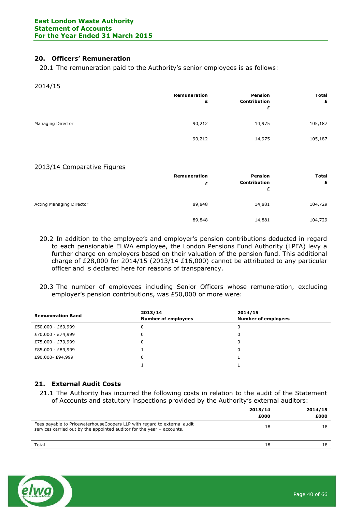# **20. Officers' Remuneration**

20.1 The remuneration paid to the Authority's senior employees is as follows:

#### 2014/15

|                   | Remuneration<br>£ | Pension<br><b>Contribution</b><br>£ | <b>Total</b><br>£ |
|-------------------|-------------------|-------------------------------------|-------------------|
| Managing Director | 90,212            | 14,975                              | 105,187           |
|                   | 90,212            | 14,975                              | 105,187           |
|                   |                   |                                     |                   |

# 2013/14 Comparative Figures

|                          | Remuneration<br>£ | Pension<br>Contribution<br>£ | <b>Total</b><br>£ |
|--------------------------|-------------------|------------------------------|-------------------|
| Acting Managing Director | 89,848            | 14,881                       | 104,729           |
|                          | 89,848            | 14,881                       | 104,729           |

- 20.2 In addition to the employee's and employer's pension contributions deducted in regard to each pensionable ELWA employee, the London Pensions Fund Authority (LPFA) levy a further charge on employers based on their valuation of the pension fund. This additional charge of £28,000 for 2014/15 (2013/14 £16,000) cannot be attributed to any particular officer and is declared here for reasons of transparency.
- 20.3 The number of employees including Senior Officers whose remuneration, excluding employer's pension contributions, was £50,000 or more were:

| <b>Remuneration Band</b> | 2013/14<br><b>Number of employees</b> | 2014/15<br><b>Number of employees</b> |
|--------------------------|---------------------------------------|---------------------------------------|
| £50,000 - £69,999        |                                       | 0                                     |
| £70,000 - £74,999        |                                       | 0                                     |
| £75,000 - £79,999        |                                       | 0                                     |
| £85,000 - £89,999        |                                       | 0                                     |
| £90,000-£94,999          |                                       |                                       |
|                          |                                       |                                       |

# **21. External Audit Costs**

21.1 The Authority has incurred the following costs in relation to the audit of the Statement of Accounts and statutory inspections provided by the Authority's external auditors:

|                                                                                                                                                    | 2013/14<br>£000 | 2014/15<br>£000 |
|----------------------------------------------------------------------------------------------------------------------------------------------------|-----------------|-----------------|
| Fees payable to PricewaterhouseCoopers LLP with regard to external audit<br>services carried out by the appointed auditor for the year - accounts. | 18              | 18              |
| Total                                                                                                                                              | 18              | 18              |

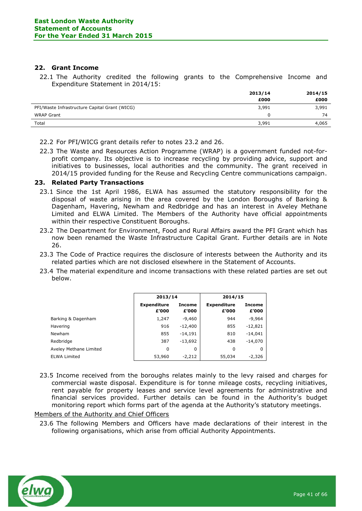# **22. Grant Income**

22.1 The Authority credited the following grants to the Comprehensive Income and Expenditure Statement in 2014/15:

|                                               | 2013/14 | 2014/15 |
|-----------------------------------------------|---------|---------|
|                                               | £000    | £000    |
| PFI/Waste Infrastructure Capital Grant (WICG) | 3,991   | 3,991   |
| <b>WRAP Grant</b>                             |         | 74      |
| Total                                         | 3,991   | 4,065   |

22.2 For PFI/WICG grant details refer to notes 23.2 and 26.

22.3 The Waste and Resources Action Programme (WRAP) is a government funded not-forprofit company. Its objective is to increase recycling by providing advice, support and initiatives to businesses, local authorities and the community. The grant received in 2014/15 provided funding for the Reuse and Recycling Centre communications campaign.

# **23. Related Party Transactions**

- 23.1 Since the 1st April 1986, ELWA has assumed the statutory responsibility for the disposal of waste arising in the area covered by the London Boroughs of Barking & Dagenham, Havering, Newham and Redbridge and has an interest in Aveley Methane Limited and ELWA Limited. The Members of the Authority have official appointments within their respective Constituent Boroughs.
- 23.2 The Department for Environment, Food and Rural Affairs award the PFI Grant which has now been renamed the Waste Infrastructure Capital Grant. Further details are in Note 26.
- 23.3 The Code of Practice requires the disclosure of interests between the Authority and its related parties which are not disclosed elsewhere in the Statement of Accounts.
- 23.4 The material expenditure and income transactions with these related parties are set out below.

|                        | 2013/14                     |                        | 2014/15                     |                        |
|------------------------|-----------------------------|------------------------|-----------------------------|------------------------|
|                        | <b>Expenditure</b><br>£'000 | <b>Income</b><br>£'000 | <b>Expenditure</b><br>£'000 | <b>Income</b><br>£'000 |
| Barking & Dagenham     | 1,247                       | $-9,460$               | 944                         | $-9,964$               |
| Havering               | 916                         | $-12,400$              | 855                         | $-12,821$              |
| <b>Newham</b>          | 855                         | $-14.191$              | 810                         | $-14,041$              |
| Redbridge              | 387                         | $-13,692$              | 438                         | $-14,070$              |
| Aveley Methane Limited | 0                           | 0                      | 0                           | 0                      |
| <b>ELWA Limited</b>    | 53,960                      | $-2,212$               | 55,034                      | $-2,326$               |

23.5 Income received from the boroughs relates mainly to the levy raised and charges for commercial waste disposal. Expenditure is for tonne mileage costs, recycling initiatives, rent payable for property leases and service level agreements for administrative and financial services provided. Further details can be found in the Authority's budget monitoring report which forms part of the agenda at the Authority's statutory meetings.

# Members of the Authority and Chief Officers

23.6 The following Members and Officers have made declarations of their interest in the following organisations, which arise from official Authority Appointments.

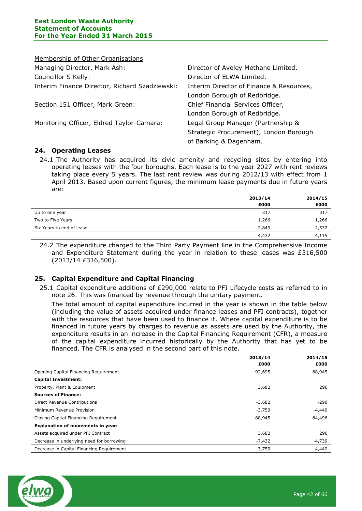| Membership of Other Organisations              |                                          |
|------------------------------------------------|------------------------------------------|
| Managing Director, Mark Ash:                   | Director of Aveley Methane Limited.      |
| Councillor S Kelly:                            | Director of ELWA Limited.                |
| Interim Finance Director, Richard Szadziewski: | Interim Director of Finance & Resources, |
|                                                | London Borough of Redbridge.             |
| Section 151 Officer, Mark Green:               | Chief Financial Services Officer,        |
|                                                | London Borough of Redbridge.             |
| Monitoring Officer, Eldred Taylor-Camara:      | Legal Group Manager (Partnership &       |
|                                                | Strategic Procurement), London Borough   |
|                                                | of Barking & Dagenham.                   |

# **24. Operating Leases**

24.1 The Authority has acquired its civic amenity and recycling sites by entering into operating leases with the four boroughs. Each lease is to the year 2027 with rent reviews taking place every 5 years. The last rent review was during 2012/13 with effect from 1 April 2013. Based upon current figures, the minimum lease payments due in future years are:

|                           | 2013/14 | 2014/15 |  |
|---------------------------|---------|---------|--|
|                           | £000    | £000    |  |
| Up to one year            | 317     | 317     |  |
| Two to Five Years         | 1,266   | 1,266   |  |
| Six Years to end of lease | 2,849   | 2,532   |  |
|                           | 4,432   | 4,115   |  |

24.2 The expenditure charged to the Third Party Payment line in the Comprehensive Income and Expenditure Statement during the year in relation to these leases was £316,500 (2013/14 £316,500).

# **25. Capital Expenditure and Capital Financing**

25.1 Capital expenditure additions of £290,000 relate to PFI Lifecycle costs as referred to in note 26. This was financed by revenue through the unitary payment.

The total amount of capital expenditure incurred in the year is shown in the table below (including the value of assets acquired under finance leases and PFI contracts), together with the resources that have been used to finance it. Where capital expenditure is to be financed in future years by charges to revenue as assets are used by the Authority, the expenditure results in an increase in the Capital Financing Requirement (CFR), a measure of the capital expenditure incurred historically by the Authority that has yet to be financed. The CFR is analysed in the second part of this note.

|                                           | 2013/14  | 2014/15  |
|-------------------------------------------|----------|----------|
|                                           | £000     | £000     |
| Opening Capital Financing Requirement     | 92,695   | 88,945   |
| <b>Capital Investment:</b>                |          |          |
| Property, Plant & Equipment               | 3,682    | 290      |
| <b>Sources of Finance:</b>                |          |          |
| Direct Revenue Contributions              | $-3,682$ | -290     |
| Minimum Revenue Provision                 | $-3,750$ | -4,449   |
| Closing Capital Financing Requirement     | 88,945   | 84,496   |
| <b>Explanation of movements in year:</b>  |          |          |
| Assets acquired under PFI Contract        | 3,682    | 290      |
| Decrease in underlying need for borrowing | $-7,432$ | $-4,739$ |
| Decrease in Capital Financing Requirement | $-3,750$ | $-4,449$ |

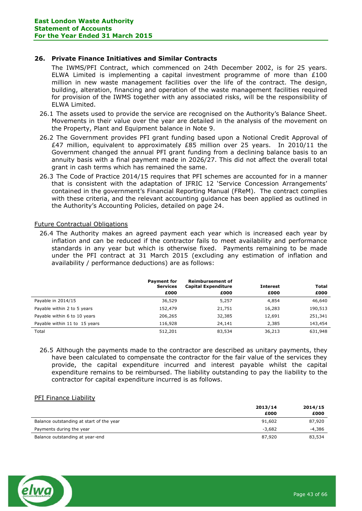# **26. Private Finance Initiatives and Similar Contracts**

The IWMS/PFI Contract, which commenced on 24th December 2002, is for 25 years. ELWA Limited is implementing a capital investment programme of more than £100 million in new waste management facilities over the life of the contract. The design, building, alteration, financing and operation of the waste management facilities required for provision of the IWMS together with any associated risks, will be the responsibility of ELWA Limited.

- 26.1 The assets used to provide the service are recognised on the Authority's Balance Sheet. Movements in their value over the year are detailed in the analysis of the movement on the Property, Plant and Equipment balance in Note 9.
- 26.2 The Government provides PFI grant funding based upon a Notional Credit Approval of £47 million, equivalent to approximately £85 million over 25 years. In 2010/11 the Government changed the annual PFI grant funding from a declining balance basis to an annuity basis with a final payment made in 2026/27. This did not affect the overall total grant in cash terms which has remained the same.
- 26.3 The Code of Practice 2014/15 requires that PFI schemes are accounted for in a manner that is consistent with the adaptation of IFRIC 12 'Service Concession Arrangements' contained in the government's Financial Reporting Manual (FReM). The contract complies with these criteria, and the relevant accounting guidance has been applied as outlined in the Authority's Accounting Policies, detailed on page 24.

# Future Contractual Obligations

26.4 The Authority makes an agreed payment each year which is increased each year by inflation and can be reduced if the contractor fails to meet availability and performance standards in any year but which is otherwise fixed. Payments remaining to be made under the PFI contract at 31 March 2015 (excluding any estimation of inflation and availability / performance deductions) are as follows:

|                               | <b>Payment for</b><br><b>Services</b> | <b>Reimbursement of</b><br><b>Capital Expenditure</b> | <b>Interest</b> | <b>Total</b> |
|-------------------------------|---------------------------------------|-------------------------------------------------------|-----------------|--------------|
|                               | £000                                  | £000                                                  | £000            | £000         |
| Payable in 2014/15            | 36,529                                | 5,257                                                 | 4,854           | 46,640       |
| Payable within 2 to 5 years   | 152,479                               | 21,751                                                | 16,283          | 190,513      |
| Payable within 6 to 10 years  | 206,265                               | 32,385                                                | 12,691          | 251,341      |
| Payable within 11 to 15 years | 116,928                               | 24,141                                                | 2,385           | 143,454      |
| Total                         | 512,201                               | 83,534                                                | 36,213          | 631,948      |

26.5 Although the payments made to the contractor are described as unitary payments, they have been calculated to compensate the contractor for the fair value of the services they provide, the capital expenditure incurred and interest payable whilst the capital expenditure remains to be reimbursed. The liability outstanding to pay the liability to the contractor for capital expenditure incurred is as follows.

# PFI Finance Liability

|                                          | 2013/14  | 2014/15  |
|------------------------------------------|----------|----------|
|                                          | £000     | £000     |
| Balance outstanding at start of the year | 91,602   | 87,920   |
| Payments during the year                 | $-3.682$ | $-4.386$ |
| Balance outstanding at year-end          | 87,920   | 83,534   |

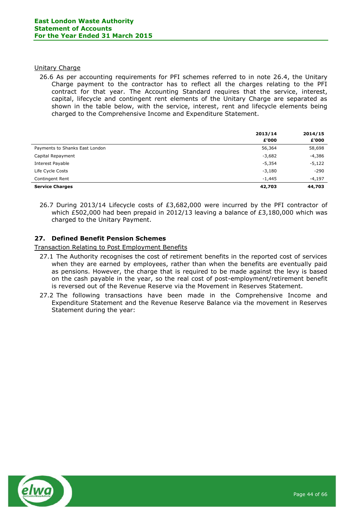#### Unitary Charge

26.6 As per accounting requirements for PFI schemes referred to in note 26.4, the Unitary Charge payment to the contractor has to reflect all the charges relating to the PFI contract for that year. The Accounting Standard requires that the service, interest, capital, lifecycle and contingent rent elements of the Unitary Charge are separated as shown in the table below, with the service, interest, rent and lifecycle elements being charged to the Comprehensive Income and Expenditure Statement.

|                                | 2013/14  | 2014/15  |
|--------------------------------|----------|----------|
|                                | £'000    | £'000    |
| Payments to Shanks East London | 56,364   | 58,698   |
| Capital Repayment              | $-3,682$ | -4,386   |
| Interest Payable               | $-5,354$ | $-5,122$ |
| Life Cycle Costs               | $-3,180$ | $-290$   |
| Contingent Rent                | $-1,445$ | $-4,197$ |
| <b>Service Charges</b>         | 42,703   | 44,703   |

26.7 During 2013/14 Lifecycle costs of £3,682,000 were incurred by the PFI contractor of which £502,000 had been prepaid in 2012/13 leaving a balance of £3,180,000 which was charged to the Unitary Payment.

# **27. Defined Benefit Pension Schemes**

Transaction Relating to Post Employment Benefits

- 27.1 The Authority recognises the cost of retirement benefits in the reported cost of services when they are earned by employees, rather than when the benefits are eventually paid as pensions. However, the charge that is required to be made against the levy is based on the cash payable in the year, so the real cost of post-employment/retirement benefit is reversed out of the Revenue Reserve via the Movement in Reserves Statement.
- 27.2 The following transactions have been made in the Comprehensive Income and Expenditure Statement and the Revenue Reserve Balance via the movement in Reserves Statement during the year:

![](_page_43_Picture_9.jpeg)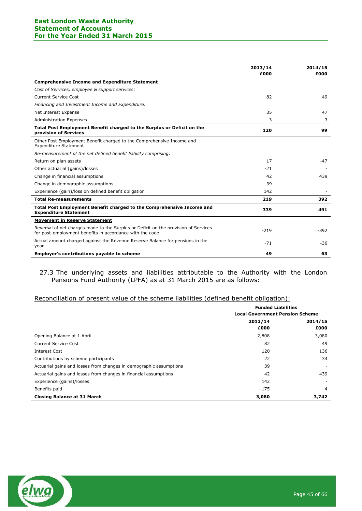#### **East London Waste Authority Statement of Accounts For the Year Ended 31 March 2015**

|                                                                                                                                                 | 2013/14<br>£000 | 2014/15<br>£000 |
|-------------------------------------------------------------------------------------------------------------------------------------------------|-----------------|-----------------|
| <b>Comprehensive Income and Expenditure Statement</b>                                                                                           |                 |                 |
| Cost of Services, employee & support services:                                                                                                  |                 |                 |
| <b>Current Service Cost</b>                                                                                                                     | 82              | 49              |
| Financing and Investment Income and Expenditure:                                                                                                |                 |                 |
| Net Interest Expense                                                                                                                            | 35              | 47              |
| <b>Administration Expenses</b>                                                                                                                  | 3               | 3               |
| Total Post Employment Benefit charged to the Surplus or Deficit on the<br>provision of Services                                                 | 120             | 99              |
| Other Post Employment Benefit charged to the Comprehensive Income and<br><b>Expenditure Statement</b>                                           |                 |                 |
| Re-measurement of the net defined benefit liability comprising:                                                                                 |                 |                 |
| Return on plan assets                                                                                                                           | 17              | $-47$           |
| Other actuarial (gains)/losses                                                                                                                  | $-21$           |                 |
| Change in financial assumptions                                                                                                                 | 42              | 439             |
| Change in demographic assumptions                                                                                                               | 39              |                 |
| Experience (gain)/loss on defined benefit obligation                                                                                            | 142             |                 |
| <b>Total Re-measurements</b>                                                                                                                    | 219             | 392             |
| Total Post Employment Benefit charged to the Comprehensive Income and<br><b>Expenditure Statement</b>                                           | 339             | 491             |
| <b>Movement in Reserve Statement</b>                                                                                                            |                 |                 |
| Reversal of net charges made to the Surplus or Deficit on the provision of Services<br>for post-employment benefits in accordance with the code | $-219$          | $-392$          |
| Actual amount charged against the Revenue Reserve Balance for pensions in the<br>year                                                           | $-71$           | $-36$           |
| Employer's contributions payable to scheme                                                                                                      | 49              | 63              |

# 27.3 The underlying assets and liabilities attributable to the Authority with the London Pensions Fund Authority (LPFA) as at 31 March 2015 are as follows:

# Reconciliation of present value of the scheme liabilities (defined benefit obligation):

|                                                                    | <b>Funded Liabilities</b><br><b>Local Government Pension Scheme</b> |         |  |
|--------------------------------------------------------------------|---------------------------------------------------------------------|---------|--|
|                                                                    | 2013/14                                                             | 2014/15 |  |
|                                                                    | £000                                                                | £000    |  |
| Opening Balance at 1 April                                         | 2,808                                                               | 3,080   |  |
| Current Service Cost                                               | 82                                                                  | 49      |  |
| Interest Cost                                                      | 120                                                                 | 136     |  |
| Contributions by scheme participants                               | 22                                                                  | 34      |  |
| Actuarial gains and losses from changes in demographic assumptions | 39                                                                  |         |  |
| Actuarial gains and losses from changes in financial assumptions   | 42                                                                  | 439     |  |
| Experience (gains)/losses                                          | 142                                                                 |         |  |
| Benefits paid                                                      | $-175$                                                              | 4       |  |
| <b>Closing Balance at 31 March</b>                                 | 3,080                                                               | 3,742   |  |

![](_page_44_Picture_5.jpeg)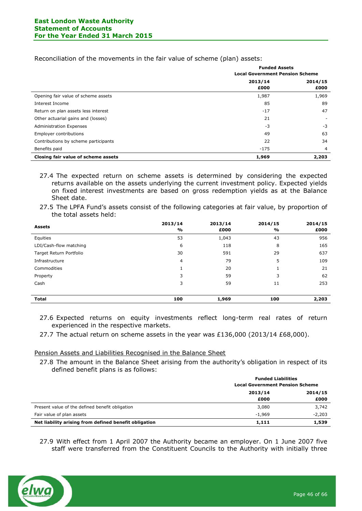Reconciliation of the movements in the fair value of scheme (plan) assets:

|                                      | <b>Funded Assets</b><br><b>Local Government Pension Scheme</b> |         |  |
|--------------------------------------|----------------------------------------------------------------|---------|--|
|                                      |                                                                |         |  |
|                                      | 2013/14                                                        | 2014/15 |  |
|                                      | £000                                                           | £000    |  |
| Opening fair value of scheme assets  | 1,987                                                          | 1,969   |  |
| Interest Income                      | 85                                                             | 89      |  |
| Return on plan assets less interest  | $-17$                                                          | 47      |  |
| Other actuarial gains and (losses)   | 21                                                             |         |  |
| <b>Administration Expenses</b>       | $-3$                                                           | $-3$    |  |
| <b>Employer contributions</b>        | 49                                                             | 63      |  |
| Contributions by scheme participants | 22                                                             | 34      |  |
| Benefits paid                        | $-175$                                                         | 4       |  |
| Closing fair value of scheme assets  | 1,969                                                          | 2,203   |  |

27.4 The expected return on scheme assets is determined by considering the expected returns available on the assets underlying the current investment policy. Expected yields on fixed interest investments are based on gross redemption yields as at the Balance Sheet date.

27.5 The LPFA Fund's assets consist of the following categories at fair value, by proportion of the total assets held:

| <b>Assets</b>           | 2013/14<br>% | 2013/14<br>£000 | 2014/15<br>% | 2014/15<br>£000 |
|-------------------------|--------------|-----------------|--------------|-----------------|
| Equities                | 53           | 1,043           | 43           | 956             |
| LDI/Cash-flow matching  | 6            | 118             | 8            | 165             |
| Target Return Portfolio | 30           | 591             | 29           | 637             |
| Infrastructure          | 4            | 79              | 5            | 109             |
| Commodities             |              | 20              |              | 21              |
| Property                | 3            | 59              | 3            | 62              |
| Cash                    | 3            | 59              | 11           | 253             |
|                         |              |                 |              |                 |
| <b>Total</b>            | 100          | 1,969           | 100          | 2,203           |

- 27.6 Expected returns on equity investments reflect long-term real rates of return experienced in the respective markets.
- 27.7 The actual return on scheme assets in the year was £136,000 (2013/14 £68,000).

Pension Assets and Liabilities Recognised in the Balance Sheet

27.8 The amount in the Balance Sheet arising from the authority's obligation in respect of its defined benefit plans is as follows:

|                                                       | <b>Funded Liabilities</b>              |          |  |
|-------------------------------------------------------|----------------------------------------|----------|--|
|                                                       | <b>Local Government Pension Scheme</b> |          |  |
|                                                       | 2013/14                                | 2014/15  |  |
|                                                       | £000                                   | £000     |  |
| Present value of the defined benefit obligation       | 3,080                                  | 3,742    |  |
| Fair value of plan assets                             | $-1.969$                               | $-2.203$ |  |
| Net liability arising from defined benefit obligation | 1,111                                  | 1,539    |  |

27.9 With effect from 1 April 2007 the Authority became an employer. On 1 June 2007 five staff were transferred from the Constituent Councils to the Authority with initially three

![](_page_45_Picture_12.jpeg)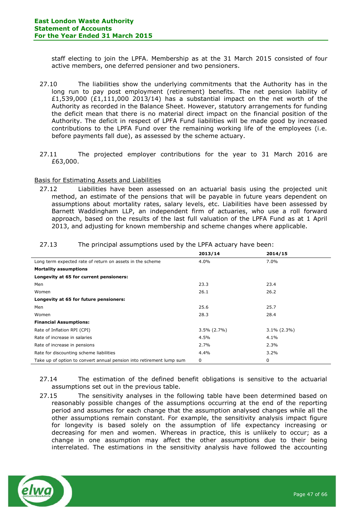staff electing to join the LPFA. Membership as at the 31 March 2015 consisted of four active members, one deferred pensioner and two pensioners.

- 27.10 The liabilities show the underlying commitments that the Authority has in the long run to pay post employment (retirement) benefits. The net pension liability of £1,539,000 (£1,111,000 2013/14) has a substantial impact on the net worth of the Authority as recorded in the Balance Sheet. However, statutory arrangements for funding the deficit mean that there is no material direct impact on the financial position of the Authority. The deficit in respect of LPFA Fund liabilities will be made good by increased contributions to the LPFA Fund over the remaining working life of the employees (i.e. before payments fall due), as assessed by the scheme actuary.
- 27.11 The projected employer contributions for the year to 31 March 2016 are £63,000.

# Basis for Estimating Assets and Liabilities

27.12 Liabilities have been assessed on an actuarial basis using the projected unit method, an estimate of the pensions that will be payable in future years dependent on assumptions about mortality rates, salary levels, etc. Liabilities have been assessed by Barnett Waddingham LLP, an independent firm of actuaries, who use a roll forward approach, based on the results of the last full valuation of the LPFA Fund as at 1 April 2013, and adjusting for known membership and scheme changes where applicable.

| 27.13 |  | The principal assumptions used by the LPFA actuary have been: |  |  |  |
|-------|--|---------------------------------------------------------------|--|--|--|
|-------|--|---------------------------------------------------------------|--|--|--|

|                                                                      | 2013/14        | 2014/15        |
|----------------------------------------------------------------------|----------------|----------------|
| Long term expected rate of return on assets in the scheme            | $4.0\%$        | 7.0%           |
| <b>Mortality assumptions</b>                                         |                |                |
| Longevity at 65 for current pensioners:                              |                |                |
| Men                                                                  | 23.3           | 23.4           |
| Women                                                                | 26.1           | 26.2           |
| Longevity at 65 for future pensioners:                               |                |                |
| Men                                                                  | 25.6           | 25.7           |
| Women                                                                | 28.3           | 28.4           |
| <b>Financial Assumptions:</b>                                        |                |                |
| Rate of Inflation RPI (CPI)                                          | $3.5\%$ (2.7%) | $3.1\%$ (2.3%) |
| Rate of increase in salaries                                         | 4.5%           | 4.1%           |
| Rate of increase in pensions                                         | 2.7%           | 2.3%           |
| Rate for discounting scheme liabilities                              | 4.4%           | 3.2%           |
| Take up of option to convert annual pension into retirement lump sum | 0              | 0              |

27.14 The estimation of the defined benefit obligations is sensitive to the actuarial assumptions set out in the previous table.

27.15 The sensitivity analyses in the following table have been determined based on reasonably possible changes of the assumptions occurring at the end of the reporting period and assumes for each change that the assumption analysed changes while all the other assumptions remain constant. For example, the sensitivity analysis impact figure for longevity is based solely on the assumption of life expectancy increasing or decreasing for men and women. Whereas in practice, this is unlikely to occur; as a change in one assumption may affect the other assumptions due to their being interrelated. The estimations in the sensitivity analysis have followed the accounting

![](_page_46_Picture_10.jpeg)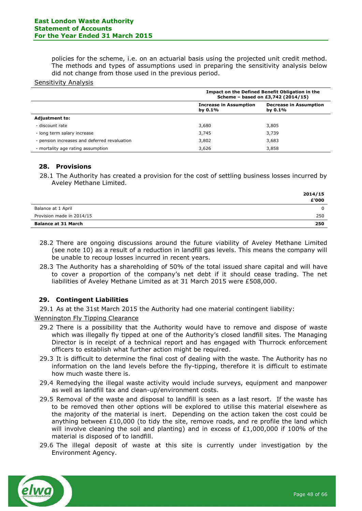policies for the scheme, i.e. on an actuarial basis using the projected unit credit method. The methods and types of assumptions used in preparing the sensitivity analysis below did not change from those used in the previous period.

#### Sensitivity Analysis

|                                              | Impact on the Defined Benefit Obligation in the<br>Scheme - based on £3,742 (2014/15) |                                             |  |  |  |
|----------------------------------------------|---------------------------------------------------------------------------------------|---------------------------------------------|--|--|--|
|                                              | <b>Increase in Assumption</b><br>by $0.1\%$                                           | <b>Decrease in Assumption</b><br>by $0.1\%$ |  |  |  |
| <b>Adjustment to:</b>                        |                                                                                       |                                             |  |  |  |
| - discount rate                              | 3,680                                                                                 | 3,805                                       |  |  |  |
| - long term salary increase                  | 3,745                                                                                 | 3,739                                       |  |  |  |
| - pension increases and deferred revaluation | 3,802                                                                                 | 3,683                                       |  |  |  |
| - mortality age rating assumption            | 3,626                                                                                 | 3,858                                       |  |  |  |

#### **28. Provisions**

28.1 The Authority has created a provision for the cost of settling business losses incurred by Aveley Methane Limited.

|                            | 2014/15 |
|----------------------------|---------|
|                            | £'000   |
| Balance at 1 April         | 0       |
| Provision made in 2014/15  | 250     |
| <b>Balance at 31 March</b> | 250     |

- 28.2 There are ongoing discussions around the future viability of Aveley Methane Limited (see note 10) as a result of a reduction in landfill gas levels. This means the company will be unable to recoup losses incurred in recent years.
- 28.3 The Authority has a shareholding of 50% of the total issued share capital and will have to cover a proportion of the company's net debt if it should cease trading. The net liabilities of Aveley Methane Limited as at 31 March 2015 were £508,000.

# **29. Contingent Liabilities**

29.1 As at the 31st March 2015 the Authority had one material contingent liability:

Wennington Fly Tipping Clearance

- 29.2 There is a possibility that the Authority would have to remove and dispose of waste which was illegally fly tipped at one of the Authority's closed landfill sites. The Managing Director is in receipt of a technical report and has engaged with Thurrock enforcement officers to establish what further action might be required.
- 29.3 It is difficult to determine the final cost of dealing with the waste. The Authority has no information on the land levels before the fly-tipping, therefore it is difficult to estimate how much waste there is.
- 29.4 Remedying the illegal waste activity would include surveys, equipment and manpower as well as landfill tax and clean-up/environment costs.
- 29.5 Removal of the waste and disposal to landfill is seen as a last resort. If the waste has to be removed then other options will be explored to utilise this material elsewhere as the majority of the material is inert. Depending on the action taken the cost could be anything between £10,000 (to tidy the site, remove roads, and re profile the land which will involve cleaning the soil and planting) and in excess of  $£1,000,000$  if 100% of the material is disposed of to landfill.
- 29.6 The illegal deposit of waste at this site is currently under investigation by the Environment Agency.

![](_page_47_Picture_17.jpeg)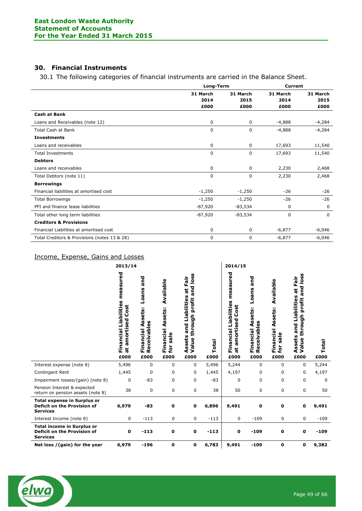# **30. Financial Instruments**

30.1 The following categories of financial instruments are carried in the Balance Sheet.

|                                              |           | Long-Term   |             | <b>Current</b> |  |
|----------------------------------------------|-----------|-------------|-------------|----------------|--|
|                                              | 31 March  | 31 March    | 31 March    | 31 March       |  |
|                                              | 2014      | 2015        | 2014        | 2015           |  |
|                                              | £000      | £000        | £000        | £000           |  |
| <b>Cash at Bank</b>                          |           |             |             |                |  |
| Loans and Receivables (note 12)              | 0         | $\mathbf 0$ | $-4,888$    | $-4,284$       |  |
| <b>Total Cash at Bank</b>                    | 0         | 0           | $-4,888$    | $-4,284$       |  |
| <b>Investments</b>                           |           |             |             |                |  |
| Loans and receivables                        | 0         | $\mathbf 0$ | 17,693      | 11,540         |  |
| <b>Total Investments</b>                     | 0         | 0           | 17,693      | 11,540         |  |
| <b>Debtors</b>                               |           |             |             |                |  |
| Loans and receivables                        | 0         | 0           | 2,230       | 2,468          |  |
| Total Debtors (note 11)                      | 0         | 0           | 2,230       | 2,468          |  |
| <b>Borrowings</b>                            |           |             |             |                |  |
| Financial liabilities at amortised cost      | $-1,250$  | $-1,250$    | $-26$       | $-26$          |  |
| <b>Total Borrowings</b>                      | $-1,250$  | $-1,250$    | $-26$       | $-26$          |  |
| PFI and finance lease liabilities            | $-87,920$ | -83,534     | 0           | $\Omega$       |  |
| Total other long term liabilities            | $-87,920$ | $-83,534$   | $\mathbf 0$ | $\Omega$       |  |
| <b>Creditors &amp; Provisions</b>            |           |             |             |                |  |
| Financial Liabilities at amortised cost      | 0         | $\mathbf 0$ | $-6,877$    | $-6,046$       |  |
| Total Creditors & Provisions (notes 13 & 28) | 0         | $\mathbf 0$ | $-6,877$    | $-6,046$       |  |

# Income, Expense, Gains and Losses

| 2013/14                                                                                     |                                                                             |                                                             |                                                             | 2014/15                                                                                             |               |                                                                          |                                                                       |                                                          |                                                                                           |               |
|---------------------------------------------------------------------------------------------|-----------------------------------------------------------------------------|-------------------------------------------------------------|-------------------------------------------------------------|-----------------------------------------------------------------------------------------------------|---------------|--------------------------------------------------------------------------|-----------------------------------------------------------------------|----------------------------------------------------------|-------------------------------------------------------------------------------------------|---------------|
|                                                                                             | measured<br>Financial Liabilities<br>Cost<br>amortised<br>$\vec{a}$<br>£000 | and<br>Loans<br>Assets:<br>Receivables<br>Financial<br>£000 | Available<br>Assets:<br>Financial<br>$s$ ale<br>for<br>£000 | and loss<br>at Fair<br>and Liabilities<br>profit<br>through<br>Assets<br>Value <sup>-</sup><br>£000 | Total<br>£000 | measured<br>Financial Liabilities<br>amortised Cost<br>$\vec{a}$<br>£000 | and<br>Loans<br>Assets:<br>ceivables<br>Financial<br><b>Q</b><br>£000 | Available<br>Assets:<br>Financial<br>sale<br>for<br>£000 | loss<br>at Fair<br>and<br>and Liabilities<br>profit<br>through<br>Assets<br>Value<br>£000 | Total<br>£000 |
| Interest expense (note 8)                                                                   | 5,496                                                                       | 0                                                           | 0                                                           | 0                                                                                                   | 5,496         | 5,244                                                                    | 0                                                                     | 0                                                        | 0                                                                                         | 5,244         |
| Contingent Rent                                                                             | 1,445                                                                       | 0                                                           | 0                                                           | 0                                                                                                   | 1,445         | 4,197                                                                    | 0                                                                     | 0                                                        | 0                                                                                         | 4,197         |
| Impairment losses/(gain) (note 8)                                                           | 0                                                                           | $-83$                                                       | 0                                                           | 0                                                                                                   | $-83$         | 0                                                                        | 0                                                                     | 0                                                        | 0                                                                                         | 0             |
| Pension Interest & expected<br>return on pension assets (note 8)                            | 38                                                                          | 0                                                           | 0                                                           | 0                                                                                                   | 38            | 50                                                                       | 0                                                                     | 0                                                        | 0                                                                                         | 50            |
| <b>Total expense in Surplus or</b><br><b>Deficit on the Provision of</b><br><b>Services</b> | 6,979                                                                       | -83                                                         | 0                                                           | 0                                                                                                   | 6,896         | 9,491                                                                    | 0                                                                     | 0                                                        | 0                                                                                         | 9,491         |
| Interest Income (note 8)                                                                    | 0                                                                           | $-113$                                                      | 0                                                           | 0                                                                                                   | $-113$        | 0                                                                        | $-109$                                                                | $\mathbf 0$                                              | 0                                                                                         | $-109$        |
| <b>Total income in Surplus or</b><br><b>Deficit on the Provision of</b><br><b>Services</b>  | $\mathbf 0$                                                                 | $-113$                                                      | $\mathbf 0$                                                 | 0                                                                                                   | $-113$        | $\mathbf o$                                                              | $-109$                                                                | 0                                                        | $\mathbf 0$                                                                               | $-109$        |
| Net loss / (gain) for the year                                                              | 6,979                                                                       | $-196$                                                      | 0                                                           | 0                                                                                                   | 6,783         | 9,491                                                                    | $-109$                                                                | 0                                                        | 0                                                                                         | 9,382         |

![](_page_48_Picture_6.jpeg)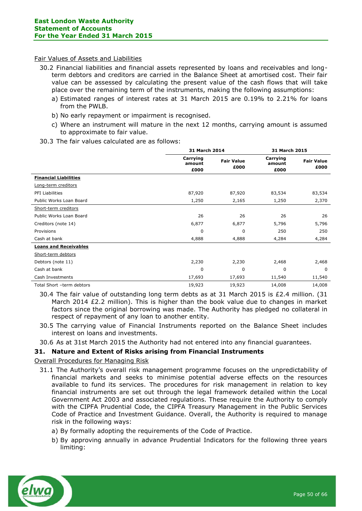#### Fair Values of Assets and Liabilities

- 30.2 Financial liabilities and financial assets represented by loans and receivables and longterm debtors and creditors are carried in the Balance Sheet at amortised cost. Their fair value can be assessed by calculating the present value of the cash flows that will take place over the remaining term of the instruments, making the following assumptions:
	- a) Estimated ranges of interest rates at 31 March 2015 are 0.19% to 2.21% for loans from the PWLB.
	- b) No early repayment or impairment is recognised.
	- c) Where an instrument will mature in the next 12 months, carrying amount is assumed to approximate to fair value.
- 30.3 The fair values calculated are as follows:

|                              |                            | 31 March 2014             |                            | 31 March 2015             |
|------------------------------|----------------------------|---------------------------|----------------------------|---------------------------|
|                              | Carrying<br>amount<br>£000 | <b>Fair Value</b><br>£000 | Carrying<br>amount<br>£000 | <b>Fair Value</b><br>£000 |
| <b>Financial Liabilities</b> |                            |                           |                            |                           |
| Long-term creditors          |                            |                           |                            |                           |
| PFI Liabilities              | 87,920                     | 87,920                    | 83,534                     | 83,534                    |
| Public Works Loan Board      | 1,250                      | 2,165                     | 1,250                      | 2,370                     |
| Short-term creditors         |                            |                           |                            |                           |
| Public Works Loan Board      | 26                         | 26                        | 26                         | 26                        |
| Creditors (note 14)          | 6,877                      | 6,877                     | 5,796                      | 5,796                     |
| Provisions                   | 0                          | $\Omega$                  | 250                        | 250                       |
| Cash at bank                 | 4,888                      | 4,888                     | 4,284                      | 4,284                     |
| <b>Loans and Receivables</b> |                            |                           |                            |                           |
| Short-term debtors           |                            |                           |                            |                           |
| Debtors (note 11)            | 2,230                      | 2,230                     | 2,468                      | 2,468                     |
| Cash at bank                 | $\mathbf 0$                | 0                         | 0                          | $\Omega$                  |
| Cash Investments             | 17,693                     | 17,693                    | 11,540                     | 11,540                    |
| Total Short -term debtors    | 19,923                     | 19,923                    | 14,008                     | 14,008                    |

30.4 The fair value of outstanding long term debts as at 31 March 2015 is £2.4 million. (31 March 2014 £2.2 million). This is higher than the book value due to changes in market factors since the original borrowing was made. The Authority has pledged no collateral in respect of repayment of any loan to another entity.

30.5 The carrying value of Financial Instruments reported on the Balance Sheet includes interest on loans and investments.

30.6 As at 31st March 2015 the Authority had not entered into any financial guarantees.

# **31. Nature and Extent of Risks arising from Financial Instruments**

# Overall Procedures for Managing Risk

- 31.1 The Authority's overall risk management programme focuses on the unpredictability of financial markets and seeks to minimise potential adverse effects on the resources available to fund its services. The procedures for risk management in relation to key financial instruments are set out through the legal framework detailed within the Local Government Act 2003 and associated regulations. These require the Authority to comply with the CIPFA Prudential Code, the CIPFA Treasury Management in the Public Services Code of Practice and Investment Guidance. Overall, the Authority is required to manage risk in the following ways:
	- a) By formally adopting the requirements of the Code of Practice.
	- b) By approving annually in advance Prudential Indicators for the following three years limiting:

![](_page_49_Picture_16.jpeg)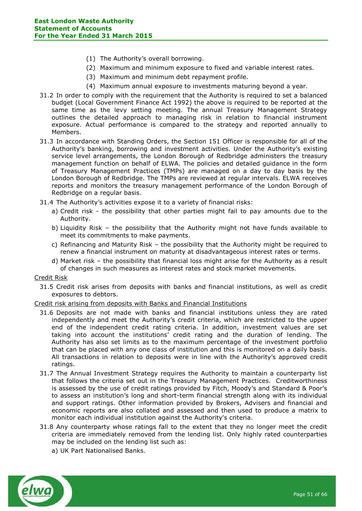- (1) The Authority's overall borrowing.
- (2) Maximum and minimum exposure to fixed and variable interest rates.
- (3) Maximum and minimum debt repayment profile.
- (4) Maximum annual exposure to investments maturing beyond a year.
- 31.2 In order to comply with the requirement that the Authority is required to set a balanced budget (Local Government Finance Act 1992) the above is required to be reported at the same time as the levy setting meeting. The annual Treasury Management Strategy outlines the detailed approach to managing risk in relation to financial instrument exposure. Actual performance is compared to the strategy and reported annually to Members.
- 31.3 In accordance with Standing Orders, the Section 151 Officer is responsible for all of the Authority's banking, borrowing and investment activities. Under the Authority's existing service level arrangements, the London Borough of Redbridge administers the treasury management function on behalf of ELWA. The policies and detailed guidance in the form of Treasury Management Practices (TMPs) are managed on a day to day basis by the London Borough of Redbridge. The TMPs are reviewed at regular intervals. ELWA receives reports and monitors the treasury management performance of the London Borough of Redbridge on a regular basis.
- 31.4 The Authority's activities expose it to a variety of financial risks:
	- a) Credit risk the possibility that other parties might fail to pay amounts due to the Authority.
	- b) Liquidity Risk the possibility that the Authority might not have funds available to meet its commitments to make payments.
	- c) Refinancing and Maturity Risk the possibility that the Authority might be required to renew a financial instrument on maturity at disadvantageous interest rates or terms.
	- d) Market risk the possibility that financial loss might arise for the Authority as a result of changes in such measures as interest rates and stock market movements.

Credit Risk

31.5 Credit risk arises from deposits with banks and financial institutions, as well as credit exposures to debtors.

#### Credit risk arising from deposits with Banks and Financial Institutions

- 31.6 Deposits are not made with banks and financial institutions unless they are rated independently and meet the Authority's credit criteria, which are restricted to the upper end of the independent credit rating criteria. In addition, investment values are set taking into account the institutions' credit rating and the duration of lending. The Authority has also set limits as to the maximum percentage of the investment portfolio that can be placed with any one class of institution and this is monitored on a daily basis. All transactions in relation to deposits were in line with the Authority's approved credit ratings.
- 31.7 The Annual Investment Strategy requires the Authority to maintain a counterparty list that follows the criteria set out in the Treasury Management Practices. Creditworthiness is assessed by the use of credit ratings provided by Fitch, Moody's and Standard & Poor's to assess an institution's long and short-term financial strength along with its individual and support ratings. Other information provided by Brokers, Advisers and financial and economic reports are also collated and assessed and then used to produce a matrix to monitor each individual institution against the Authority's criteria.
- 31.8 Any counterparty whose ratings fall to the extent that they no longer meet the credit criteria are immediately removed from the lending list. Only highly rated counterparties may be included on the lending list such as:
	- a) UK Part Nationalised Banks.

![](_page_50_Picture_19.jpeg)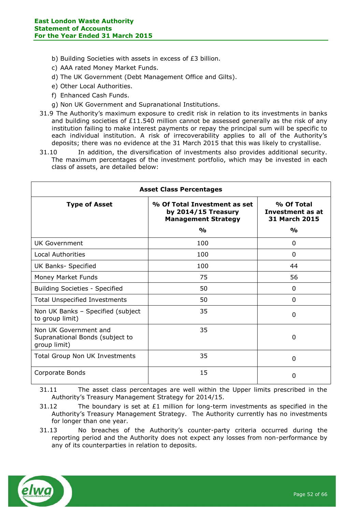- b) Building Societies with assets in excess of £3 billion.
- c) AAA rated Money Market Funds.
- d) The UK Government (Debt Management Office and Gilts).
- e) Other Local Authorities.
- f) Enhanced Cash Funds.
- g) Non UK Government and Supranational Institutions.
- 31.9 The Authority's maximum exposure to credit risk in relation to its investments in banks and building societies of  $£11.540$  million cannot be assessed generally as the risk of any institution failing to make interest payments or repay the principal sum will be specific to each individual institution. A risk of irrecoverability applies to all of the Authority's deposits; there was no evidence at the 31 March 2015 that this was likely to crystallise.
- 31.10 In addition, the diversification of investments also provides additional security. The maximum percentages of the investment portfolio, which may be invested in each class of assets, are detailed below:

| <b>Asset Class Percentages</b>                                           |                                                                                                    |                                                                  |  |  |
|--------------------------------------------------------------------------|----------------------------------------------------------------------------------------------------|------------------------------------------------------------------|--|--|
| <b>Type of Asset</b>                                                     | % Of Total Investment as set<br>by 2014/15 Treasury<br><b>Management Strategy</b><br>$\frac{0}{0}$ | % Of Total<br>Investment as at<br>31 March 2015<br>$\frac{0}{0}$ |  |  |
| UK Government                                                            | 100                                                                                                | 0                                                                |  |  |
| Local Authorities                                                        | 100                                                                                                | $\Omega$                                                         |  |  |
| UK Banks- Specified                                                      | 100                                                                                                | 44                                                               |  |  |
| Money Market Funds                                                       | 75                                                                                                 | 56                                                               |  |  |
| <b>Building Societies - Specified</b>                                    | 50                                                                                                 | 0                                                                |  |  |
| <b>Total Unspecified Investments</b>                                     | 50                                                                                                 | 0                                                                |  |  |
| Non UK Banks - Specified (subject<br>to group limit)                     | 35                                                                                                 | $\Omega$                                                         |  |  |
| Non UK Government and<br>Supranational Bonds (subject to<br>group limit) | 35                                                                                                 | 0                                                                |  |  |
| <b>Total Group Non UK Investments</b>                                    | 35                                                                                                 | $\Omega$                                                         |  |  |
| Corporate Bonds                                                          | 15                                                                                                 | 0                                                                |  |  |

31.11 The asset class percentages are well within the Upper limits prescribed in the Authority's Treasury Management Strategy for 2014/15.

- 31.12 The boundary is set at  $£1$  million for long-term investments as specified in the Authority's Treasury Management Strategy. The Authority currently has no investments for longer than one year.
- 31.13 No breaches of the Authority's counter-party criteria occurred during the reporting period and the Authority does not expect any losses from non-performance by any of its counterparties in relation to deposits.

![](_page_51_Picture_13.jpeg)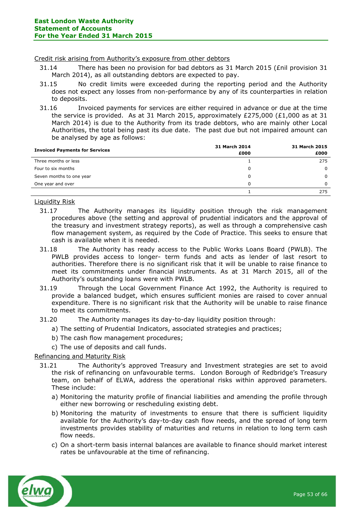#### Credit risk arising from Authority's exposure from other debtors

- 31.14 There has been no provision for bad debtors as 31 March 2015 (£nil provision 31 March 2014), as all outstanding debtors are expected to pay.
- 31.15 No credit limits were exceeded during the reporting period and the Authority does not expect any losses from non-performance by any of its counterparties in relation to deposits.
- 31.16 Invoiced payments for services are either required in advance or due at the time the service is provided. As at 31 March 2015, approximately £275,000 (£1,000 as at 31 March 2014) is due to the Authority from its trade debtors, who are mainly other Local Authorities, the total being past its due date. The past due but not impaired amount can be analysed by age as follows:

| <b>Invoiced Payments for Services</b> | 31 March 2014<br>£000 | 31 March 2015<br>£000 |
|---------------------------------------|-----------------------|-----------------------|
| Three months or less                  |                       | 275                   |
| Four to six months                    | 0                     | $\Omega$              |
| Seven months to one year              |                       | $\Omega$              |
| One year and over                     |                       | $\Omega$              |
|                                       |                       | 275                   |

# Liquidity Risk

- 31.17 The Authority manages its liquidity position through the risk management procedures above (the setting and approval of prudential indicators and the approval of the treasury and investment strategy reports), as well as through a comprehensive cash flow management system, as required by the Code of Practice. This seeks to ensure that cash is available when it is needed.
- 31.18 The Authority has ready access to the Public Works Loans Board (PWLB). The PWLB provides access to longer- term funds and acts as lender of last resort to authorities. Therefore there is no significant risk that it will be unable to raise finance to meet its commitments under financial instruments. As at 31 March 2015, all of the Authority's outstanding loans were with PWLB.
- 31.19 Through the Local Government Finance Act 1992, the Authority is required to provide a balanced budget, which ensures sufficient monies are raised to cover annual expenditure. There is no significant risk that the Authority will be unable to raise finance to meet its commitments.
- 31.20 The Authority manages its day-to-day liquidity position through:
	- a) The setting of Prudential Indicators, associated strategies and practices;
		- b) The cash flow management procedures;
		- c) The use of deposits and call funds.

# Refinancing and Maturity Risk

- 31.21 The Authority's approved Treasury and Investment strategies are set to avoid the risk of refinancing on unfavourable terms. London Borough of Redbridge's Treasury team, on behalf of ELWA, address the operational risks within approved parameters. These include:
	- a) Monitoring the maturity profile of financial liabilities and amending the profile through either new borrowing or rescheduling existing debt.
	- b) Monitoring the maturity of investments to ensure that there is sufficient liquidity available for the Authority's day-to-day cash flow needs, and the spread of long term investments provides stability of maturities and returns in relation to long term cash flow needs.
	- c) On a short-term basis internal balances are available to finance should market interest rates be unfavourable at the time of refinancing.

![](_page_52_Picture_19.jpeg)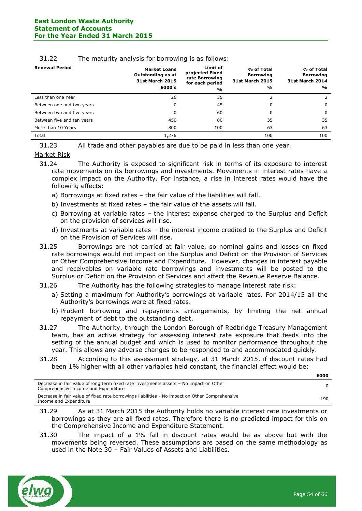| <b>Renewal Period</b>      | <b>Market Loans</b><br>Outstanding as at<br><b>31st March 2015</b><br>£000's | Limit of<br>projected Fixed<br>rate Borrowing<br>for each period<br>$\frac{0}{0}$ | % of Total<br><b>Borrowing</b><br><b>31st March 2015</b><br>% | % of Total<br><b>Borrowing</b><br><b>31st March 2014</b><br>$\frac{1}{2}$ |
|----------------------------|------------------------------------------------------------------------------|-----------------------------------------------------------------------------------|---------------------------------------------------------------|---------------------------------------------------------------------------|
| Less than one Year         | 26                                                                           | 35                                                                                | $\overline{2}$                                                | 2                                                                         |
| Between one and two years  | 0                                                                            | 45                                                                                | 0                                                             | $\Omega$                                                                  |
| Between two and five years | 0                                                                            | 60                                                                                | 0                                                             | $\Omega$                                                                  |
| Between five and ten years | 450                                                                          | 80                                                                                | 35                                                            | 35                                                                        |
| More than 10 Years         | 800                                                                          | 100                                                                               | 63                                                            | 63                                                                        |
| Total                      | 1,276                                                                        |                                                                                   | 100                                                           | 100                                                                       |

#### 31.22 The maturity analysis for borrowing is as follows:

31.23 All trade and other payables are due to be paid in less than one year.

#### Market Risk

- 31.24 The Authority is exposed to significant risk in terms of its exposure to interest rate movements on its borrowings and investments. Movements in interest rates have a complex impact on the Authority. For instance, a rise in interest rates would have the following effects:
	- a) Borrowings at fixed rates the fair value of the liabilities will fall.
	- b) Investments at fixed rates the fair value of the assets will fall.
	- c) Borrowing at variable rates the interest expense charged to the Surplus and Deficit on the provision of services will rise.
	- d) Investments at variable rates the interest income credited to the Surplus and Deficit on the Provision of Services will rise.
- 31.25 Borrowings are not carried at fair value, so nominal gains and losses on fixed rate borrowings would not impact on the Surplus and Deficit on the Provision of Services or Other Comprehensive Income and Expenditure. However, changes in interest payable and receivables on variable rate borrowings and investments will be posted to the Surplus or Deficit on the Provision of Services and affect the Revenue Reserve Balance.
- 31.26 The Authority has the following strategies to manage interest rate risk:
	- a) Setting a maximum for Authority's borrowings at variable rates. For 2014/15 all the Authority's borrowings were at fixed rates.
	- b) Prudent borrowing and repayments arrangements, by limiting the net annual repayment of debt to the outstanding debt.
- 31.27 The Authority, through the London Borough of Redbridge Treasury Management team, has an active strategy for assessing interest rate exposure that feeds into the setting of the annual budget and which is used to monitor performance throughout the year. This allows any adverse changes to be responded to and accommodated quickly.
- 31.28 According to this assessment strategy, at 31 March 2015, if discount rates had been 1% higher with all other variables held constant, the financial effect would be:

| Decrease in fair value of fixed rate borrowings liabilities - No impact on Other Comprehensive<br>Income and Expenditure | Decrease in fair value of long term fixed rate investments assets - No impact on Other<br>Comprehensive Income and Expenditure |     |
|--------------------------------------------------------------------------------------------------------------------------|--------------------------------------------------------------------------------------------------------------------------------|-----|
|                                                                                                                          |                                                                                                                                | 190 |

- 31.29 As at 31 March 2015 the Authority holds no variable interest rate investments or borrowings as they are all fixed rates. Therefore there is no predicted impact for this on the Comprehensive Income and Expenditure Statement.
- 31.30 The impact of a 1% fall in discount rates would be as above but with the movements being reversed. These assumptions are based on the same methodology as used in the Note 30 – Fair Values of Assets and Liabilities.

![](_page_53_Picture_19.jpeg)

**£000**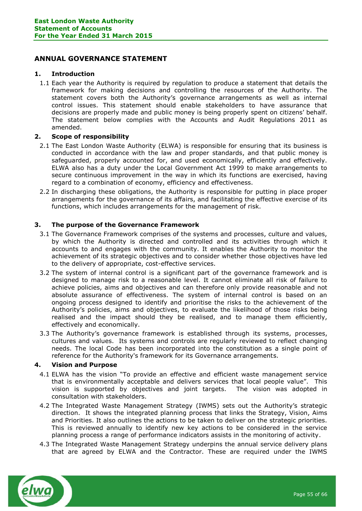# <span id="page-54-0"></span>**ANNUAL GOVERNANCE STATEMENT**

# **1. Introduction**

1.1 Each year the Authority is required by regulation to produce a statement that details the framework for making decisions and controlling the resources of the Authority. The statement covers both the Authority's governance arrangements as well as internal control issues. This statement should enable stakeholders to have assurance that decisions are properly made and public money is being properly spent on citizens' behalf. The statement below complies with the Accounts and Audit Regulations 2011 as amended.

# **2. Scope of responsibility**

- 2.1 The East London Waste Authority (ELWA) is responsible for ensuring that its business is conducted in accordance with the law and proper standards, and that public money is safeguarded, properly accounted for, and used economically, efficiently and effectively. ELWA also has a duty under the Local Government Act 1999 to make arrangements to secure continuous improvement in the way in which its functions are exercised, having regard to a combination of economy, efficiency and effectiveness.
- 2.2 In discharging these obligations, the Authority is responsible for putting in place proper arrangements for the governance of its affairs, and facilitating the effective exercise of its functions, which includes arrangements for the management of risk.

# **3. The purpose of the Governance Framework**

- 3.1 The Governance Framework comprises of the systems and processes, culture and values, by which the Authority is directed and controlled and its activities through which it accounts to and engages with the community. It enables the Authority to monitor the achievement of its strategic objectives and to consider whether those objectives have led to the delivery of appropriate, cost-effective services.
- 3.2 The system of internal control is a significant part of the governance framework and is designed to manage risk to a reasonable level. It cannot eliminate all risk of failure to achieve policies, aims and objectives and can therefore only provide reasonable and not absolute assurance of effectiveness. The system of internal control is based on an ongoing process designed to identify and prioritise the risks to the achievement of the Authority's policies, aims and objectives, to evaluate the likelihood of those risks being realised and the impact should they be realised, and to manage them efficiently, effectively and economically.
- 3.3 The Authority's governance framework is established through its systems, processes, cultures and values. Its systems and controls are regularly reviewed to reflect changing needs. The local Code has been incorporated into the constitution as a single point of reference for the Authority's framework for its Governance arrangements.

# **4. Vision and Purpose**

- 4.1 ELWA has the vision "To provide an effective and efficient waste management service that is environmentally acceptable and delivers services that local people value". This vision is supported by objectives and joint targets. The vision was adopted in consultation with stakeholders.
- 4.2 The Integrated Waste Management Strategy (IWMS) sets out the Authority's strategic direction. It shows the integrated planning process that links the Strategy, Vision, Aims and Priorities. It also outlines the actions to be taken to deliver on the strategic priorities. This is reviewed annually to identify new key actions to be considered in the service planning process a range of performance indicators assists in the monitoring of activity.
- 4.3 The Integrated Waste Management Strategy underpins the annual service delivery plans that are agreed by ELWA and the Contractor. These are required under the IWMS

![](_page_54_Picture_15.jpeg)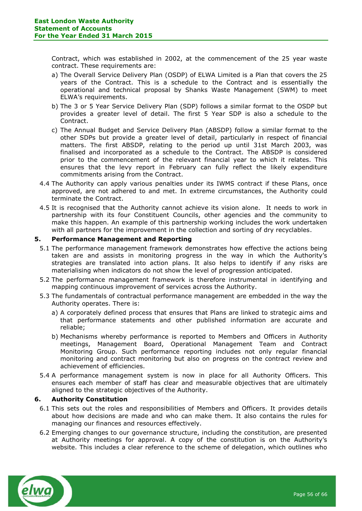Contract, which was established in 2002, at the commencement of the 25 year waste contract. These requirements are:

- a) The Overall Service Delivery Plan (OSDP) of ELWA Limited is a Plan that covers the 25 years of the Contract. This is a schedule to the Contract and is essentially the operational and technical proposal by Shanks Waste Management (SWM) to meet ELWA's requirements.
- b) The 3 or 5 Year Service Delivery Plan (SDP) follows a similar format to the OSDP but provides a greater level of detail. The first 5 Year SDP is also a schedule to the Contract.
- c) The Annual Budget and Service Delivery Plan (ABSDP) follow a similar format to the other SDPs but provide a greater level of detail, particularly in respect of financial matters. The first ABSDP, relating to the period up until 31st March 2003, was finalised and incorporated as a schedule to the Contract. The ABSDP is considered prior to the commencement of the relevant financial year to which it relates. This ensures that the levy report in February can fully reflect the likely expenditure commitments arising from the Contract.
- 4.4 The Authority can apply various penalties under its IWMS contract if these Plans, once approved, are not adhered to and met. In extreme circumstances, the Authority could terminate the Contract.
- 4.5 It is recognised that the Authority cannot achieve its vision alone. It needs to work in partnership with its four Constituent Councils, other agencies and the community to make this happen. An example of this partnership working includes the work undertaken with all partners for the improvement in the collection and sorting of dry recyclables.

# **5. Performance Management and Reporting**

- 5.1 The performance management framework demonstrates how effective the actions being taken are and assists in monitoring progress in the way in which the Authority's strategies are translated into action plans. It also helps to identify if any risks are materialising when indicators do not show the level of progression anticipated.
- 5.2 The performance management framework is therefore instrumental in identifying and mapping continuous improvement of services across the Authority.
- 5.3 The fundamentals of contractual performance management are embedded in the way the Authority operates. There is:
	- a) A corporately defined process that ensures that Plans are linked to strategic aims and that performance statements and other published information are accurate and reliable;
	- b) Mechanisms whereby performance is reported to Members and Officers in Authority meetings, Management Board, Operational Management Team and Contract Monitoring Group. Such performance reporting includes not only regular financial monitoring and contract monitoring but also on progress on the contract review and achievement of efficiencies.
- 5.4 A performance management system is now in place for all Authority Officers. This ensures each member of staff has clear and measurable objectives that are ultimately aligned to the strategic objectives of the Authority.

# **6. Authority Constitution**

- 6.1 This sets out the roles and responsibilities of Members and Officers. It provides details about how decisions are made and who can make them. It also contains the rules for managing our finances and resources effectively.
- 6.2 Emerging changes to our governance structure, including the constitution, are presented at Authority meetings for approval. A copy of the constitution is on the Authority's website. This includes a clear reference to the scheme of delegation, which outlines who

![](_page_55_Picture_17.jpeg)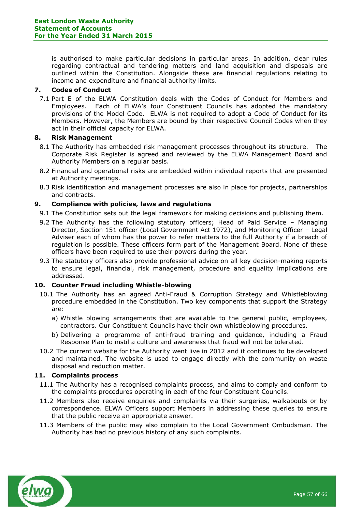is authorised to make particular decisions in particular areas. In addition, clear rules regarding contractual and tendering matters and land acquisition and disposals are outlined within the Constitution. Alongside these are financial regulations relating to income and expenditure and financial authority limits.

# **7. Codes of Conduct**

7.1 Part E of the ELWA Constitution deals with the Codes of Conduct for Members and Employees. Each of ELWA's four Constituent Councils has adopted the mandatory provisions of the Model Code. ELWA is not required to adopt a Code of Conduct for its Members. However, the Members are bound by their respective Council Codes when they act in their official capacity for ELWA.

# **8. Risk Management**

- 8.1 The Authority has embedded risk management processes throughout its structure. The Corporate Risk Register is agreed and reviewed by the ELWA Management Board and Authority Members on a regular basis.
- 8.2 Financial and operational risks are embedded within individual reports that are presented at Authority meetings.
- 8.3 Risk identification and management processes are also in place for projects, partnerships and contracts.

# **9. Compliance with policies, laws and regulations**

- 9.1 The Constitution sets out the legal framework for making decisions and publishing them.
- 9.2 The Authority has the following statutory officers; Head of Paid Service Managing Director, Section 151 officer (Local Government Act 1972), and Monitoring Officer – Legal Adviser each of whom has the power to refer matters to the full Authority if a breach of regulation is possible. These officers form part of the Management Board. None of these officers have been required to use their powers during the year.
- 9.3 The statutory officers also provide professional advice on all key decision-making reports to ensure legal, financial, risk management, procedure and equality implications are addressed.

# **10. Counter Fraud including Whistle-blowing**

- 10.1 The Authority has an agreed Anti-Fraud & Corruption Strategy and Whistleblowing procedure embedded in the Constitution. Two key components that support the Strategy are:
	- a) Whistle blowing arrangements that are available to the general public, employees, contractors. Our Constituent Councils have their own whistleblowing procedures.
	- b) Delivering a programme of anti-fraud training and guidance, including a Fraud Response Plan to instil a culture and awareness that fraud will not be tolerated.
- 10.2 The current website for the Authority went live in 2012 and it continues to be developed and maintained. The website is used to engage directly with the community on waste disposal and reduction matter.

# **11. Complaints process**

- 11.1 The Authority has a recognised complaints process, and aims to comply and conform to the complaints procedures operating in each of the four Constituent Councils.
- 11.2 Members also receive enquiries and complaints via their surgeries, walkabouts or by correspondence. ELWA Officers support Members in addressing these queries to ensure that the public receive an appropriate answer.
- 11.3 Members of the public may also complain to the Local Government Ombudsman. The Authority has had no previous history of any such complaints.

![](_page_56_Picture_21.jpeg)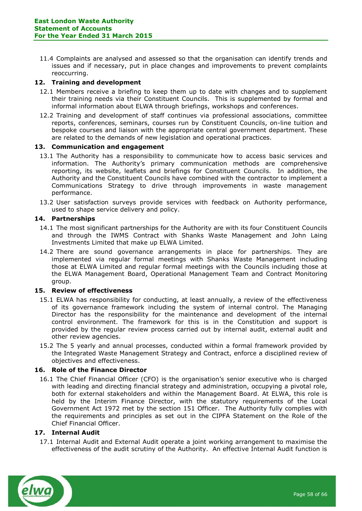11.4 Complaints are analysed and assessed so that the organisation can identify trends and issues and if necessary, put in place changes and improvements to prevent complaints reoccurring.

# **12. Training and development**

- 12.1 Members receive a briefing to keep them up to date with changes and to supplement their training needs via their Constituent Councils. This is supplemented by formal and informal information about ELWA through briefings, workshops and conferences.
- 12.2 Training and development of staff continues via professional associations, committee reports, conferences, seminars, courses run by Constituent Councils, on-line tuition and bespoke courses and liaison with the appropriate central government department. These are related to the demands of new legislation and operational practices.

# **13. Communication and engagement**

- 13.1 The Authority has a responsibility to communicate how to access basic services and information. The Authority's primary communication methods are comprehensive reporting, its website, leaflets and briefings for Constituent Councils. In addition, the Authority and the Constituent Councils have combined with the contractor to implement a Communications Strategy to drive through improvements in waste management performance.
- 13.2 User satisfaction surveys provide services with feedback on Authority performance, used to shape service delivery and policy.

# **14. Partnerships**

- 14.1 The most significant partnerships for the Authority are with its four Constituent Councils and through the IWMS Contract with Shanks Waste Management and John Laing Investments Limited that make up ELWA Limited.
- 14.2 There are sound governance arrangements in place for partnerships. They are implemented via regular formal meetings with Shanks Waste Management including those at ELWA Limited and regular formal meetings with the Councils including those at the ELWA Management Board, Operational Management Team and Contract Monitoring group.

# **15. Review of effectiveness**

- 15.1 ELWA has responsibility for conducting, at least annually, a review of the effectiveness of its governance framework including the system of internal control. The Managing Director has the responsibility for the maintenance and development of the internal control environment. The framework for this is in the Constitution and support is provided by the regular review process carried out by internal audit, external audit and other review agencies.
- 15.2 The 5 yearly and annual processes, conducted within a formal framework provided by the Integrated Waste Management Strategy and Contract, enforce a disciplined review of objectives and effectiveness.

# **16. Role of the Finance Director**

16.1 The Chief Financial Officer (CFO) is the organisation's senior executive who is charged with leading and directing financial strategy and administration, occupying a pivotal role, both for external stakeholders and within the Management Board. At ELWA, this role is held by the Interim Finance Director, with the statutory requirements of the Local Government Act 1972 met by the section 151 Officer. The Authority fully complies with the requirements and principles as set out in the CIPFA Statement on the Role of the Chief Financial Officer.

# **17. Internal Audit**

17.1 Internal Audit and External Audit operate a joint working arrangement to maximise the effectiveness of the audit scrutiny of the Authority. An effective Internal Audit function is

![](_page_57_Picture_18.jpeg)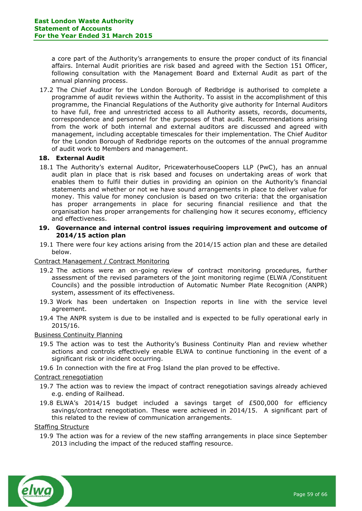a core part of the Authority's arrangements to ensure the proper conduct of its financial affairs. Internal Audit priorities are risk based and agreed with the Section 151 Officer, following consultation with the Management Board and External Audit as part of the annual planning process.

17.2 The Chief Auditor for the London Borough of Redbridge is authorised to complete a programme of audit reviews within the Authority. To assist in the accomplishment of this programme, the Financial Regulations of the Authority give authority for Internal Auditors to have full, free and unrestricted access to all Authority assets, records, documents, correspondence and personnel for the purposes of that audit. Recommendations arising from the work of both internal and external auditors are discussed and agreed with management, including acceptable timescales for their implementation. The Chief Auditor for the London Borough of Redbridge reports on the outcomes of the annual programme of audit work to Members and management.

# **18. External Audit**

18.1 The Authority's external Auditor, PricewaterhouseCoopers LLP (PwC), has an annual audit plan in place that is risk based and focuses on undertaking areas of work that enables them to fulfil their duties in providing an opinion on the Authority's financial statements and whether or not we have sound arrangements in place to deliver value for money. This value for money conclusion is based on two criteria: that the organisation has proper arrangements in place for securing financial resilience and that the organisation has proper arrangements for challenging how it secures economy, efficiency and effectiveness.

# **19. Governance and internal control issues requiring improvement and outcome of 2014/15 action plan**

19.1 There were four key actions arising from the 2014/15 action plan and these are detailed below.

# Contract Management / Contract Monitoring

- 19.2 The actions were an on-going review of contract monitoring procedures, further assessment of the revised parameters of the joint monitoring regime (ELWA /Constituent Councils) and the possible introduction of Automatic Number Plate Recognition (ANPR) system, assessment of its effectiveness.
- 19.3 Work has been undertaken on Inspection reports in line with the service level agreement.
- 19.4 The ANPR system is due to be installed and is expected to be fully operational early in 2015/16.

# Business Continuity Planning

- 19.5 The action was to test the Authority's Business Continuity Plan and review whether actions and controls effectively enable ELWA to continue functioning in the event of a significant risk or incident occurring.
- 19.6 In connection with the fire at Frog Island the plan proved to be effective.

# Contract renegotiation

- 19.7 The action was to review the impact of contract renegotiation savings already achieved e.g. ending of Railhead.
- 19.8 ELWA's 2014/15 budget included a savings target of £500,000 for efficiency savings/contract renegotiation. These were achieved in 2014/15. A significant part of this related to the review of communication arrangements.

# Staffing Structure

19.9 The action was for a review of the new staffing arrangements in place since September 2013 including the impact of the reduced staffing resource.

![](_page_58_Picture_19.jpeg)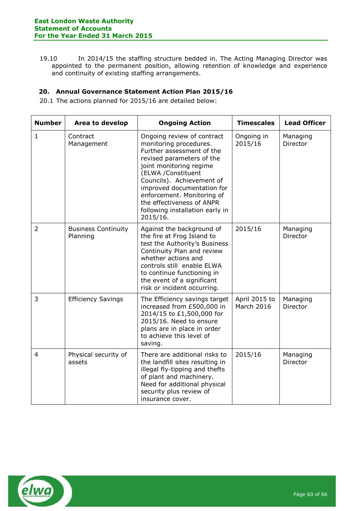19.10 In 2014/15 the staffing structure bedded in. The Acting Managing Director was appointed to the permanent position, allowing retention of knowledge and experience and continuity of existing staffing arrangements.

# **20. Annual Governance Statement Action Plan 2015/16**

20.1 The actions planned for 2015/16 are detailed below:

| <b>Number</b>  | Area to develop                        | <b>Ongoing Action</b>                                                                                                                                                                                                                                                                                                                | <b>Timescales</b>                  | <b>Lead Officer</b>  |
|----------------|----------------------------------------|--------------------------------------------------------------------------------------------------------------------------------------------------------------------------------------------------------------------------------------------------------------------------------------------------------------------------------------|------------------------------------|----------------------|
| $\mathbf{1}$   | Contract<br>Management                 | Ongoing review of contract<br>monitoring procedures.<br>Further assessment of the<br>revised parameters of the<br>joint monitoring regime<br>(ELWA /Constituent<br>Councils). Achievement of<br>improved documentation for<br>enforcement. Monitoring of<br>the effectiveness of ANPR<br>following installation early in<br>2015/16. | Ongoing in<br>2015/16              | Managing<br>Director |
| 2              | <b>Business Continuity</b><br>Planning | Against the background of<br>the fire at Frog Island to<br>test the Authority's Business<br>Continuity Plan and review<br>whether actions and<br>controls still enable ELWA<br>to continue functioning in<br>the event of a significant<br>risk or incident occurring.                                                               | 2015/16                            | Managing<br>Director |
| $\overline{3}$ | <b>Efficiency Savings</b>              | The Efficiency savings target<br>increased from £500,000 in<br>2014/15 to £1,500,000 for<br>2015/16. Need to ensure<br>plans are in place in order<br>to achieve this level of<br>saving.                                                                                                                                            | April 2015 to<br><b>March 2016</b> | Managing<br>Director |
| $\overline{4}$ | Physical security of<br>assets         | There are additional risks to<br>the landfill sites resulting in<br>illegal fly-tipping and thefts<br>of plant and machinery.<br>Need for additional physical<br>security plus review of<br>insurance cover.                                                                                                                         | 2015/16                            | Managing<br>Director |

![](_page_59_Picture_5.jpeg)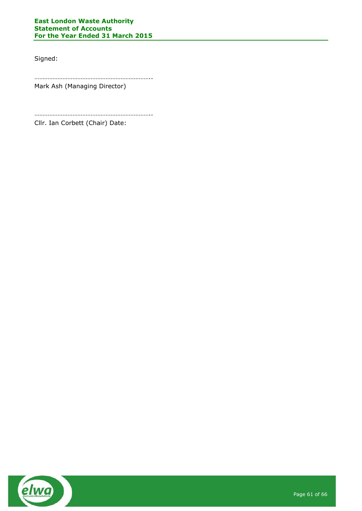# **East London Waste Authority Statement of Accounts For the Year Ended 31 March 2015**

Signed:

…………………………………………………………….. Mark Ash (Managing Director)

…………………………………………………………….. Cllr. Ian Corbett (Chair) Date:

![](_page_60_Picture_5.jpeg)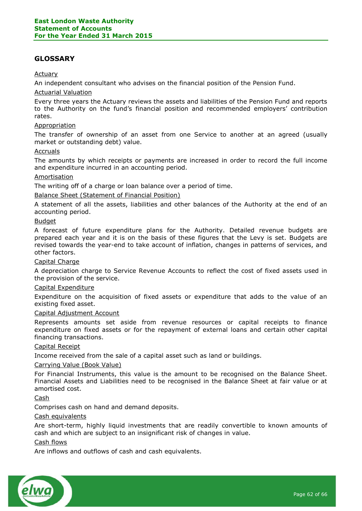# <span id="page-61-0"></span>**GLOSSARY**

# Actuary

An independent consultant who advises on the financial position of the Pension Fund.

# Actuarial Valuation

Every three years the Actuary reviews the assets and liabilities of the Pension Fund and reports to the Authority on the fund's financial position and recommended employers' contribution rates.

# Appropriation

The transfer of ownership of an asset from one Service to another at an agreed (usually market or outstanding debt) value.

# Accruals

The amounts by which receipts or payments are increased in order to record the full income and expenditure incurred in an accounting period.

#### Amortisation

The writing off of a charge or loan balance over a period of time.

# Balance Sheet (Statement of Financial Position)

A statement of all the assets, liabilities and other balances of the Authority at the end of an accounting period.

# Budget

A forecast of future expenditure plans for the Authority. Detailed revenue budgets are prepared each year and it is on the basis of these figures that the Levy is set. Budgets are revised towards the year-end to take account of inflation, changes in patterns of services, and other factors.

# Capital Charge

A depreciation charge to Service Revenue Accounts to reflect the cost of fixed assets used in the provision of the service.

# Capital Expenditure

Expenditure on the acquisition of fixed assets or expenditure that adds to the value of an existing fixed asset.

#### Capital Adjustment Account

Represents amounts set aside from revenue resources or capital receipts to finance expenditure on fixed assets or for the repayment of external loans and certain other capital financing transactions.

#### Capital Receipt

Income received from the sale of a capital asset such as land or buildings.

#### Carrying Value (Book Value)

For Financial Instruments, this value is the amount to be recognised on the Balance Sheet. Financial Assets and Liabilities need to be recognised in the Balance Sheet at fair value or at amortised cost.

Cash

Comprises cash on hand and demand deposits.

#### Cash equivalents

Are short-term, highly liquid investments that are readily convertible to known amounts of cash and which are subject to an insignificant risk of changes in value.

# Cash flows

Are inflows and outflows of cash and cash equivalents.

![](_page_61_Picture_32.jpeg)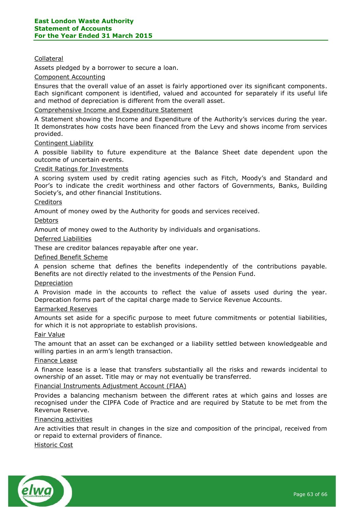# Collateral

Assets pledged by a borrower to secure a loan.

## Component Accounting

Ensures that the overall value of an asset is fairly apportioned over its significant components. Each significant component is identified, valued and accounted for separately if its useful life and method of depreciation is different from the overall asset.

# Comprehensive Income and Expenditure Statement

A Statement showing the Income and Expenditure of the Authority's services during the year. It demonstrates how costs have been financed from the Levy and shows income from services provided.

# Contingent Liability

A possible liability to future expenditure at the Balance Sheet date dependent upon the outcome of uncertain events.

#### Credit Ratings for Investments

A scoring system used by credit rating agencies such as Fitch, Moody's and Standard and Poor's to indicate the credit worthiness and other factors of Governments, Banks, Building Society's, and other financial Institutions.

# **Creditors**

Amount of money owed by the Authority for goods and services received.

#### Debtors

Amount of money owed to the Authority by individuals and organisations.

#### Deferred Liabilities

These are creditor balances repayable after one year.

#### Defined Benefit Scheme

A pension scheme that defines the benefits independently of the contributions payable. Benefits are not directly related to the investments of the Pension Fund.

#### Depreciation

A Provision made in the accounts to reflect the value of assets used during the year. Deprecation forms part of the capital charge made to Service Revenue Accounts.

#### Earmarked Reserves

Amounts set aside for a specific purpose to meet future commitments or potential liabilities, for which it is not appropriate to establish provisions.

#### Fair Value

The amount that an asset can be exchanged or a liability settled between knowledgeable and willing parties in an arm's length transaction.

#### Finance Lease

A finance lease is a lease that transfers substantially all the risks and rewards incidental to ownership of an asset. Title may or may not eventually be transferred.

#### Financial Instruments Adjustment Account (FIAA)

Provides a balancing mechanism between the different rates at which gains and losses are recognised under the CIPFA Code of Practice and are required by Statute to be met from the Revenue Reserve.

#### Financing activities

Are activities that result in changes in the size and composition of the principal, received from or repaid to external providers of finance.

#### Historic Cost

![](_page_62_Picture_32.jpeg)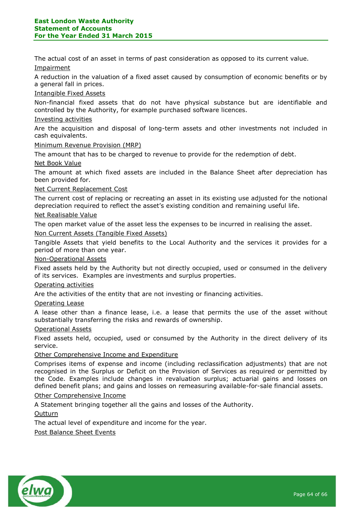The actual cost of an asset in terms of past consideration as opposed to its current value.

**Impairment** 

A reduction in the valuation of a fixed asset caused by consumption of economic benefits or by a general fall in prices.

# Intangible Fixed Assets

Non-financial fixed assets that do not have physical substance but are identifiable and controlled by the Authority, for example purchased software licences.

# Investing activities

Are the acquisition and disposal of long-term assets and other investments not included in cash equivalents.

# Minimum Revenue Provision (MRP)

The amount that has to be charged to revenue to provide for the redemption of debt.

# Net Book Value

The amount at which fixed assets are included in the Balance Sheet after depreciation has been provided for.

# Net Current Replacement Cost

The current cost of replacing or recreating an asset in its existing use adjusted for the notional depreciation required to reflect the asset's existing condition and remaining useful life.

# Net Realisable Value

The open market value of the asset less the expenses to be incurred in realising the asset.

# Non Current Assets (Tangible Fixed Assets)

Tangible Assets that yield benefits to the Local Authority and the services it provides for a period of more than one year.

# Non-Operational Assets

Fixed assets held by the Authority but not directly occupied, used or consumed in the delivery of its services. Examples are investments and surplus properties.

# Operating activities

Are the activities of the entity that are not investing or financing activities.

# Operating Lease

A lease other than a finance lease, i.e. a lease that permits the use of the asset without substantially transferring the risks and rewards of ownership.

# Operational Assets

Fixed assets held, occupied, used or consumed by the Authority in the direct delivery of its service.

# Other Comprehensive Income and Expenditure

Comprises items of expense and income (including reclassification adjustments) that are not recognised in the Surplus or Deficit on the Provision of Services as required or permitted by the Code. Examples include changes in revaluation surplus; actuarial gains and losses on defined benefit plans; and gains and losses on remeasuring available-for-sale financial assets.

# Other Comprehensive Income

A Statement bringing together all the gains and losses of the Authority.

# **Outturn**

The actual level of expenditure and income for the year.

# Post Balance Sheet Events

![](_page_63_Picture_33.jpeg)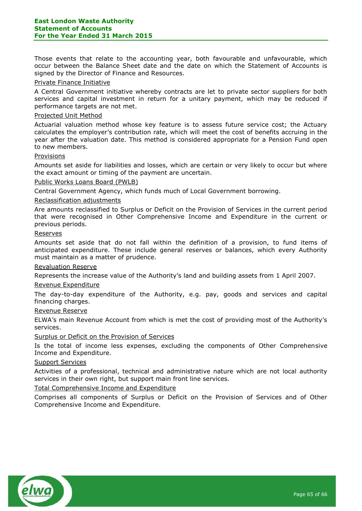Those events that relate to the accounting year, both favourable and unfavourable, which occur between the Balance Sheet date and the date on which the Statement of Accounts is signed by the Director of Finance and Resources.

# Private Finance Initiative

A Central Government initiative whereby contracts are let to private sector suppliers for both services and capital investment in return for a unitary payment, which may be reduced if performance targets are not met.

# Projected Unit Method

Actuarial valuation method whose key feature is to assess future service cost; the Actuary calculates the employer's contribution rate, which will meet the cost of benefits accruing in the year after the valuation date. This method is considered appropriate for a Pension Fund open to new members.

#### Provisions

Amounts set aside for liabilities and losses, which are certain or very likely to occur but where the exact amount or timing of the payment are uncertain.

#### Public Works Loans Board (PWLB)

Central Government Agency, which funds much of Local Government borrowing.

#### Reclassification adjustments

Are amounts reclassified to Surplus or Deficit on the Provision of Services in the current period that were recognised in Other Comprehensive Income and Expenditure in the current or previous periods.

#### Reserves

Amounts set aside that do not fall within the definition of a provision, to fund items of anticipated expenditure. These include general reserves or balances, which every Authority must maintain as a matter of prudence.

#### Revaluation Reserve

Represents the increase value of the Authority's land and building assets from 1 April 2007.

#### Revenue Expenditure

The day-to-day expenditure of the Authority, e.g. pay, goods and services and capital financing charges.

#### Revenue Reserve

ELWA's main Revenue Account from which is met the cost of providing most of the Authority's services.

# Surplus or Deficit on the Provision of Services

Is the total of income less expenses, excluding the components of Other Comprehensive Income and Expenditure.

#### Support Services

Activities of a professional, technical and administrative nature which are not local authority services in their own right, but support main front line services.

# Total Comprehensive Income and Expenditure

Comprises all components of Surplus or Deficit on the Provision of Services and of Other Comprehensive Income and Expenditure.

![](_page_64_Picture_26.jpeg)